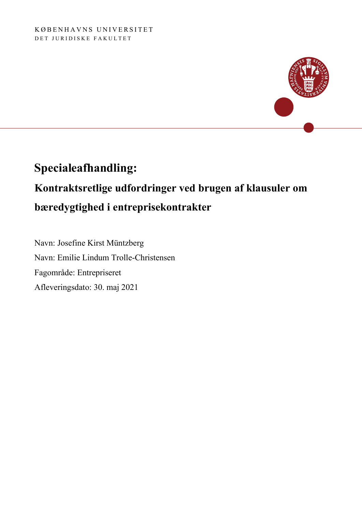

# **Specialeafhandling: Kontraktsretlige udfordringer ved brugen af klausuler om bæredygtighed i entreprisekontrakter**

Navn: Josefine Kirst Müntzberg Navn: Emilie Lindum Trolle-Christensen Fagområde: Entrepriseret Afleveringsdato: 30. maj 2021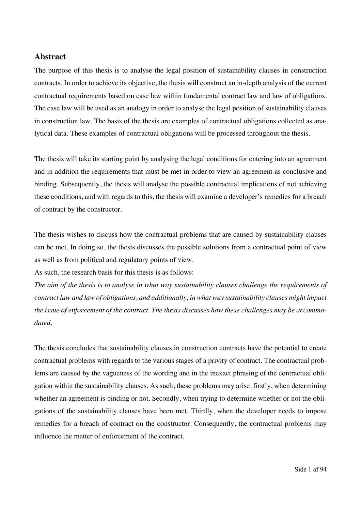#### **Abstract**

The purpose of this thesis is to analyse the legal position of sustainability clauses in construction contracts. In order to achieve its objective, the thesis will construct an in-depth analysis of the current contractual requirements based on case law within fundamental contract law and law of obligations. The case law will be used as an analogy in order to analyse the legal position of sustainability clauses in construction law. The basis of the thesis are examples of contractual obligations collected as analytical data. These examples of contractual obligations will be processed throughout the thesis.

The thesis will take its starting point by analysing the legal conditions for entering into an agreement and in addition the requirements that must be met in order to view an agreement as conclusive and binding. Subsequently, the thesis will analyse the possible contractual implications of not achieving these conditions, and with regards to this, the thesis will examine a developer's remedies for a breach of contract by the constructor.

The thesis wishes to discuss how the contractual problems that are caused by sustainability clauses can be met. In doing so, the thesis discusses the possible solutions from a contractual point of view as well as from political and regulatory points of view.

As such, the research basis for this thesis is as follows:

*The aim of the thesis is to analyse in what way sustainability clauses challenge the requirements of contract law and law of obligations, and additionally, in what way sustainability clauses might impact the issue of enforcement of the contract. The thesis discusses how these challenges may be accommodated.* 

The thesis concludes that sustainability clauses in construction contracts have the potential to create contractual problems with regards to the various stages of a privity of contract. The contractual problems are caused by the vagueness of the wording and in the inexact phrasing of the contractual obligation within the sustainability clauses. As such, these problems may arise, firstly, when determining whether an agreement is binding or not. Secondly, when trying to determine whether or not the obligations of the sustainability clauses have been met. Thirdly, when the developer needs to impose remedies for a breach of contract on the constructor. Consequently, the contractual problems may influence the matter of enforcement of the contract.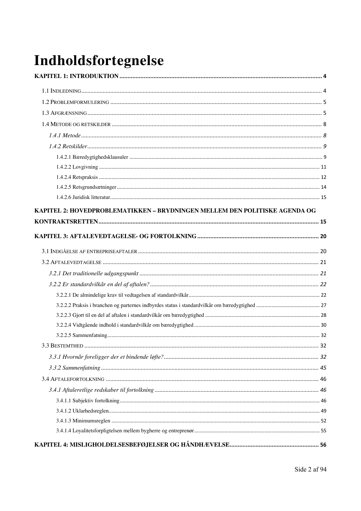# Indholdsfortegnelse

| KAPITEL 2: HOVEDPROBLEMATIKKEN – BRYDNINGEN MELLEM DEN POLITISKE AGENDA OG |  |
|----------------------------------------------------------------------------|--|
|                                                                            |  |
|                                                                            |  |
|                                                                            |  |
|                                                                            |  |
|                                                                            |  |
|                                                                            |  |
|                                                                            |  |
|                                                                            |  |
|                                                                            |  |
|                                                                            |  |
|                                                                            |  |
|                                                                            |  |
|                                                                            |  |
|                                                                            |  |
|                                                                            |  |
|                                                                            |  |
|                                                                            |  |
|                                                                            |  |
|                                                                            |  |
|                                                                            |  |
|                                                                            |  |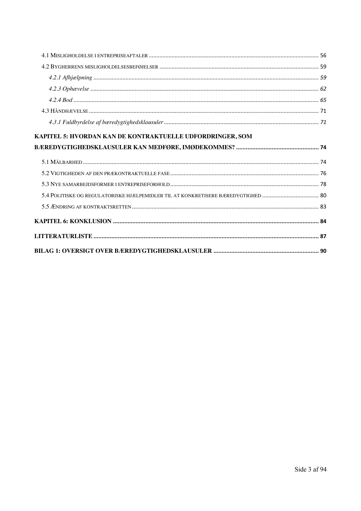| KAPITEL 5: HVORDAN KAN DE KONTRAKTUELLE UDFORDRINGER, SOM |  |
|-----------------------------------------------------------|--|
|                                                           |  |
|                                                           |  |
|                                                           |  |
|                                                           |  |
|                                                           |  |
|                                                           |  |
|                                                           |  |
|                                                           |  |
|                                                           |  |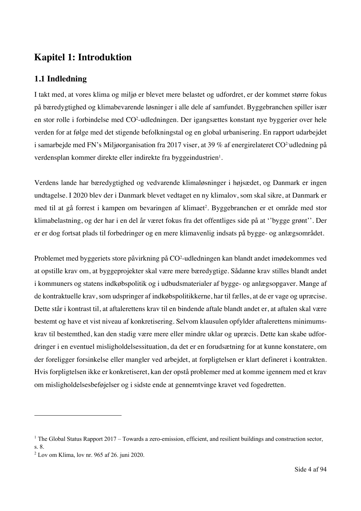# **Kapitel 1: Introduktion**

# **1.1 Indledning**

I takt med, at vores klima og miljø er blevet mere belastet og udfordret, er der kommet større fokus på bæredygtighed og klimabevarende løsninger i alle dele af samfundet. Byggebranchen spiller især en stor rolle i forbindelse med CO2 -udledningen. Der igangsættes konstant nye byggerier over hele verden for at følge med det stigende befolkningstal og en global urbanisering. En rapport udarbejdet i samarbejde med FN's Miljøorganisation fra 2017 viser, at 39 % af energirelateret CO2-udledning på verdensplan kommer direkte eller indirekte fra byggeindustrien<sup>1</sup>.

Verdens lande har bæredygtighed og vedvarende klimaløsninger i højsædet, og Danmark er ingen undtagelse. I 2020 blev der i Danmark blevet vedtaget en ny klimalov, som skal sikre, at Danmark er med til at gå forrest i kampen om bevaringen af klimaet<sup>2</sup>. Byggebranchen er et område med stor klimabelastning, og der har i en del år været fokus fra det offentliges side på at ''bygge grønt''. Der er er dog fortsat plads til forbedringer og en mere klimavenlig indsats på bygge- og anlægsområdet.

Problemet med byggeriets store påvirkning på CO<sup>2</sup>-udledningen kan blandt andet imødekommes ved at opstille krav om, at byggeprojekter skal være mere bæredygtige. Sådanne krav stilles blandt andet i kommuners og statens indkøbspolitik og i udbudsmaterialer af bygge- og anlægsopgaver. Mange af de kontraktuelle krav, som udspringer af indkøbspolitikkerne, har til fælles, at de er vage og upræcise. Dette står i kontrast til, at aftalerettens krav til en bindende aftale blandt andet er, at aftalen skal være bestemt og have et vist niveau af konkretisering. Selvom klausulen opfylder aftalerettens minimumskrav til bestemthed, kan den stadig være mere eller mindre uklar og upræcis. Dette kan skabe udfordringer i en eventuel misligholdelsessituation, da det er en forudsætning for at kunne konstatere, om der foreligger forsinkelse eller mangler ved arbejdet, at forpligtelsen er klart defineret i kontrakten. Hvis forpligtelsen ikke er konkretiseret, kan der opstå problemer med at komme igennem med et krav om misligholdelsesbeføjelser og i sidste ende at gennemtvinge kravet ved fogedretten.

 $1$  The Global Status Rapport 2017 – Towards a zero-emission, efficient, and resilient buildings and construction sector, s. 8.

<sup>2</sup> Lov om Klima, lov nr. 965 af 26. juni 2020.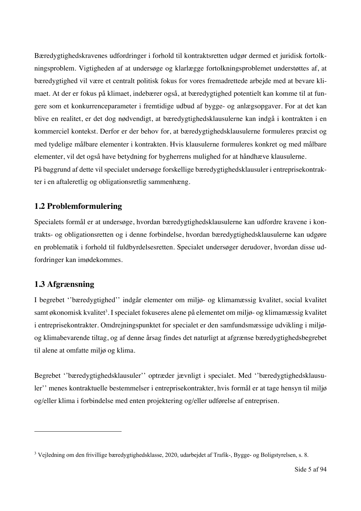Bæredygtighedskravenes udfordringer i forhold til kontraktsretten udgør dermed et juridisk fortolkningsproblem. Vigtigheden af at undersøge og klarlægge fortolkningsproblemet understøttes af, at bæredygtighed vil være et centralt politisk fokus for vores fremadrettede arbejde med at bevare klimaet. At der er fokus på klimaet, indebærer også, at bæredygtighed potentielt kan komme til at fungere som et konkurrenceparameter i fremtidige udbud af bygge- og anlægsopgaver. For at det kan blive en realitet, er det dog nødvendigt, at bæredygtighedsklausulerne kan indgå i kontrakten i en kommerciel kontekst. Derfor er der behov for, at bæredygtighedsklausulerne formuleres præcist og med tydelige målbare elementer i kontrakten. Hvis klausulerne formuleres konkret og med målbare elementer, vil det også have betydning for bygherrens mulighed for at håndhæve klausulerne. På baggrund af dette vil specialet undersøge forskellige bæredygtighedsklausuler i entreprisekontrakter i en aftaleretlig og obligationsretlig sammenhæng.

## **1.2 Problemformulering**

Specialets formål er at undersøge, hvordan bæredygtighedsklausulerne kan udfordre kravene i kontrakts- og obligationsretten og i denne forbindelse, hvordan bæredygtighedsklausulerne kan udgøre en problematik i forhold til fuldbyrdelsesretten. Specialet undersøger derudover, hvordan disse udfordringer kan imødekommes.

# **1.3 Afgrænsning**

I begrebet ''bæredygtighed'' indgår elementer om miljø- og klimamæssig kvalitet, social kvalitet samt økonomisk kvalitet<sup>3</sup>. I specialet fokuseres alene på elementet om miljø- og klimamæssig kvalitet i entreprisekontrakter. Omdrejningspunktet for specialet er den samfundsmæssige udvikling i miljøog klimabevarende tiltag, og af denne årsag findes det naturligt at afgrænse bæredygtighedsbegrebet til alene at omfatte miljø og klima.

Begrebet ''bæredygtighedsklausuler'' optræder jævnligt i specialet. Med ''bæredygtighedsklausuler'' menes kontraktuelle bestemmelser i entreprisekontrakter, hvis formål er at tage hensyn til miljø og/eller klima i forbindelse med enten projektering og/eller udførelse af entreprisen.

<sup>3</sup> Vejledning om den frivillige bæredygtighedsklasse, 2020, udarbejdet af Trafik-, Bygge- og Boligstyrelsen, s. 8.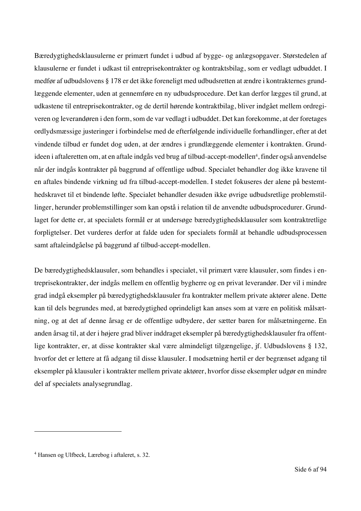Bæredygtighedsklausulerne er primært fundet i udbud af bygge- og anlægsopgaver. Størstedelen af klausulerne er fundet i udkast til entreprisekontrakter og kontraktsbilag, som er vedlagt udbuddet. I medfør af udbudslovens § 178 er det ikke foreneligt med udbudsretten at ændre i kontrakternes grundlæggende elementer, uden at gennemføre en ny udbudsprocedure. Det kan derfor lægges til grund, at udkastene til entreprisekontrakter, og de dertil hørende kontraktbilag, bliver indgået mellem ordregiveren og leverandøren i den form, som de var vedlagt i udbuddet. Det kan forekomme, at der foretages ordlydsmæssige justeringer i forbindelse med de efterfølgende individuelle forhandlinger, efter at det vindende tilbud er fundet dog uden, at der ændres i grundlæggende elementer i kontrakten. Grundideen i aftaleretten om, at en aftale indgås ved brug af tilbud-accept-modellen<sup>4</sup>, finder også anvendelse når der indgås kontrakter på baggrund af offentlige udbud. Specialet behandler dog ikke kravene til en aftales bindende virkning ud fra tilbud-accept-modellen. I stedet fokuseres der alene på bestemthedskravet til et bindende løfte. Specialet behandler desuden ikke øvrige udbudsretlige problemstillinger, herunder problemstillinger som kan opstå i relation til de anvendte udbudsprocedurer. Grundlaget for dette er, at specialets formål er at undersøge bæredygtighedsklausuler som kontraktretlige forpligtelser. Det vurderes derfor at falde uden for specialets formål at behandle udbudsprocessen samt aftaleindgåelse på baggrund af tilbud-accept-modellen.

De bæredygtighedsklausuler, som behandles i specialet, vil primært være klausuler, som findes i entreprisekontrakter, der indgås mellem en offentlig bygherre og en privat leverandør. Der vil i mindre grad indgå eksempler på bæredygtighedsklausuler fra kontrakter mellem private aktører alene. Dette kan til dels begrundes med, at bæredygtighed oprindeligt kan anses som at være en politisk målsætning, og at det af denne årsag er de offentlige udbydere, der sætter baren for målsætningerne. En anden årsag til, at der i højere grad bliver inddraget eksempler på bæredygtighedsklausuler fra offentlige kontrakter, er, at disse kontrakter skal være almindeligt tilgængelige, jf. Udbudslovens § 132, hvorfor det er lettere at få adgang til disse klausuler. I modsætning hertil er der begrænset adgang til eksempler på klausuler i kontrakter mellem private aktører, hvorfor disse eksempler udgør en mindre del af specialets analysegrundlag.

<sup>4</sup> Hansen og Ulfbeck, Lærebog i aftaleret, s. 32.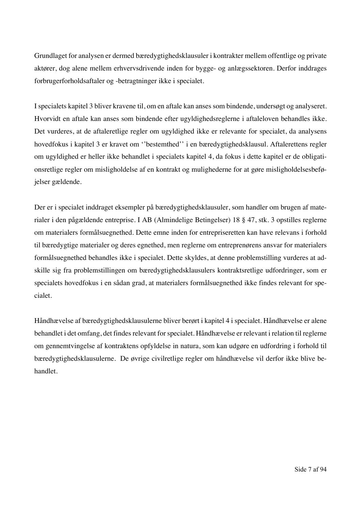Grundlaget for analysen er dermed bæredygtighedsklausuler i kontrakter mellem offentlige og private aktører, dog alene mellem erhvervsdrivende inden for bygge- og anlægssektoren. Derfor inddrages forbrugerforholdsaftaler og -betragtninger ikke i specialet.

I specialets kapitel 3 bliver kravene til, om en aftale kan anses som bindende, undersøgt og analyseret. Hvorvidt en aftale kan anses som bindende efter ugyldighedsreglerne i aftaleloven behandles ikke. Det vurderes, at de aftaleretlige regler om ugyldighed ikke er relevante for specialet, da analysens hovedfokus i kapitel 3 er kravet om ''bestemthed'' i en bæredygtighedsklausul. Aftalerettens regler om ugyldighed er heller ikke behandlet i specialets kapitel 4, da fokus i dette kapitel er de obligationsretlige regler om misligholdelse af en kontrakt og mulighederne for at gøre misligholdelsesbeføjelser gældende.

Der er i specialet inddraget eksempler på bæredygtighedsklausuler, som handler om brugen af materialer i den pågældende entreprise. I AB (Almindelige Betingelser) 18 § 47, stk. 3 opstilles reglerne om materialers formålsuegnethed. Dette emne inden for entrepriseretten kan have relevans i forhold til bæredygtige materialer og deres egnethed, men reglerne om entreprenørens ansvar for materialers formålsuegnethed behandles ikke i specialet. Dette skyldes, at denne problemstilling vurderes at adskille sig fra problemstillingen om bæredygtighedsklausulers kontraktsretlige udfordringer, som er specialets hovedfokus i en sådan grad, at materialers formålsuegnethed ikke findes relevant for specialet.

Håndhævelse af bæredygtighedsklausulerne bliver berørt i kapitel 4 i specialet. Håndhævelse er alene behandlet i det omfang, det findes relevant for specialet. Håndhævelse er relevant i relation til reglerne om gennemtvingelse af kontraktens opfyldelse in natura, som kan udgøre en udfordring i forhold til bæredygtighedsklausulerne. De øvrige civilretlige regler om håndhævelse vil derfor ikke blive behandlet.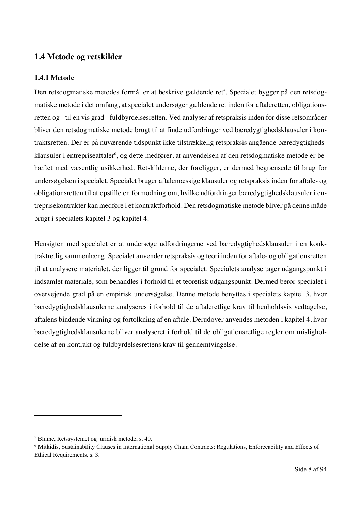## **1.4 Metode og retskilder**

#### **1.4.1 Metode**

Den retsdogmatiske metodes formål er at beskrive gældende ret<sup>s</sup>. Specialet bygger på den retsdogmatiske metode i det omfang, at specialet undersøger gældende ret inden for aftaleretten, obligationsretten og - til en vis grad - fuldbyrdelsesretten. Ved analyser af retspraksis inden for disse retsområder bliver den retsdogmatiske metode brugt til at finde udfordringer ved bæredygtighedsklausuler i kontraktsretten. Der er på nuværende tidspunkt ikke tilstrækkelig retspraksis angående bæredygtighedsklausuler i entrepriseaftaler<sup>6</sup>, og dette medfører, at anvendelsen af den retsdogmatiske metode er behæftet med væsentlig usikkerhed. Retskilderne, der foreligger, er dermed begrænsede til brug for undersøgelsen i specialet. Specialet bruger aftalemæssige klausuler og retspraksis inden for aftale- og obligationsretten til at opstille en formodning om, hvilke udfordringer bæredygtighedsklausuler i entreprisekontrakter kan medføre i et kontraktforhold. Den retsdogmatiske metode bliver på denne måde brugt i specialets kapitel 3 og kapitel 4.

Hensigten med specialet er at undersøge udfordringerne ved bæredygtighedsklausuler i en konktraktretlig sammenhæng. Specialet anvender retspraksis og teori inden for aftale- og obligationsretten til at analysere materialet, der ligger til grund for specialet. Specialets analyse tager udgangspunkt i indsamlet materiale, som behandles i forhold til et teoretisk udgangspunkt. Dermed beror specialet i overvejende grad på en empirisk undersøgelse. Denne metode benyttes i specialets kapitel 3, hvor bæredygtighedsklausulerne analyseres i forhold til de aftaleretlige krav til henholdsvis vedtagelse, aftalens bindende virkning og fortolkning af en aftale. Derudover anvendes metoden i kapitel 4, hvor bæredygtighedsklausulerne bliver analyseret i forhold til de obligationsretlige regler om misligholdelse af en kontrakt og fuldbyrdelsesrettens krav til gennemtvingelse.

<sup>5</sup> Blume, Retssystemet og juridisk metode, s. 40.

<sup>6</sup> Mitkidis, Sustainability Clauses in International Supply Chain Contracts: Regulations, Enforceability and Effects of Ethical Requirements, s. 3.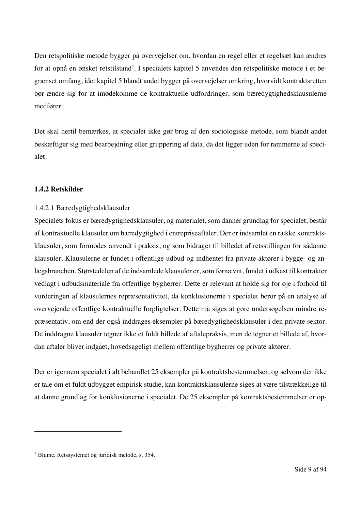Den retspolitiske metode bygger på overvejelser om, hvordan en regel eller et regelsæt kan ændres for at opnå en ønsket retstilstand<sup>7</sup>. I specialets kapitel 5 anvendes den retspolitiske metode i et begrænset omfang, idet kapitel 5 blandt andet bygger på overvejelser omkring, hvorvidt kontraktsretten bør ændre sig for at imødekomme de kontraktuelle udfordringer, som bæredygtighedsklausulerne medfører.

Det skal hertil bemærkes, at specialet ikke gør brug af den sociologiske metode, som blandt andet beskæftiger sig med bearbejdning eller gruppering af data, da det ligger uden for rammerne af specialet.

#### **1.4.2 Retskilder**

#### 1.4.2.1 Bæredygtighedsklausuler

Specialets fokus er bæredygtighedsklausuler, og materialet, som danner grundlag for specialet, består af kontraktuelle klausuler om bæredygtighed i entrepriseaftaler. Der er indsamlet en række kontraktsklausuler, som formodes anvendt i praksis, og som bidrager til billedet af retsstillingen for sådanne klausuler. Klausulerne er fundet i offentlige udbud og indhentet fra private aktører i bygge- og anlægsbranchen. Størstedelen af de indsamlede klausuler er, som førnævnt, fundet i udkast til kontrakter vedlagt i udbudsmateriale fra offentlige bygherrer. Dette er relevant at holde sig for øje i forhold til vurderingen af klausulernes repræsentativitet, da konklusionerne i specialet beror på en analyse af overvejende offentlige kontraktuelle forpligtelser. Dette må siges at gøre undersøgelsen mindre repræsentativ, om end der også inddrages eksempler på bæredygtighedsklausuler i den private sektor. De inddragne klausuler tegner ikke et fuldt billede af aftalepraksis, men de tegner et billede af, hvordan aftaler bliver indgået, hovedsageligt mellem offentlige bygherrer og private aktører.

Der er igennem specialet i alt behandlet 25 eksempler på kontraktsbestemmelser, og selvom der ikke er tale om et fuldt udbygget empirisk studie, kan kontraktsklausulerne siges at være tilstrækkelige til at danne grundlag for konklusionerne i specialet. De 25 eksempler på kontraktsbestemmelser er op-

<sup>7</sup> Blume, Retssystemet og juridisk metode, s. 354.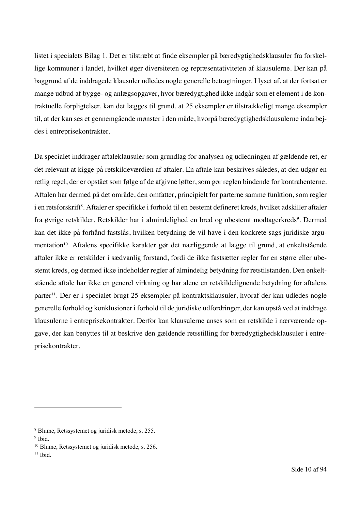listet i specialets Bilag 1. Det er tilstræbt at finde eksempler på bæredygtighedsklausuler fra forskellige kommuner i landet, hvilket øger diversiteten og repræsentativiteten af klausulerne. Der kan på baggrund af de inddragede klausuler udledes nogle generelle betragtninger. I lyset af, at der fortsat er mange udbud af bygge- og anlægsopgaver, hvor bæredygtighed ikke indgår som et element i de kontraktuelle forpligtelser, kan det lægges til grund, at 25 eksempler er tilstrækkeligt mange eksempler til, at der kan ses et gennemgående mønster i den måde, hvorpå bæredygtighedsklausulerne indarbejdes i entreprisekontrakter.

Da specialet inddrager aftaleklausuler som grundlag for analysen og udledningen af gældende ret, er det relevant at kigge på retskildeværdien af aftaler. En aftale kan beskrives således, at den udgør en retlig regel, der er opstået som følge af de afgivne løfter, som gør reglen bindende for kontrahenterne. Aftalen har dermed på det område, den omfatter, principielt for parterne samme funktion, som regler i en retsforskrift<sup>s</sup>. Aftaler er specifikke i forhold til en bestemt defineret kreds, hvilket adskiller aftaler fra øvrige retskilder. Retskilder har i almindelighed en bred og ubestemt modtagerkreds<sup>9</sup>. Dermed kan det ikke på forhånd fastslås, hvilken betydning de vil have i den konkrete sags juridiske argumentation<sup>10</sup>. Aftalens specifikke karakter gør det nærliggende at lægge til grund, at enkeltstående aftaler ikke er retskilder i sædvanlig forstand, fordi de ikke fastsætter regler for en større eller ubestemt kreds, og dermed ikke indeholder regler af almindelig betydning for retstilstanden. Den enkeltstående aftale har ikke en generel virkning og har alene en retskildelignende betydning for aftalens parter<sup>11</sup>. Der er i specialet brugt 25 eksempler på kontraktsklausuler, hvoraf der kan udledes nogle generelle forhold og konklusioner i forhold til de juridiske udfordringer, der kan opstå ved at inddrage klausulerne i entreprisekontrakter. Derfor kan klausulerne anses som en retskilde i nærværende opgave, der kan benyttes til at beskrive den gældende retsstilling for bæredygtighedsklausuler i entreprisekontrakter.

<sup>8</sup> Blume, Retssystemet og juridisk metode, s. 255.

 $9$  Ibid.

<sup>10</sup> Blume, Retssystemet og juridisk metode, s. 256.

 $11$  Ibid.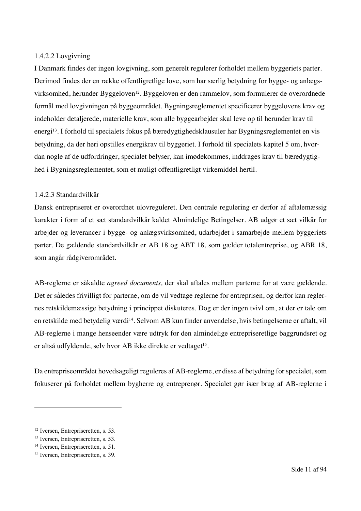#### 1.4.2.2 Lovgivning

I Danmark findes der ingen lovgivning, som generelt regulerer forholdet mellem byggeriets parter. Derimod findes der en række offentligretlige love, som har særlig betydning for bygge- og anlægsvirksomhed, herunder Byggeloven<sup>12</sup>. Byggeloven er den rammelov, som formulerer de overordnede formål med lovgivningen på byggeområdet. Bygningsreglementet specificerer byggelovens krav og indeholder detaljerede, materielle krav, som alle byggearbejder skal leve op til herunder krav til energi13. I forhold til specialets fokus på bæredygtighedsklausuler har Bygningsreglementet en vis betydning, da der heri opstilles energikrav til byggeriet. I forhold til specialets kapitel 5 om, hvordan nogle af de udfordringer, specialet belyser, kan imødekommes, inddrages krav til bæredygtighed i Bygningsreglementet, som et muligt offentligretligt virkemiddel hertil.

#### 1.4.2.3 Standardvilkår

Dansk entrepriseret er overordnet ulovreguleret. Den centrale regulering er derfor af aftalemæssig karakter i form af et sæt standardvilkår kaldet Almindelige Betingelser. AB udgør et sæt vilkår for arbejder og leverancer i bygge- og anlægsvirksomhed, udarbejdet i samarbejde mellem byggeriets parter. De gældende standardvilkår er AB 18 og ABT 18, som gælder totalentreprise, og ABR 18, som angår rådgiverområdet.

AB-reglerne er såkaldte *agreed documents,* der skal aftales mellem parterne for at være gældende. Det er således frivilligt for parterne, om de vil vedtage reglerne for entreprisen, og derfor kan reglernes retskildemæssige betydning i princippet diskuteres. Dog er der ingen tvivl om, at der er tale om en retskilde med betydelig værdi14. Selvom AB kun finder anvendelse, hvis betingelserne er aftalt, vil AB-reglerne i mange henseender være udtryk for den almindelige entrepriseretlige baggrundsret og er altså udfyldende, selv hvor AB ikke direkte er vedtaget<sup>15</sup>.

Da entrepriseområdet hovedsageligt reguleres af AB-reglerne, er disse af betydning for specialet, som fokuserer på forholdet mellem bygherre og entreprenør. Specialet gør især brug af AB-reglerne i

<sup>&</sup>lt;sup>12</sup> Iversen, Entrepriseretten, s. 53.

<sup>&</sup>lt;sup>13</sup> Iversen, Entrepriseretten, s. 53.

<sup>&</sup>lt;sup>14</sup> Iversen, Entrepriseretten, s. 51.

<sup>&</sup>lt;sup>15</sup> Iversen, Entrepriseretten, s. 39.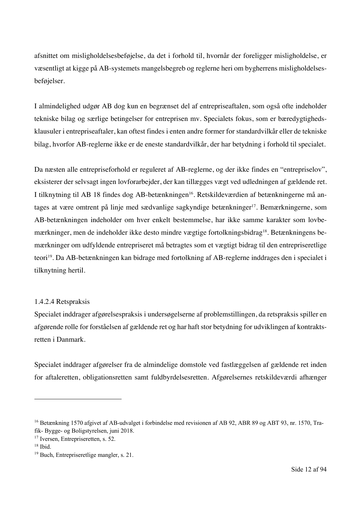afsnittet om misligholdelsesbeføjelse, da det i forhold til, hvornår der foreligger misligholdelse, er væsentligt at kigge på AB-systemets mangelsbegreb og reglerne heri om bygherrens misligholdelsesbeføjelser.

I almindelighed udgør AB dog kun en begrænset del af entrepriseaftalen, som også ofte indeholder tekniske bilag og særlige betingelser for entreprisen mv. Specialets fokus, som er bæredygtighedsklausuler i entrepriseaftaler, kan oftest findes i enten andre former for standardvilkår eller de tekniske bilag, hvorfor AB-reglerne ikke er de eneste standardvilkår, der har betydning i forhold til specialet.

Da næsten alle entrepriseforhold er reguleret af AB-reglerne, og der ikke findes en "entrepriselov", eksisterer der selvsagt ingen lovforarbejder, der kan tillægges vægt ved udledningen af gældende ret. I tilknytning til AB 18 findes dog AB-betænkningen<sup>16</sup>. Retskildeværdien af betænkningerne må antages at være omtrent på linje med sædvanlige sagkyndige betænkninger17. Bemærkningerne, som AB-betænkningen indeholder om hver enkelt bestemmelse, har ikke samme karakter som lovbemærkninger, men de indeholder ikke desto mindre vægtige fortolkningsbidrag<sup>18</sup>. Betænkningens bemærkninger om udfyldende entrepriseret må betragtes som et vægtigt bidrag til den entrepriseretlige teori19. Da AB-betænkningen kan bidrage med fortolkning af AB-reglerne inddrages den i specialet i tilknytning hertil.

#### 1.4.2.4 Retspraksis

Specialet inddrager afgørelsespraksis i undersøgelserne af problemstillingen, da retspraksis spiller en afgørende rolle for forståelsen af gældende ret og har haft stor betydning for udviklingen af kontraktsretten i Danmark.

Specialet inddrager afgørelser fra de almindelige domstole ved fastlæggelsen af gældende ret inden for aftaleretten, obligationsretten samt fuldbyrdelsesretten. Afgørelsernes retskildeværdi afhænger

<sup>16</sup> Betænkning 1570 afgivet af AB-udvalget i forbindelse med revisionen af AB 92, ABR 89 og ABT 93, nr. 1570, Trafik- Bygge- og Boligstyrelsen, juni 2018.

<sup>&</sup>lt;sup>17</sup> Iversen, Entrepriseretten, s. 52.

 $18$  Ibid.

<sup>19</sup> Buch, Entrepriseretlige mangler, s. 21.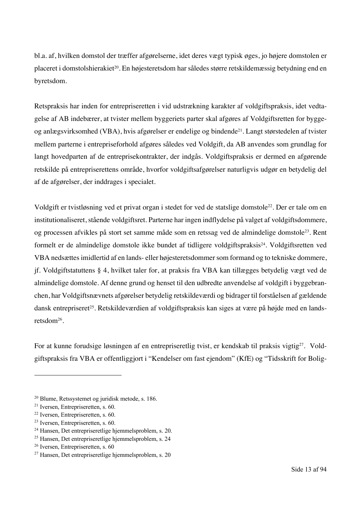bl.a. af, hvilken domstol der træffer afgørelserne, idet deres vægt typisk øges, jo højere domstolen er placeret i domstolshierakiet20. En højesteretsdom har således større retskildemæssig betydning end en byretsdom.

Retspraksis har inden for entrepriseretten i vid udstrækning karakter af voldgiftspraksis, idet vedtagelse af AB indebærer, at tvister mellem byggeriets parter skal afgøres af Voldgiftsretten for byggeog anlægsvirksomhed (VBA), hvis afgørelser er endelige og bindende21. Langt størstedelen af tvister mellem parterne i entrepriseforhold afgøres således ved Voldgift, da AB anvendes som grundlag for langt hovedparten af de entreprisekontrakter, der indgås. Voldgiftspraksis er dermed en afgørende retskilde på entrepriserettens område, hvorfor voldgiftsafgørelser naturligvis udgør en betydelig del af de afgørelser, der inddrages i specialet.

Voldgift er tvistløsning ved et privat organ i stedet for ved de statslige domstole22. Der er tale om en institutionaliseret, stående voldgiftsret. Parterne har ingen indflydelse på valget af voldgiftsdommere, og processen afvikles på stort set samme måde som en retssag ved de almindelige domstole23. Rent formelt er de almindelige domstole ikke bundet af tidligere voldgiftspraksis<sup>24</sup>. Voldgiftsretten ved VBA nedsættes imidlertid af en lands- eller højesteretsdommer som formand og to tekniske dommere, jf. Voldgiftstatuttens § 4, hvilket taler for, at praksis fra VBA kan tillægges betydelig vægt ved de almindelige domstole. Af denne grund og henset til den udbredte anvendelse af voldgift i byggebranchen, har Voldgiftsnævnets afgørelser betydelig retskildeværdi og bidrager til forståelsen af gældende dansk entrepriseret<sup>25</sup>. Retskildeværdien af voldgiftspraksis kan siges at være på højde med en landsretsdom26.

For at kunne forudsige løsningen af en entrepriseretlig tvist, er kendskab til praksis vigtig<sup>27</sup>. Voldgiftspraksis fra VBA er offentliggjort i "Kendelser om fast ejendom" (KfE) og "Tidsskrift for Bolig-

<sup>20</sup> Blume, Retssystemet og juridisk metode, s. 186.

<sup>21</sup> Iversen, Entrepriseretten, s. 60.

<sup>22</sup> Iversen, Entrepriseretten, s. 60.

<sup>23</sup> Iversen, Entrepriseretten, s. 60.

<sup>&</sup>lt;sup>24</sup> Hansen, Det entrepriseretlige hjemmelsproblem, s. 20.

<sup>&</sup>lt;sup>25</sup> Hansen, Det entrepriseretlige hjemmelsproblem, s. 24

<sup>26</sup> Iversen, Entrepriseretten, s. 60

<sup>27</sup> Hansen, Det entrepriseretlige hjemmelsproblem, s. 20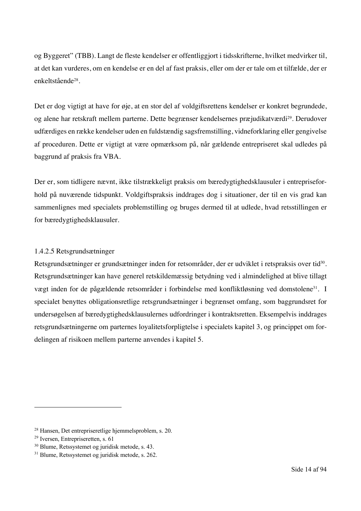og Byggeret" (TBB). Langt de fleste kendelser er offentliggjort i tidsskrifterne, hvilket medvirker til, at det kan vurderes, om en kendelse er en del af fast praksis, eller om der er tale om et tilfælde, der er enkeltstående28.

Det er dog vigtigt at have for øje, at en stor del af voldgiftsrettens kendelser er konkret begrundede, og alene har retskraft mellem parterne. Dette begrænser kendelsernes præjudikatværdi29. Derudover udfærdiges en række kendelser uden en fuldstændig sagsfremstilling, vidneforklaring eller gengivelse af proceduren. Dette er vigtigt at være opmærksom på, når gældende entrepriseret skal udledes på baggrund af praksis fra VBA.

Der er, som tidligere nævnt, ikke tilstrækkeligt praksis om bæredygtighedsklausuler i entrepriseforhold på nuværende tidspunkt. Voldgiftspraksis inddrages dog i situationer, der til en vis grad kan sammenlignes med specialets problemstilling og bruges dermed til at udlede, hvad retsstillingen er for bæredygtighedsklausuler.

#### 1.4.2.5 Retsgrundsætninger

Retsgrundsætninger er grundsætninger inden for retsområder, der er udviklet i retspraksis over tid<sup>30</sup>. Retsgrundsætninger kan have generel retskildemæssig betydning ved i almindelighed at blive tillagt vægt inden for de pågældende retsområder i forbindelse med konfliktløsning ved domstolene<sup>31</sup>. I specialet benyttes obligationsretlige retsgrundsætninger i begrænset omfang, som baggrundsret for undersøgelsen af bæredygtighedsklausulernes udfordringer i kontraktsretten. Eksempelvis inddrages retsgrundsætningerne om parternes loyalitetsforpligtelse i specialets kapitel 3, og princippet om fordelingen af risikoen mellem parterne anvendes i kapitel 5.

<sup>&</sup>lt;sup>28</sup> Hansen, Det entrepriseretlige hiemmelsproblem, s. 20.

<sup>29</sup> Iversen, Entrepriseretten, s. 61

<sup>30</sup> Blume, Retssystemet og juridisk metode, s. 43.

<sup>31</sup> Blume, Retssystemet og juridisk metode, s. 262.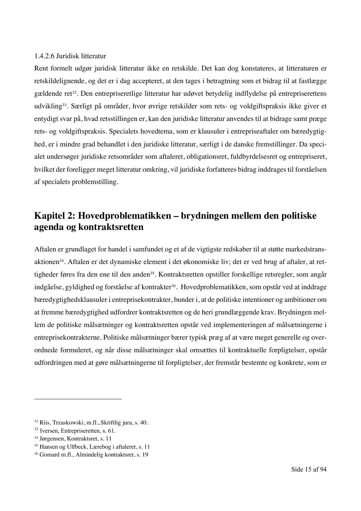#### 1.4.2.6 Juridisk litteratur

Rent formelt udgør juridisk litteratur ikke en retskilde. Det kan dog konstateres, at litteraturen er retskildelignende, og det er i dag accepteret, at den tages i betragtning som et bidrag til at fastlægge gældende ret<sup>32</sup>. Den entrepriseretlige litteratur har udøvet betydelig indflydelse på entrepriserettens udvikling33. Særligt på områder, hvor øvrige retskilder som rets- og voldgiftspraksis ikke giver et entydigt svar på, hvad retsstillingen er, kan den juridiske litteratur anvendes til at bidrage samt præge rets- og voldgiftspraksis. Specialets hovedtema, som er klausuler i entrepriseaftaler om bæredygtighed, er i mindre grad behandlet i den juridiske litteratur, særligt i de danske fremstillinger. Da specialet undersøger juridiske retsområder som aftaleret, obligationsret, fuldbyrdelsesret og entrepriseret, hvilket der foreligger meget litteratur omkring, vil juridiske forfatteres bidrag inddrages til forståelsen af specialets problemstilling.

# **Kapitel 2: Hovedproblematikken – brydningen mellem den politiske agenda og kontraktsretten**

Aftalen er grundlaget for handel i samfundet og et af de vigtigste redskaber til at støtte markedstransaktionen34. Aftalen er det dynamiske element i det økonomiske liv; det er ved brug af aftaler, at rettigheder føres fra den ene til den anden<sup>35</sup>. Kontraktsretten opstiller forskellige retsregler, som angår indgåelse, gyldighed og forståelse af kontrakter<sup>36</sup>. Hovedproblematikken, som opstår ved at inddrage bæredygtighedsklausuler i entreprisekontrakter, bunder i, at de politiske intentioner og ambitioner om at fremme bæredygtighed udfordrer kontraktsretten og de heri grundlæggende krav. Brydningen mellem de politiske målsætninger og kontraktsretten opstår ved implementeringen af målsætningerne i entreprisekontrakterne. Politiske målsætninger bærer typisk præg af at være meget generelle og overordnede formuleret, og når disse målsætninger skal omsættes til kontraktuelle forpligtelser, opstår udfordringen med at gøre målsætningerne til forpligtelser, der fremstår bestemte og konkrete, som er

<sup>32</sup> Riis, Trzaskowski, m.fl., Skriftlig jura, s. 40.

<sup>&</sup>lt;sup>33</sup> Iversen, Entrepriseretten, s. 61.

<sup>34</sup> Jørgensen, Kontraktsret, s. 11

<sup>35</sup> Hansen og Ulfbeck, Lærebog i aftaleret, s. 11

<sup>36</sup> Gomard m.fl., Almindelig kontraktsret, s. 19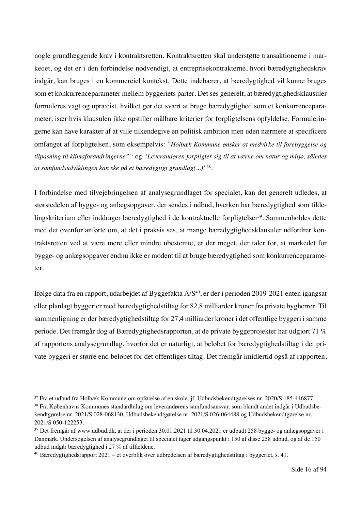nogle grundlæggende krav i kontraktsretten. Kontraktsretten skal understøtte transaktionerne i markedet, og det er i den forbindelse nødvendigt, at entreprisekontrakterne, hvori bæredygtighedskrav indgår, kan bruges i en kommerciel kontekst. Dette indebærer, at bæredygtighed vil kunne bruges som et konkurrenceparameter mellem byggeriets parter. Det ses generelt, at bæredygtighedsklausuler formuleres vagt og upræcist, hvilket gør det svært at bruge bæredygtighed som et konkurrenceparameter, især hvis klausulen ikke opstiller målbare kriterier for forpligtelsens opfyldelse. Formuleringerne kan have karakter af at ville tilkendegive en politisk ambition men uden nærmere at specificere omfanget af forpligtelsen, som eksempelvis: "*Holbæk Kommune ønsker at medvirke til forebyggelse og tilpasning til klimaforandringerne"*<sup>37</sup> og *"Leverandøren forpligter sig til at værne om natur og miljø, således at samfundsudviklingen kan ske på et bæredygtigt grundlag(...)"*38.

I forbindelse med tilvejebringelsen af analysegrundlaget for specialet, kan det generelt udledes, at størstedelen af bygge- og anlægsopgaver, der sendes i udbud, hverken har bæredygtighed som tildelingskriterium eller inddrager bæredygtighed i de kontraktuelle forpligtelser<sup>39</sup>. Sammenholdes dette med det ovenfor anførte om, at det i praksis ses, at mange bæredygtighedsklausuler udfordrer kontraktsretten ved at være mere eller mindre ubestemte, er der meget, der taler for, at markedet for bygge- og anlægsopgaver endnu ikke er modent til at bruge bæredygtighed som konkurrenceparameter.

Ifølge data fra en rapport, udarbejdet af Byggefakta A/S<sup>40</sup>, er der i perioden 2019-2021 enten igangsat eller planlagt byggerier med bæredygtighedstiltag for 82,8 milliarder kroner fra private bygherrer. Til sammenligning er der bæredygtighedstiltag for 27,4 milliarder kroner i det offentlige byggeri i samme periode. Det fremgår dog af Bæredygtighedsrapporten, at de private byggeprojekter har udgjort 71 % af rapportens analysegrundlag, hvorfor det er naturligt, at beløbet for bæredygtighedstiltag i det private byggeri er større end beløbet for det offentliges tiltag. Det fremgår imidlertid også af rapporten,

<sup>37</sup> Fra et udbud fra Holbæk Kommune om opførelse af en skole, jf. Udbudsbekendtgørelses nr. 2020/S 185-446877.

<sup>38</sup> Fra Københavns Kommunes standardbilag om leverandørens samfundsansvar, som blandt andet indgår i Udbudsbekendtgørelse nr. 2021/S 028-068130, Udbudsbekendtgørelse nr. 2021/S 026-064488 og Udbudsbekendtgørelse nr. 2021/S 050-122253.

<sup>39</sup> Det fremgår af www.udbud.dk, at der i perioden 30.01.2021 til 30.04.2021 er udbudt 258 bygge- og anlægsopgaver i Danmark. Undersøgelsen af analysegrundlaget til specialet tager udgangspunkt i 150 af disse 258 udbud, og af de 150 udbud indgår bæredygtighed i 27 % af tilfældene.

 $40$  Bæredygtighedsrapport 2021 – et overblik over udbredelsen af bæredygtighedstiltag i byggeriet, s. 41.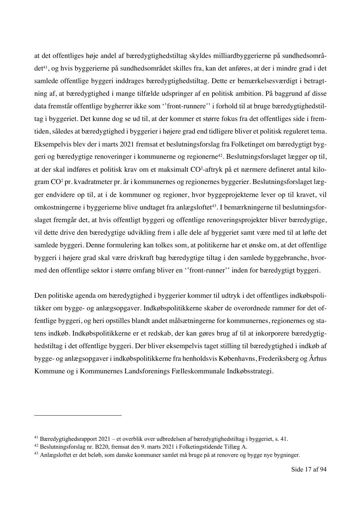at det offentliges høje andel af bæredygtighedstiltag skyldes milliardbyggerierne på sundhedsområdet<sup>41</sup>, og hvis byggerierne på sundhedsområdet skilles fra, kan det anføres, at der i mindre grad i det samlede offentlige byggeri inddrages bæredygtighedstiltag. Dette er bemærkelsesværdigt i betragtning af, at bæredygtighed i mange tilfælde udspringer af en politisk ambition. På baggrund af disse data fremstår offentlige bygherrer ikke som ''front-runnere'' i forhold til at bruge bæredygtighedstiltag i byggeriet. Det kunne dog se ud til, at der kommer et større fokus fra det offentliges side i fremtiden, således at bæredygtighed i byggerier i højere grad end tidligere bliver et politisk reguleret tema. Eksempelvis blev der i marts 2021 fremsat et beslutningsforslag fra Folketinget om bæredygtigt byggeri og bæredygtige renoveringer i kommunerne og regionerne<sup>42</sup>. Beslutningsforslaget lægger op til, at der skal indføres et politisk krav om et maksimalt CO2 -aftryk på et nærmere defineret antal kilogram CO2 pr. kvadratmeter pr. år i kommunernes og regionernes byggerier. Beslutningsforslaget lægger endvidere op til, at i de kommuner og regioner, hvor byggeprojekterne lever op til kravet, vil omkostningerne i byggerierne blive undtaget fra anlægsloftet<sup>43</sup>. I bemærkningerne til beslutningsforslaget fremgår det, at hvis offentligt byggeri og offentlige renoveringsprojekter bliver bæredygtige, vil dette drive den bæredygtige udvikling frem i alle dele af byggeriet samt være med til at løfte det samlede byggeri. Denne formulering kan tolkes som, at politikerne har et ønske om, at det offentlige byggeri i højere grad skal være drivkraft bag bæredygtige tiltag i den samlede byggebranche, hvormed den offentlige sektor i større omfang bliver en ''front-runner'' inden for bæredygtigt byggeri.

Den politiske agenda om bæredygtighed i byggerier kommer til udtryk i det offentliges indkøbspolitikker om bygge- og anlægsopgaver. Indkøbspolitikkerne skaber de overordnede rammer for det offentlige byggeri, og heri opstilles blandt andet målsætningerne for kommunernes, regionernes og statens indkøb. Indkøbspolitikkerne er et redskab, der kan gøres brug af til at inkorporere bæredygtighedstiltag i det offentlige byggeri. Der bliver eksempelvis taget stilling til bæredygtighed i indkøb af bygge- og anlægsopgaver i indkøbspolitikkerne fra henholdsvis Københavns, Frederiksberg og Århus Kommune og i Kommunernes Landsforenings Fælleskommunale Indkøbsstrategi.

<sup>41</sup> Bæredygtighedsrapport 2021 – et overblik over udbredelsen af bæredygtighedstiltag i byggeriet, s. 41.

<sup>42</sup> Beslutningsforslag nr. B220, fremsat den 9. marts 2021 i Folketingstidende Tillæg A.

<sup>43</sup> Anlægsloftet er det beløb, som danske kommuner samlet må bruge på at renovere og bygge nye bygninger.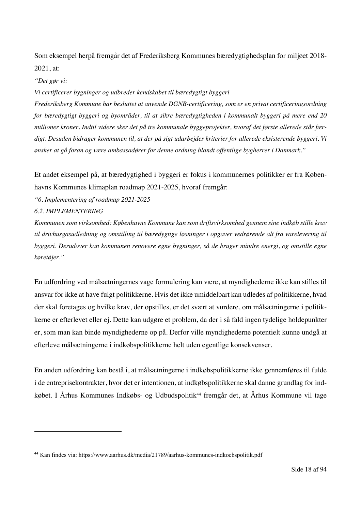Som eksempel herpå fremgår det af Frederiksberg Kommunes bæredygtighedsplan for miljøet 2018- 2021, at:

*"Det gør vi:*

*Vi certificerer bygninger og udbreder kendskabet til bæredygtigt byggeri* 

*Frederiksberg Kommune har besluttet at anvende DGNB-certificering, som er en privat certificeringsordning for bæredygtigt byggeri og byområder, til at sikre bæredygtigheden i kommunalt byggeri på mere end 20 millioner kroner. Indtil videre sker det på tre kommunale byggeprojekter, hvoraf det første allerede står færdigt. Desuden bidrager kommunen til, at der på sigt udarbejdes kriterier for allerede eksisterende byggeri. Vi ønsker at gå foran og være ambassadører for denne ordning blandt offentlige bygherrer i Danmark."*

Et andet eksempel på, at bæredygtighed i byggeri er fokus i kommunernes politikker er fra Københavns Kommunes klimaplan roadmap 2021-2025, hvoraf fremgår:

*"6. Implementering af roadmap 2021-2025*

*6.2. IMPLEMENTERING*

*Kommunen som virksomhed: Københavns Kommune kan som driftsvirksomhed gennem sine indkøb stille krav til drivhusgasudledning og omstilling til bæredygtige løsninger i opgaver vedrørende alt fra varelevering til byggeri. Derudover kan kommunen renovere egne bygninger, så de bruger mindre energi, og omstille egne køretøjer."*

En udfordring ved målsætningernes vage formulering kan være, at myndighederne ikke kan stilles til ansvar for ikke at have fulgt politikkerne. Hvis det ikke umiddelbart kan udledes af politikkerne, hvad der skal foretages og hvilke krav, der opstilles, er det svært at vurdere, om målsætningerne i politikkerne er efterlevet eller ej. Dette kan udgøre et problem, da der i så fald ingen tydelige holdepunkter er, som man kan binde myndighederne op på. Derfor ville myndighederne potentielt kunne undgå at efterleve målsætningerne i indkøbspolitikkerne helt uden egentlige konsekvenser.

En anden udfordring kan bestå i, at målsætningerne i indkøbspolitikkerne ikke gennemføres til fulde i de entreprisekontrakter, hvor det er intentionen, at indkøbspolitikkerne skal danne grundlag for indkøbet. I Århus Kommunes Indkøbs- og Udbudspolitik<sup>44</sup> fremgår det, at Århus Kommune vil tage

<sup>44</sup> Kan findes via: https://www.aarhus.dk/media/21789/aarhus-kommunes-indkoebspolitik.pdf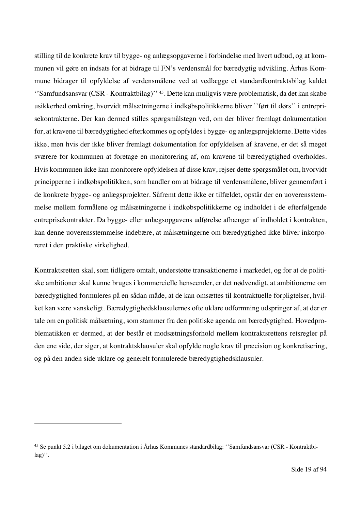stilling til de konkrete krav til bygge- og anlægsopgaverne i forbindelse med hvert udbud, og at kommunen vil gøre en indsats for at bidrage til FN's verdensmål for bæredygtig udvikling. Århus Kommune bidrager til opfyldelse af verdensmålene ved at vedlægge et standardkontraktsbilag kaldet ''Samfundsansvar (CSR - Kontraktbilag)'' 45. Dette kan muligvis være problematisk, da det kan skabe usikkerhed omkring, hvorvidt målsætningerne i indkøbspolitikkerne bliver ''ført til dørs'' i entreprisekontrakterne. Der kan dermed stilles spørgsmålstegn ved, om der bliver fremlagt dokumentation for, at kravene til bæredygtighed efterkommes og opfyldes i bygge- og anlægsprojekterne. Dette vides ikke, men hvis der ikke bliver fremlagt dokumentation for opfyldelsen af kravene, er det så meget sværere for kommunen at foretage en monitorering af, om kravene til bæredygtighed overholdes. Hvis kommunen ikke kan monitorere opfyldelsen af disse krav, rejser dette spørgsmålet om, hvorvidt principperne i indkøbspolitikken, som handler om at bidrage til verdensmålene, bliver gennemført i de konkrete bygge- og anlægsprojekter. Såfremt dette ikke er tilfældet, opstår der en uoverensstemmelse mellem formålene og målsætningerne i indkøbspolitikkerne og indholdet i de efterfølgende entreprisekontrakter. Da bygge- eller anlægsopgavens udførelse afhænger af indholdet i kontrakten, kan denne uoverensstemmelse indebære, at målsætningerne om bæredygtighed ikke bliver inkorporeret i den praktiske virkelighed.

Kontraktsretten skal, som tidligere omtalt, understøtte transaktionerne i markedet, og for at de politiske ambitioner skal kunne bruges i kommercielle henseender, er det nødvendigt, at ambitionerne om bæredygtighed formuleres på en sådan måde, at de kan omsættes til kontraktuelle forpligtelser, hvilket kan være vanskeligt. Bæredygtighedsklausulernes ofte uklare udformning udspringer af, at der er tale om en politisk målsætning, som stammer fra den politiske agenda om bæredygtighed. Hovedproblematikken er dermed, at der består et modsætningsforhold mellem kontraktsrettens retsregler på den ene side, der siger, at kontraktsklausuler skal opfylde nogle krav til præcision og konkretisering, og på den anden side uklare og generelt formulerede bæredygtighedsklausuler.

<sup>45</sup> Se punkt 5.2 i bilaget om dokumentation i Århus Kommunes standardbilag: ''Samfundsansvar (CSR - Kontraktbi- $\log$ )'.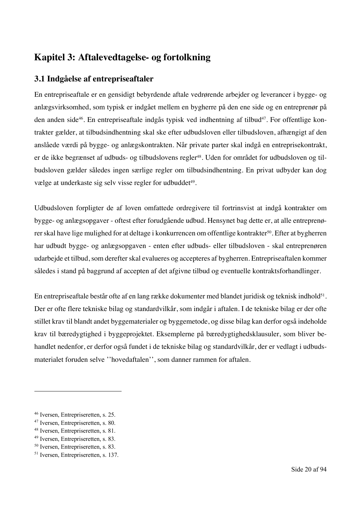# **Kapitel 3: Aftalevedtagelse- og fortolkning**

# **3.1 Indgåelse af entrepriseaftaler**

En entrepriseaftale er en gensidigt bebyrdende aftale vedrørende arbejder og leverancer i bygge- og anlægsvirksomhed, som typisk er indgået mellem en bygherre på den ene side og en entreprenør på den anden side<sup>46</sup>. En entrepriseaftale indgås typisk ved indhentning af tilbud<sup>47</sup>. For offentlige kontrakter gælder, at tilbudsindhentning skal ske efter udbudsloven eller tilbudsloven, afhængigt af den anslåede værdi på bygge- og anlægskontrakten. Når private parter skal indgå en entreprisekontrakt, er de ikke begrænset af udbuds- og tilbudslovens regler<sup>48</sup>. Uden for området for udbudsloven og tilbudsloven gælder således ingen særlige regler om tilbudsindhentning. En privat udbyder kan dog vælge at underkaste sig selv visse regler for udbuddet<sup>49</sup>.

Udbudsloven forpligter de af loven omfattede ordregivere til fortrinsvist at indgå kontrakter om bygge- og anlægsopgaver - oftest efter forudgående udbud. Hensynet bag dette er, at alle entreprenører skal have lige mulighed for at deltage i konkurrencen om offentlige kontrakter<sup>50</sup>. Efter at bygherren har udbudt bygge- og anlægsopgaven - enten efter udbuds- eller tilbudsloven - skal entreprenøren udarbejde et tilbud, som derefter skal evalueres og accepteres af bygherren. Entrepriseaftalen kommer således i stand på baggrund af accepten af det afgivne tilbud og eventuelle kontraktsforhandlinger.

En entrepriseaftale består ofte af en lang række dokumenter med blandet juridisk og teknisk indhold<sup>51</sup>. Der er ofte flere tekniske bilag og standardvilkår, som indgår i aftalen. I de tekniske bilag er der ofte stillet krav til blandt andet byggematerialer og byggemetode, og disse bilag kan derfor også indeholde krav til bæredygtighed i byggeprojektet. Eksemplerne på bæredygtighedsklausuler, som bliver behandlet nedenfor, er derfor også fundet i de tekniske bilag og standardvilkår, der er vedlagt i udbudsmaterialet foruden selve ''hovedaftalen'', som danner rammen for aftalen.

<sup>46</sup> Iversen, Entrepriseretten, s. 25.

<sup>47</sup> Iversen, Entrepriseretten, s. 80.

<sup>48</sup> Iversen, Entrepriseretten, s. 81.

<sup>49</sup> Iversen, Entrepriseretten, s. 83.

<sup>50</sup> Iversen, Entrepriseretten, s. 83.

<sup>51</sup> Iversen, Entrepriseretten, s. 137.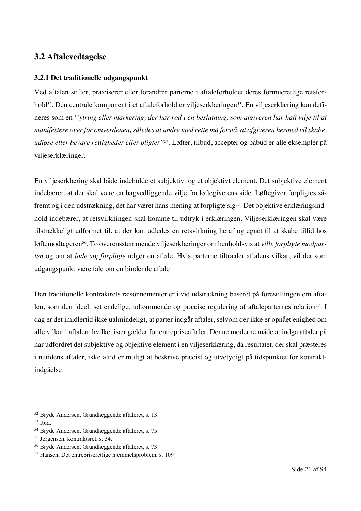## **3.2 Aftalevedtagelse**

#### **3.2.1 Det traditionelle udgangspunkt**

Ved aftalen stifter, præciserer eller forandrer parterne i aftaleforholdet deres formueretlige retsforhold<sup>52</sup>. Den centrale komponent i et aftaleforhold er viljeserklæringen<sup>53</sup>. En viljeserklæring kan defineres som en ''*ytring eller markering, der har rod i en beslutning, som afgiveren har haft vilje til at manifestere over for omverdenen, således at andre med rette må forstå, at afgiveren hermed vil skabe, udløse eller bevare rettigheder eller pligter"*54*.* Løfter, tilbud, accepter og påbud er alle eksempler på viljeserklæringer.

En viljeserklæring skal både indeholde et subjektivt og et objektivt element. Det subjektive element indebærer, at der skal være en bagvedliggende vilje fra løftegiverens side. Løftegiver forpligtes såfremt og i den udstrækning, det har været hans mening at forpligte sig<sup>55</sup>. Det objektive erklæringsindhold indebærer, at retsvirkningen skal komme til udtryk i erklæringen. Viljeserklæringen skal være tilstrækkeligt udformet til, at der kan udledes en retsvirkning heraf og egnet til at skabe tillid hos løftemodtageren<sup>56</sup>. To overensstemmende viljeserklæringer om henholdsvis at *ville forpligte modparten* og om at *lade sig forpligte* udgør en aftale. Hvis parterne tiltræder aftalens vilkår, vil der som udgangspunkt være tale om en bindende aftale.

Den traditionelle kontraktrets ræsonnementer er i vid udstrækning baseret på forestillingen om aftalen, som den ideelt set endelige, udtømmende og præcise regulering af aftaleparternes relation<sup>57</sup>. I dag er det imidlertid ikke ualmindeligt, at parter indgår aftaler, selvom der ikke er opnået enighed om alle vilkår i aftalen, hvilket især gælder for entrepriseaftaler. Denne moderne måde at indgå aftaler på har udfordret det subjektive og objektive element i en viljeserklæring, da resultatet, der skal præsteres i nutidens aftaler, ikke altid er muligt at beskrive præcist og utvetydigt på tidspunktet for kontraktindgåelse.

<sup>52</sup> Bryde Andersen, Grundlæggende aftaleret, s. 13.

<sup>53</sup> Ibid.

<sup>54</sup> Bryde Andersen, Grundlæggende aftaleret, s. 75.

<sup>55</sup> Jørgensen, kontraktsret, s. 34.

<sup>56</sup> Bryde Andersen, Grundlæggende aftaleret, s. 73.

<sup>57</sup> Hansen, Det entrepriseretlige hjemmelsproblem, s. 109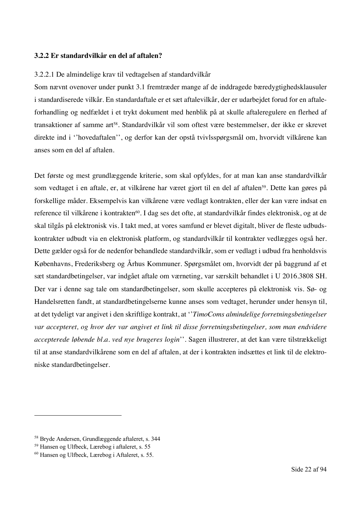#### **3.2.2 Er standardvilkår en del af aftalen?**

#### 3.2.2.1 De almindelige krav til vedtagelsen af standardvilkår

Som nævnt ovenover under punkt 3.1 fremtræder mange af de inddragede bæredygtighedsklausuler i standardiserede vilkår. En standardaftale er et sæt aftalevilkår, der er udarbejdet forud for en aftaleforhandling og nedfældet i et trykt dokument med henblik på at skulle aftaleregulere en flerhed af transaktioner af samme art<sup>58</sup>. Standardvilkår vil som oftest være bestemmelser, der ikke er skrevet direkte ind i ''hovedaftalen'', og derfor kan der opstå tvivlsspørgsmål om, hvorvidt vilkårene kan anses som en del af aftalen.

Det første og mest grundlæggende kriterie, som skal opfyldes, for at man kan anse standardvilkår som vedtaget i en aftale, er, at vilkårene har været gjort til en del af aftalen<sup>59</sup>. Dette kan gøres på forskellige måder. Eksempelvis kan vilkårene være vedlagt kontrakten, eller der kan være indsat en reference til vilkårene i kontrakten<sup>60</sup>. I dag ses det ofte, at standardvilkår findes elektronisk, og at de skal tilgås på elektronisk vis. I takt med, at vores samfund er blevet digitalt, bliver de fleste udbudskontrakter udbudt via en elektronisk platform, og standardvilkår til kontrakter vedlægges også her. Dette gælder også for de nedenfor behandlede standardvilkår, som er vedlagt i udbud fra henholdsvis Københavns, Frederiksberg og Århus Kommuner. Spørgsmålet om, hvorvidt der på baggrund af et sæt standardbetingelser, var indgået aftale om værneting, var særskilt behandlet i U 2016.3808 SH. Der var i denne sag tale om standardbetingelser, som skulle accepteres på elektronisk vis. Sø- og Handelsretten fandt, at standardbetingelserne kunne anses som vedtaget, herunder under hensyn til, at det tydeligt var angivet i den skriftlige kontrakt, at ''*TimoComs almindelige forretningsbetingelser var accepteret, og hvor der var angivet et link til disse forretningsbetingelser, som man endvidere accepterede løbende bl.a. ved nye brugeres login*''. Sagen illustrerer, at det kan være tilstrækkeligt til at anse standardvilkårene som en del af aftalen, at der i kontrakten indsættes et link til de elektroniske standardbetingelser.

<sup>58</sup> Bryde Andersen, Grundlæggende aftaleret, s. 344

<sup>59</sup> Hansen og Ulfbeck, Lærebog i aftaleret, s. 55

<sup>60</sup> Hansen og Ulfbeck, Lærebog i Aftaleret, s. 55.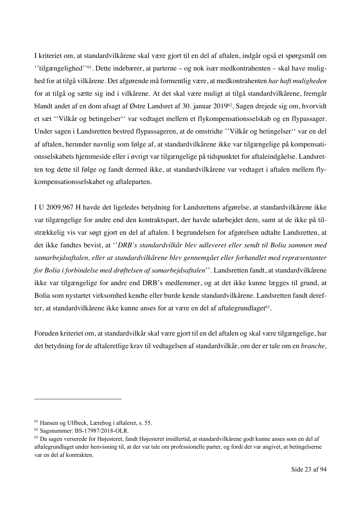I kriteriet om, at standardvilkårene skal være gjort til en del af aftalen, indgår også et spørgsmål om ''tilgængelighed''61. Dette indebærer, at parterne – og nok især medkontrahenten – skal have mulighed for at tilgå vilkårene. Det afgørende må formentlig være, at medkontrahenten *har haft muligheden* for at tilgå og sætte sig ind i vilkårene. At det skal være muligt at tilgå standardvilkårene, fremgår blandt andet af en dom afsagt af Østre Landsret af 30. januar 201962. Sagen drejede sig om, hvorvidt et sæt ''Vilkår og betingelser'' var vedtaget mellem et flykompensationsselskab og en flypassager. Under sagen i Landsretten bestred flypassageren, at de omstridte ''Vilkår og betingelser'' var en del af aftalen, herunder navnlig som følge af, at standardvilkårene ikke var tilgængelige på kompensationsselskabets hjemmeside eller i øvrigt var tilgængelige på tidspunktet for aftaleindgåelse. Landsretten tog dette til følge og fandt dermed ikke, at standardvilkårene var vedtaget i aftalen mellem flykompensationsselskabet og aftaleparten.

I U 2009.967 H havde det ligeledes betydning for Landsrettens afgørelse, at standardvilkårene ikke var tilgængelige for andre end den kontraktspart, der havde udarbejdet dem, samt at de ikke på tilstrækkelig vis var søgt gjort en del af aftalen. I begrundelsen for afgørelsen udtalte Landsretten, at det ikke fandtes bevist, at ''*DRB's standardvilkår blev udleveret eller sendt til Bolia sammen med samarbejdsaftalen, eller at standardvilkårene blev gennemgået eller forhandlet med repræsentanter for Bolia i forbindelse med drøftelsen af samarbejdsaftalen*''. Landsretten fandt, at standardvilkårene ikke var tilgængelige for andre end DRB's medlemmer, og at det ikke kunne lægges til grund, at Bolia som nystartet virksomhed kendte eller burde kende standardvilkårene. Landsretten fandt derefter, at standardvilkårene ikke kunne anses for at være en del af aftalegrundlaget<sup>63</sup>.

Foruden kriteriet om, at standardvilkår skal være gjort til en del aftalen og skal være tilgængelige, har det betydning for de aftaleretlige krav til vedtagelsen af standardvilkår, om der er tale om en *branche,* 

<sup>61</sup> Hansen og Ulfbeck, Lærebog i aftaleret, s. 55.

<sup>62</sup> Sagsnummer: BS-17987/2018-OLR.

<sup>63</sup> Da sagen verserede for Højesteret, fandt Højesteret imidlertid, at standardvilkårene godt kunne anses som en del af aftalegrundlaget under henvisning til, at der var tale om professionelle parter, og fordi det var angivet, at betingelserne var en del af kontrakten.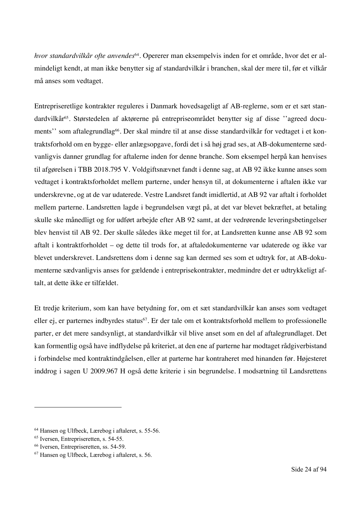*hvor standardvilkår ofte anvendes*64. Opererer man eksempelvis inden for et område, hvor det er almindeligt kendt, at man ikke benytter sig af standardvilkår i branchen, skal der mere til, før et vilkår må anses som vedtaget.

Entrepriseretlige kontrakter reguleres i Danmark hovedsageligt af AB-reglerne, som er et sæt standardvilkår65. Størstedelen af aktørerne på entrepriseområdet benytter sig af disse ''agreed documents'' som aftalegrundlag<sup>66</sup>. Der skal mindre til at anse disse standardvilkår for vedtaget i et kontraktsforhold om en bygge- eller anlægsopgave, fordi det i så høj grad ses, at AB-dokumenterne sædvanligvis danner grundlag for aftalerne inden for denne branche. Som eksempel herpå kan henvises til afgørelsen i TBB 2018.795 V. Voldgiftsnævnet fandt i denne sag, at AB 92 ikke kunne anses som vedtaget i kontraktsforholdet mellem parterne, under hensyn til, at dokumenterne i aftalen ikke var underskrevne, og at de var udaterede. Vestre Landsret fandt imidlertid, at AB 92 var aftalt i forholdet mellem parterne. Landsretten lagde i begrundelsen vægt på, at det var blevet bekræftet, at betaling skulle ske månedligt og for udført arbejde efter AB 92 samt, at der vedrørende leveringsbetingelser blev henvist til AB 92. Der skulle således ikke meget til for, at Landsretten kunne anse AB 92 som aftalt i kontraktforholdet – og dette til trods for, at aftaledokumenterne var udaterede og ikke var blevet underskrevet. Landsrettens dom i denne sag kan dermed ses som et udtryk for, at AB-dokumenterne sædvanligvis anses for gældende i entreprisekontrakter, medmindre det er udtrykkeligt aftalt, at dette ikke er tilfældet.

Et tredje kriterium, som kan have betydning for, om et sæt standardvilkår kan anses som vedtaget eller ej, er parternes indbyrdes status<sup>67</sup>. Er der tale om et kontraktsforhold mellem to professionelle parter, er det mere sandsynligt, at standardvilkår vil blive anset som en del af aftalegrundlaget. Det kan formentlig også have indflydelse på kriteriet, at den ene af parterne har modtaget rådgiverbistand i forbindelse med kontraktindgåelsen, eller at parterne har kontraheret med hinanden før. Højesteret inddrog i sagen U 2009.967 H også dette kriterie i sin begrundelse. I modsætning til Landsrettens

<sup>64</sup> Hansen og Ulfbeck, Lærebog i aftaleret, s. 55-56.

<sup>65</sup> Iversen, Entrepriseretten, s. 54-55.

<sup>66</sup> Iversen, Entrepriseretten, ss. 54-59.

<sup>67</sup> Hansen og Ulfbeck, Lærebog i aftaleret, s. 56.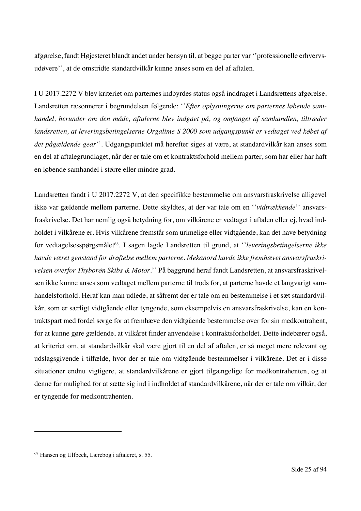afgørelse, fandt Højesteret blandt andet under hensyn til, at begge parter var ''professionelle erhvervsudøvere'', at de omstridte standardvilkår kunne anses som en del af aftalen.

I U 2017.2272 V blev kriteriet om parternes indbyrdes status også inddraget i Landsrettens afgørelse. Landsretten ræsonnerer i begrundelsen følgende: ''*Efter oplysningerne om parternes løbende samhandel, herunder om den måde, aftalerne blev indgået på, og omfanget af samhandlen, tiltræder landsretten, at leveringsbetingelserne Orgalime S 2000 som udgangspunkt er vedtaget ved købet af det pågældende gear*''. Udgangspunktet må herefter siges at være, at standardvilkår kan anses som en del af aftalegrundlaget, når der er tale om et kontraktsforhold mellem parter, som har eller har haft en løbende samhandel i større eller mindre grad.

Landsretten fandt i U 2017.2272 V, at den specifikke bestemmelse om ansvarsfraskrivelse alligevel ikke var gældende mellem parterne. Dette skyldtes, at der var tale om en ''*vidtrækkende*'' ansvarsfraskrivelse. Det har nemlig også betydning for, om vilkårene er vedtaget i aftalen eller ej, hvad indholdet i vilkårene er. Hvis vilkårene fremstår som urimelige eller vidtgående, kan det have betydning for vedtagelsesspørgsmålet<sup>68</sup>. I sagen lagde Landsretten til grund, at *''leveringsbetingelserne ikke havde været genstand for drøftelse mellem parterne. Mekanord havde ikke fremhævet ansvarsfraskrivelsen overfor Thyborøn Skibs & Motor.*'' På baggrund heraf fandt Landsretten, at ansvarsfraskrivelsen ikke kunne anses som vedtaget mellem parterne til trods for, at parterne havde et langvarigt samhandelsforhold. Heraf kan man udlede, at såfremt der er tale om en bestemmelse i et sæt standardvilkår, som er særligt vidtgående eller tyngende, som eksempelvis en ansvarsfraskrivelse, kan en kontraktspart med fordel sørge for at fremhæve den vidtgående bestemmelse over for sin medkontrahent, for at kunne gøre gældende, at vilkåret finder anvendelse i kontraktsforholdet. Dette indebærer også, at kriteriet om, at standardvilkår skal være gjort til en del af aftalen, er så meget mere relevant og udslagsgivende i tilfælde, hvor der er tale om vidtgående bestemmelser i vilkårene. Det er i disse situationer endnu vigtigere, at standardvilkårene er gjort tilgængelige for medkontrahenten, og at denne får mulighed for at sætte sig ind i indholdet af standardvilkårene, når der er tale om vilkår, der er tyngende for medkontrahenten.

<sup>68</sup> Hansen og Ulfbeck, Lærebog i aftaleret, s. 55.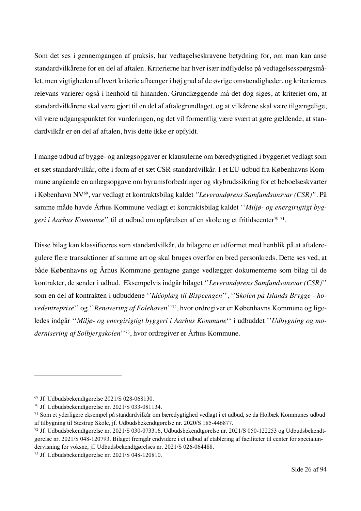Som det ses i gennemgangen af praksis, har vedtagelseskravene betydning for, om man kan anse standardvilkårene for en del af aftalen. Kriterierne har hver især indflydelse på vedtagelsesspørgsmålet, men vigtigheden af hvert kriterie afhænger i høj grad af de øvrige omstændigheder, og kriteriernes relevans varierer også i henhold til hinanden. Grundlæggende må det dog siges, at kriteriet om, at standardvilkårene skal være gjort til en del af aftalegrundlaget, og at vilkårene skal være tilgængelige, vil være udgangspunktet for vurderingen, og det vil formentlig være svært at gøre gældende, at standardvilkår er en del af aftalen, hvis dette ikke er opfyldt.

I mange udbud af bygge- og anlægsopgaver er klausulerne om bæredygtighed i byggeriet vedlagt som et sæt standardvilkår, ofte i form af et sæt CSR-standardvilkår. I et EU-udbud fra Københavns Kommune angående en anlægsopgave om byrumsforbedringer og skybrudssikring for et beboelseskvarter i København NV69, var vedlagt et kontraktsbilag kaldet *''Leverandørens Samfundsansvar (CSR)"*. På samme måde havde Århus Kommune vedlagt et kontraktsbilag kaldet ''*Miljø- og energirigtigt byg*geri i Aarhus Kommune'' til et udbud om opførelsen af en skole og et fritidscenter<sup>70 71</sup>.

Disse bilag kan klassificeres som standardvilkår, da bilagene er udformet med henblik på at aftaleregulere flere transaktioner af samme art og skal bruges overfor en bred personkreds. Dette ses ved, at både Københavns og Århus Kommune gentagne gange vedlægger dokumenterne som bilag til de kontrakter, de sender i udbud. Eksempelvis indgår bilaget ''*Leverandørens Samfundsansvar (CSR)*'' som en del af kontrakten i udbuddene ''*Idéoplæg til Bispeengen*'', ''S*kolen på Islands Brygge - hovedentreprise*'' og ''*Renovering af Folehaven*''72, hvor ordregiver er Københavns Kommune og ligeledes indgår ''*Miljø- og energirigtigt byggeri i Aarhus Kommune*'' i udbuddet ''*Udbygning og modernisering af Solbjergskolen*''73, hvor ordregiver er Århus Kommune.

<sup>69</sup> Jf. Udbudsbekendtgørelse 2021/S 028-068130.

<sup>70</sup> Jf. Udbudsbekendtgørelse nr. 2021/S 033-081134.

<sup>71</sup> Som et yderligere eksempel på standardvilkår om bæredygtighed vedlagt i et udbud, se da Holbæk Kommunes udbud af tilbygning til Stestrup Skole, jf. Udbudsbekendtgørelse nr. 2020/S 185-446877.

<sup>72</sup> Jf. Udbudsbekendtgørelse nr. 2021/S 030-073316, Udbudsbekendtgørelse nr. 2021/S 050-122253 og Udbudsbekendtgørelse nr. 2021/S 048-120793. Bilaget fremgår endvidere i et udbud af etablering af faciliteter til center for specialundervisning for voksne, jf. Udbudsbekendtgørelses nr. 2021/S 026-064488.

<sup>73</sup> Jf. Udbudsbekendtgørelse nr. 2021/S 048-120810.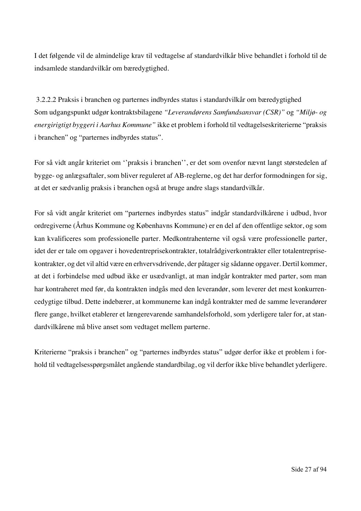I det følgende vil de almindelige krav til vedtagelse af standardvilkår blive behandlet i forhold til de indsamlede standardvilkår om bæredygtighed.

3.2.2.2 Praksis i branchen og parternes indbyrdes status i standardvilkår om bæredygtighed Som udgangspunkt udgør kontraktsbilagene *"Leverandørens Samfundsansvar (CSR)"* og *"Miljø- og energirigtigt byggeri i Aarhus Kommune"* ikke et problem i forhold til vedtagelseskriterierne "praksis i branchen" og "parternes indbyrdes status".

For så vidt angår kriteriet om ''praksis i branchen'', er det som ovenfor nævnt langt størstedelen af bygge- og anlægsaftaler, som bliver reguleret af AB-reglerne, og det har derfor formodningen for sig, at det er sædvanlig praksis i branchen også at bruge andre slags standardvilkår.

For så vidt angår kriteriet om "parternes indbyrdes status" indgår standardvilkårene i udbud, hvor ordregiverne (Århus Kommune og Københavns Kommune) er en del af den offentlige sektor, og som kan kvalificeres som professionelle parter. Medkontrahenterne vil også være professionelle parter, idet der er tale om opgaver i hovedentreprisekontrakter, totalrådgiverkontrakter eller totalentreprisekontrakter, og det vil altid være en erhvervsdrivende, der påtager sig sådanne opgaver. Dertil kommer, at det i forbindelse med udbud ikke er usædvanligt, at man indgår kontrakter med parter, som man har kontraheret med før, da kontrakten indgås med den leverandør, som leverer det mest konkurrencedygtige tilbud. Dette indebærer, at kommunerne kan indgå kontrakter med de samme leverandører flere gange, hvilket etablerer et længerevarende samhandelsforhold, som yderligere taler for, at standardvilkårene må blive anset som vedtaget mellem parterne.

Kriterierne "praksis i branchen" og "parternes indbyrdes status" udgør derfor ikke et problem i forhold til vedtagelsesspørgsmålet angående standardbilag, og vil derfor ikke blive behandlet yderligere.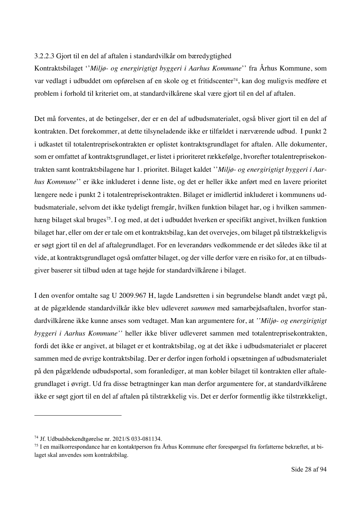#### 3.2.2.3 Gjort til en del af aftalen i standardvilkår om bæredygtighed

Kontraktsbilaget ''*Miljø- og energirigtigt byggeri i Aarhus Kommune*'' fra Århus Kommune, som var vedlagt i udbuddet om opførelsen af en skole og et fritidscenter<sup>74</sup>, kan dog muligvis medføre et problem i forhold til kriteriet om, at standardvilkårene skal være gjort til en del af aftalen.

Det må forventes, at de betingelser, der er en del af udbudsmaterialet, også bliver gjort til en del af kontrakten. Det forekommer, at dette tilsyneladende ikke er tilfældet i nærværende udbud. I punkt 2 i udkastet til totalentreprisekontrakten er oplistet kontraktsgrundlaget for aftalen. Alle dokumenter, som er omfattet af kontraktsgrundlaget, er listet i prioriteret rækkefølge, hvorefter totalentreprisekontrakten samt kontraktsbilagene har 1. prioritet. Bilaget kaldet ''*Miljø- og energirigtigt byggeri i Aarhus Kommune*'' er ikke inkluderet i denne liste, og det er heller ikke anført med en lavere prioritet længere nede i punkt 2 i totalentreprisekontrakten. Bilaget er imidlertid inkluderet i kommunens udbudsmateriale, selvom det ikke tydeligt fremgår, hvilken funktion bilaget har, og i hvilken sammenhæng bilaget skal bruges<sup>75</sup>. I og med, at det i udbuddet hverken er specifikt angivet, hvilken funktion bilaget har, eller om der er tale om et kontraktsbilag, kan det overvejes, om bilaget på tilstrækkeligvis er søgt gjort til en del af aftalegrundlaget. For en leverandørs vedkommende er det således ikke til at vide, at kontraktsgrundlaget også omfatter bilaget, og der ville derfor være en risiko for, at en tilbudsgiver baserer sit tilbud uden at tage højde for standardvilkårene i bilaget.

I den ovenfor omtalte sag U 2009.967 H, lagde Landsretten i sin begrundelse blandt andet vægt på, at de pågældende standardvilkår ikke blev udleveret *sammen* med samarbejdsaftalen, hvorfor standardvilkårene ikke kunne anses som vedtaget. Man kan argumentere for, at *''Miljø- og energirigtigt byggeri i Aarhus Kommune''* heller ikke bliver udleveret sammen med totalentreprisekontrakten, fordi det ikke er angivet, at bilaget er et kontraktsbilag, og at det ikke i udbudsmaterialet er placeret sammen med de øvrige kontraktsbilag. Der er derfor ingen forhold i opsætningen af udbudsmaterialet på den pågældende udbudsportal, som foranlediger, at man kobler bilaget til kontrakten eller aftalegrundlaget i øvrigt. Ud fra disse betragtninger kan man derfor argumentere for, at standardvilkårene ikke er søgt gjort til en del af aftalen på tilstrækkelig vis. Det er derfor formentlig ikke tilstrækkeligt,

<sup>74</sup> Jf. Udbudsbekendtgørelse nr. 2021/S 033-081134.

<sup>75</sup> I en mailkorrespondance har en kontaktperson fra Århus Kommune efter forespørgsel fra forfatterne bekræftet, at bilaget skal anvendes som kontraktbilag.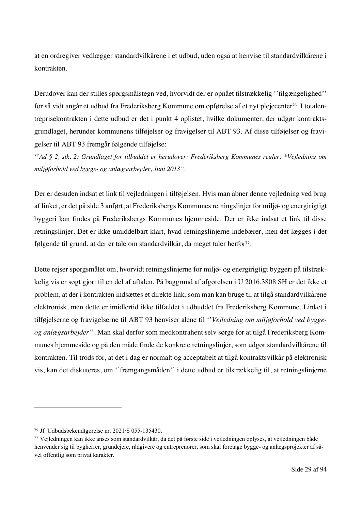at en ordregiver vedlægger standardvilkårene i et udbud, uden også at henvise til standardvilkårene i kontrakten.

Derudover kan der stilles spørgsmålstegn ved, hvorvidt der er opnået tilstrækkelig ''tilgængelighed'' for så vidt angår et udbud fra Frederiksberg Kommune om opførelse af et nyt plejecenter<sup>76</sup>. I totalentreprisekontrakten i dette udbud er det i punkt 4 oplistet, hvilke dokumenter, der udgør kontraktsgrundlaget, herunder kommunens tilføjelser og fravigelser til ABT 93. Af disse tilføjelser og fravigelser til ABT 93 fremgår følgende tilføjelse:

''*Ad § 2, stk. 2: Grundlaget for tilbuddet er herudover: Frederiksberg Kommunes regler: \*Vejledning om miljøforhold ved bygge- og anlægsarbejder, Juni 2013".* 

Der er desuden indsat et link til vejledningen i tilføjelsen. Hvis man åbner denne vejledning ved brug af linket, er det på side 3 anført, at Frederiksbergs Kommunes retningslinjer for miljø- og energirigtigt byggeri kan findes på Frederiksbergs Kommunes hjemmeside. Der er ikke indsat et link til disse retningslinjer. Det er ikke umiddelbart klart, hvad retningslinjerne indebærer, men det lægges i det følgende til grund, at der er tale om standardvilkår, da meget taler herfor<sup>77</sup>.

Dette rejser spørgsmålet om, hvorvidt retningslinjerne for miljø- og energirigtigt byggeri på tilstrækkelig vis er søgt gjort til en del af aftalen. På baggrund af afgørelsen i U 2016.3808 SH er det ikke et problem, at der i kontrakten indsættes et direkte link, som man kan bruge til at tilgå standardvilkårene elektronisk, men dette er imidlertid ikke tilfældet i udbuddet fra Frederiksberg Kommune. Linket i tilføjelserne og fravigelserne til ABT 93 henviser alene til ''*Vejledning om miljøforhold ved byggeog anlægsarbejder*''. Man skal derfor som medkontrahent selv sørge for at tilgå Frederiksberg Kommunes hjemmeside og på den måde finde de konkrete retningslinjer, som udgør standardvilkårene til kontrakten. Til trods for, at det i dag er normalt og acceptabelt at tilgå kontraktsvilkår på elektronisk vis, kan det diskuteres, om ''fremgangsmåden'' i dette udbud er tilstrækkelig til, at retningslinjerne

<sup>76</sup> Jf. Udbudsbekendtgørelse nr. 2021/S 055-135430.

<sup>77</sup> Vejledningen kan ikke anses som standardvilkår, da det på første side i vejledningen oplyses, at vejledningen både henvender sig til bygherrer, grundejere, rådgivere og entreprenører, som skal foretage bygge- og anlægsprojekter af såvel offentlig som privat karakter.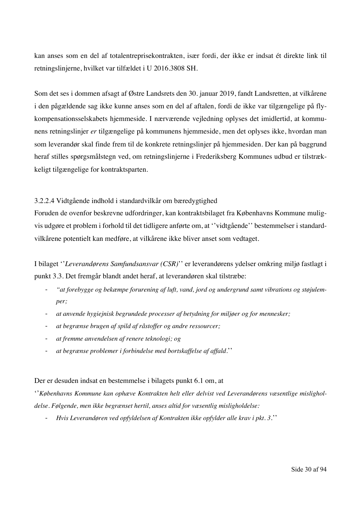kan anses som en del af totalentreprisekontrakten, især fordi, der ikke er indsat ét direkte link til retningslinjerne, hvilket var tilfældet i U 2016.3808 SH.

Som det ses i dommen afsagt af Østre Landsrets den 30. januar 2019, fandt Landsretten, at vilkårene i den pågældende sag ikke kunne anses som en del af aftalen, fordi de ikke var tilgængelige på flykompensationsselskabets hjemmeside. I nærværende vejledning oplyses det imidlertid, at kommunens retningslinjer *er* tilgængelige på kommunens hjemmeside, men det oplyses ikke, hvordan man som leverandør skal finde frem til de konkrete retningslinjer på hjemmesiden. Der kan på baggrund heraf stilles spørgsmålstegn ved, om retningslinjerne i Frederiksberg Kommunes udbud er tilstrækkeligt tilgængelige for kontraktsparten.

#### 3.2.2.4 Vidtgående indhold i standardvilkår om bæredygtighed

Foruden de ovenfor beskrevne udfordringer, kan kontraktsbilaget fra Københavns Kommune muligvis udgøre et problem i forhold til det tidligere anførte om, at ''vidtgående'' bestemmelser i standardvilkårene potentielt kan medføre, at vilkårene ikke bliver anset som vedtaget.

I bilaget ''*Leverandørens Samfundsansvar (CSR)*'' er leverandørens ydelser omkring miljø fastlagt i punkt 3.3. Det fremgår blandt andet heraf, at leverandøren skal tilstræbe:

- *"at forebygge og bekæmpe forurening af luft, vand, jord og undergrund samt vibrations og støjulemper;*
- *at anvende hygiejnisk begrundede processer af betydning for miljøer og for mennesker;*
- *at begrænse brugen af spild af råstoffer og andre ressourcer;*
- *at fremme anvendelsen af renere teknologi; og*
- *at begrænse problemer i forbindelse med bortskaffelse af affald.*''

#### Der er desuden indsat en bestemmelse i bilagets punkt 6.1 om, at

''*Københavns Kommune kan ophæve Kontrakten helt eller delvist ved Leverandørens væsentlige misligholdelse. Følgende, men ikke begrænset hertil, anses altid for væsentlig misligholdelse:*

- *Hvis Leverandøren ved opfyldelsen af Kontrakten ikke opfylder alle krav i pkt. 3*.''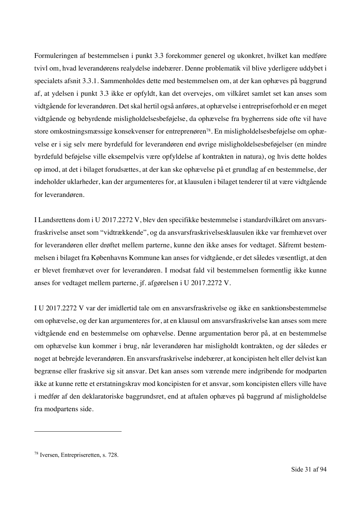Formuleringen af bestemmelsen i punkt 3.3 forekommer generel og ukonkret, hvilket kan medføre tvivl om, hvad leverandørens realydelse indebærer. Denne problematik vil blive yderligere uddybet i specialets afsnit 3.3.1. Sammenholdes dette med bestemmelsen om, at der kan ophæves på baggrund af, at ydelsen i punkt 3.3 ikke er opfyldt, kan det overvejes, om vilkåret samlet set kan anses som vidtgående for leverandøren. Det skal hertil også anføres, at ophævelse i entrepriseforhold er en meget vidtgående og bebyrdende misligholdelsesbeføjelse, da ophævelse fra bygherrens side ofte vil have store omkostningsmæssige konsekvenser for entreprenøren78. En misligholdelsesbeføjelse om ophævelse er i sig selv mere byrdefuld for leverandøren end øvrige misligholdelsesbeføjelser (en mindre byrdefuld beføjelse ville eksempelvis være opfyldelse af kontrakten in natura), og hvis dette holdes op imod, at det i bilaget forudsættes, at der kan ske ophævelse på et grundlag af en bestemmelse, der indeholder uklarheder, kan der argumenteres for, at klausulen i bilaget tenderer til at være vidtgående for leverandøren.

I Landsrettens dom i U 2017.2272 V, blev den specifikke bestemmelse i standardvilkåret om ansvarsfraskrivelse anset som "vidtrækkende", og da ansvarsfraskrivelsesklausulen ikke var fremhævet over for leverandøren eller drøftet mellem parterne, kunne den ikke anses for vedtaget. Såfremt bestemmelsen i bilaget fra Københavns Kommune kan anses for vidtgående, er det således væsentligt, at den er blevet fremhævet over for leverandøren. I modsat fald vil bestemmelsen formentlig ikke kunne anses for vedtaget mellem parterne, jf. afgørelsen i U 2017.2272 V.

I U 2017.2272 V var der imidlertid tale om en ansvarsfraskrivelse og ikke en sanktionsbestemmelse om ophævelse, og der kan argumenteres for, at en klausul om ansvarsfraskrivelse kan anses som mere vidtgående end en bestemmelse om ophævelse. Denne argumentation beror på, at en bestemmelse om ophævelse kun kommer i brug, når leverandøren har misligholdt kontrakten, og der således er noget at bebrejde leverandøren. En ansvarsfraskrivelse indebærer, at koncipisten helt eller delvist kan begrænse eller fraskrive sig sit ansvar. Det kan anses som værende mere indgribende for modparten ikke at kunne rette et erstatningskrav mod koncipisten for et ansvar, som koncipisten ellers ville have i medfør af den deklaratoriske baggrundsret, end at aftalen ophæves på baggrund af misligholdelse fra modpartens side.

<sup>78</sup> Iversen, Entrepriseretten, s. 728.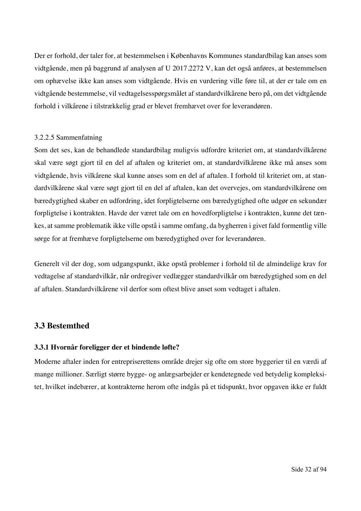Der er forhold, der taler for, at bestemmelsen i Københavns Kommunes standardbilag kan anses som vidtgående, men på baggrund af analysen af U 2017.2272 V, kan det også anføres, at bestemmelsen om ophævelse ikke kan anses som vidtgående. Hvis en vurdering ville føre til, at der er tale om en vidtgående bestemmelse, vil vedtagelsesspørgsmålet af standardvilkårene bero på, om det vidtgående forhold i vilkårene i tilstrækkelig grad er blevet fremhævet over for leverandøren.

#### 3.2.2.5 Sammenfatning

Som det ses, kan de behandlede standardbilag muligvis udfordre kriteriet om, at standardvilkårene skal være søgt gjort til en del af aftalen og kriteriet om, at standardvilkårene ikke må anses som vidtgående, hvis vilkårene skal kunne anses som en del af aftalen. I forhold til kriteriet om, at standardvilkårene skal være søgt gjort til en del af aftalen, kan det overvejes, om standardvilkårene om bæredygtighed skaber en udfordring, idet forpligtelserne om bæredygtighed ofte udgør en sekundær forpligtelse i kontrakten. Havde der været tale om en hovedforpligtelse i kontrakten, kunne det tænkes, at samme problematik ikke ville opstå i samme omfang, da bygherren i givet fald formentlig ville sørge for at fremhæve forpligtelserne om bæredygtighed over for leverandøren.

Generelt vil der dog, som udgangspunkt, ikke opstå problemer i forhold til de almindelige krav for vedtagelse af standardvilkår, når ordregiver vedlægger standardvilkår om bæredygtighed som en del af aftalen. Standardvilkårene vil derfor som oftest blive anset som vedtaget i aftalen.

### **3.3 Bestemthed**

#### **3.3.1 Hvornår foreligger der et bindende løfte?**

Moderne aftaler inden for entrepriserettens område drejer sig ofte om store byggerier til en værdi af mange millioner. Særligt større bygge- og anlægsarbejder er kendetegnede ved betydelig kompleksitet, hvilket indebærer, at kontrakterne herom ofte indgås på et tidspunkt, hvor opgaven ikke er fuldt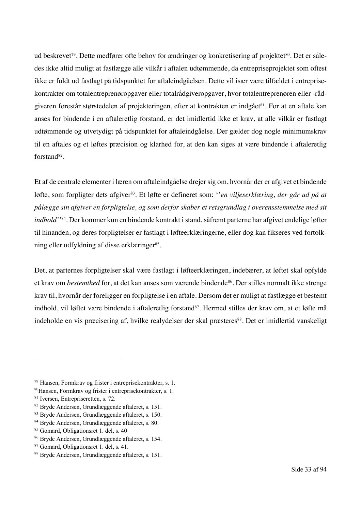ud beskrevet<sup>79</sup>. Dette medfører ofte behov for ændringer og konkretisering af projektet<sup>80</sup>. Det er således ikke altid muligt at fastlægge alle vilkår i aftalen udtømmende, da entrepriseprojektet som oftest ikke er fuldt ud fastlagt på tidspunktet for aftaleindgåelsen. Dette vil især være tilfældet i entreprisekontrakter om totalentreprenøropgaver eller totalrådgiveropgaver, hvor totalentreprenøren eller -rådgiveren forestår størstedelen af projekteringen, efter at kontrakten er indgået<sup>81</sup>. For at en aftale kan anses for bindende i en aftaleretlig forstand, er det imidlertid ikke et krav, at alle vilkår er fastlagt udtømmende og utvetydigt på tidspunktet for aftaleindgåelse. Der gælder dog nogle minimumskrav til en aftales og et løftes præcision og klarhed for, at den kan siges at være bindende i aftaleretlig forstand<sup>82</sup>.

Et af de centrale elementer i læren om aftaleindgåelse drejer sig om, hvornår der er afgivet et bindende løfte, som forpligter dets afgiver83. Et løfte er defineret som: ''*en viljeserklæring, der går ud på at pålægge sin afgiver en forpligtelse, og som derfor skaber et retsgrundlag i overensstemmelse med sit indhold''*84. Der kommer kun en bindende kontrakt i stand, såfremt parterne har afgivet endelige løfter til hinanden, og deres forpligtelser er fastlagt i løfteerklæringerne, eller dog kan fikseres ved fortolkning eller udfyldning af disse erklæringer<sup>85</sup>.

Det, at parternes forpligtelser skal være fastlagt i løfteerklæringen, indebærer, at løftet skal opfylde et krav om *bestemthed* for, at det kan anses som værende bindende<sup>86</sup>. Der stilles normalt ikke strenge krav til, hvornår der foreligger en forpligtelse i en aftale. Dersom det er muligt at fastlægge et bestemt indhold, vil løftet være bindende i aftaleretlig forstand<sup>87</sup>. Hermed stilles der krav om, at et løfte må indeholde en vis præcisering af, hvilke realydelser der skal præsteres<sup>88</sup>. Det er imidlertid vanskeligt

<sup>79</sup> Hansen, Formkrav og frister i entreprisekontrakter, s. 1.

<sup>80</sup>Hansen, Formkrav og frister i entreprisekontrakter, s. 1.

<sup>81</sup> Iversen, Entrepriseretten, s. 72.

<sup>82</sup> Bryde Andersen, Grundlæggende aftaleret, s. 151.

<sup>83</sup> Bryde Andersen, Grundlæggende aftaleret, s. 150.

<sup>84</sup> Bryde Andersen, Grundlæggende aftaleret, s. 80.

<sup>85</sup> Gomard, Obligationsret 1. del, s. 40

<sup>86</sup> Bryde Andersen, Grundlæggende aftaleret, s. 154.

<sup>87</sup> Gomard, Obligationsret 1. del, s. 41.

<sup>88</sup> Bryde Andersen, Grundlæggende aftaleret, s. 151.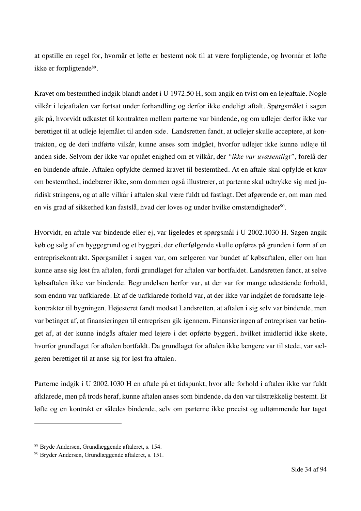at opstille en regel for, hvornår et løfte er bestemt nok til at være forpligtende, og hvornår et løfte ikke er forpligtende89.

Kravet om bestemthed indgik blandt andet i U 1972.50 H, som angik en tvist om en lejeaftale. Nogle vilkår i lejeaftalen var fortsat under forhandling og derfor ikke endeligt aftalt. Spørgsmålet i sagen gik på, hvorvidt udkastet til kontrakten mellem parterne var bindende, og om udlejer derfor ikke var berettiget til at udleje lejemålet til anden side. Landsretten fandt, at udlejer skulle acceptere, at kontrakten, og de deri indførte vilkår, kunne anses som indgået, hvorfor udlejer ikke kunne udleje til anden side. Selvom der ikke var opnået enighed om et vilkår, der *"ikke var uvæsentligt",* forelå der en bindende aftale. Aftalen opfyldte dermed kravet til bestemthed. At en aftale skal opfylde et krav om bestemthed, indebærer ikke, som dommen også illustrerer, at parterne skal udtrykke sig med juridisk stringens, og at alle vilkår i aftalen skal være fuldt ud fastlagt. Det afgørende er, om man med en vis grad af sikkerhed kan fastslå, hvad der loves og under hvilke omstændigheder<sup>90</sup>.

Hvorvidt, en aftale var bindende eller ej, var ligeledes et spørgsmål i U 2002.1030 H. Sagen angik køb og salg af en byggegrund og et byggeri, der efterfølgende skulle opføres på grunden i form af en entreprisekontrakt. Spørgsmålet i sagen var, om sælgeren var bundet af købsaftalen, eller om han kunne anse sig løst fra aftalen, fordi grundlaget for aftalen var bortfaldet. Landsretten fandt, at selve købsaftalen ikke var bindende. Begrundelsen herfor var, at der var for mange udestående forhold, som endnu var uafklarede. Et af de uafklarede forhold var, at der ikke var indgået de forudsatte lejekontrakter til bygningen. Højesteret fandt modsat Landsretten, at aftalen i sig selv var bindende, men var betinget af, at finansieringen til entreprisen gik igennem. Finansieringen af entreprisen var betinget af, at der kunne indgås aftaler med lejere i det opførte byggeri, hvilket imidlertid ikke skete, hvorfor grundlaget for aftalen bortfaldt. Da grundlaget for aftalen ikke længere var til stede, var sælgeren berettiget til at anse sig for løst fra aftalen.

Parterne indgik i U 2002.1030 H en aftale på et tidspunkt, hvor alle forhold i aftalen ikke var fuldt afklarede, men på trods heraf, kunne aftalen anses som bindende, da den var tilstrækkelig bestemt. Et løfte og en kontrakt er således bindende, selv om parterne ikke præcist og udtømmende har taget

<sup>89</sup> Bryde Andersen, Grundlæggende aftaleret, s. 154.

<sup>90</sup> Bryder Andersen, Grundlæggende aftaleret, s. 151.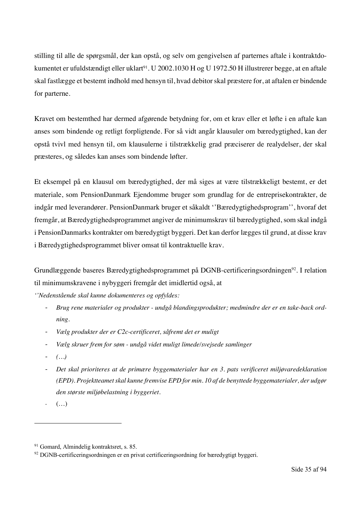stilling til alle de spørgsmål, der kan opstå, og selv om gengivelsen af parternes aftale i kontraktdokumentet er ufuldstændigt eller uklart<sup>91</sup>. U 2002.1030 H og U 1972.50 H illustrerer begge, at en aftale skal fastlægge et bestemt indhold med hensyn til, hvad debitor skal præstere for, at aftalen er bindende for parterne.

Kravet om bestemthed har dermed afgørende betydning for, om et krav eller et løfte i en aftale kan anses som bindende og retligt forpligtende. For så vidt angår klausuler om bæredygtighed, kan der opstå tvivl med hensyn til, om klausulerne i tilstrækkelig grad præciserer de realydelser, der skal præsteres, og således kan anses som bindende løfter.

Et eksempel på en klausul om bæredygtighed, der må siges at være tilstrækkeligt bestemt, er det materiale, som PensionDanmark Ejendomme bruger som grundlag for de entreprisekontrakter, de indgår med leverandører. PensionDanmark bruger et såkaldt ''Bæredygtighedsprogram'', hvoraf det fremgår, at Bæredygtighedsprogrammet angiver de minimumskrav til bæredygtighed, som skal indgå i PensionDanmarks kontrakter om bæredygtigt byggeri. Det kan derfor lægges til grund, at disse krav i Bæredygtighedsprogrammet bliver omsat til kontraktuelle krav.

Grundlæggende baseres Bæredygtighedsprogrammet på DGNB-certificeringsordningen<sup>92</sup>. I relation til minimumskravene i nybyggeri fremgår det imidlertid også, at

*''Nedenstående skal kunne dokumenteres og opfyldes:*

- *Brug rene materialer og produkter - undgå blandingsprodukter; medmindre der er en take-back ordning.*
- *Vælg produkter der er C2c-certificeret, såfremt det er muligt*
- *Vælg skruer frem for søm - undgå videt muligt limede/svejsede samlinger*
- *(…)*
- *Det skal prioriteres at de primære byggematerialer har en 3. pats verificeret miljøvaredeklaration (EPD). Projektteamet skal kunne fremvise EPD for min. 10 af de benyttede byggematerialer, der udgør den største miljøbelastning i byggeriet.*

 $\left( \ldots \right)$ 

<sup>&</sup>lt;sup>91</sup> Gomard, Almindelig kontraktsret, s. 85.

<sup>92</sup> DGNB-certificeringsordningen er en privat certificeringsordning for bæredygtigt byggeri.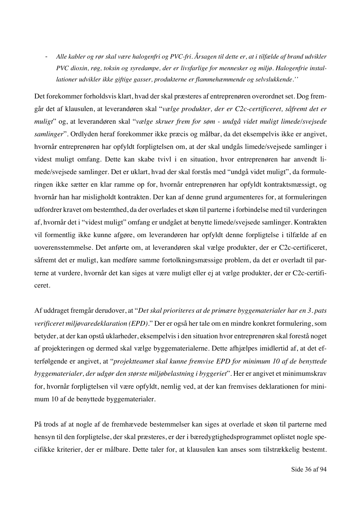- *Alle kabler og rør skal være halogenfri og PVC-fri. Årsagen til dette er, at i tilfælde af brand udvikler PVC dioxin, røg, toksin og syredampe, der er livsfarlige for mennesker og miljø. Halogenfrie installationer udvikler ikke giftige gasser, produkterne er flammehæmmende og selvslukkende.''* 

Det forekommer forholdsvis klart, hvad der skal præsteres af entreprenøren overordnet set. Dog fremgår det af klausulen, at leverandøren skal "*vælge produkter, der er C2c-certificeret, såfremt det er muligt*" og, at leverandøren skal "*vælge skruer frem for søm - undgå videt muligt limede/svejsede samlinger*". Ordlyden heraf forekommer ikke præcis og målbar, da det eksempelvis ikke er angivet, hvornår entreprenøren har opfyldt forpligtelsen om, at der skal undgås limede/svejsede samlinger i videst muligt omfang. Dette kan skabe tvivl i en situation, hvor entreprenøren har anvendt limede/svejsede samlinger. Det er uklart, hvad der skal forstås med "undgå videt muligt", da formuleringen ikke sætter en klar ramme op for, hvornår entreprenøren har opfyldt kontraktsmæssigt, og hvornår han har misligholdt kontrakten. Der kan af denne grund argumenteres for, at formuleringen udfordrer kravet om bestemthed, da der overlades et skøn til parterne i forbindelse med til vurderingen af, hvornår det i "videst muligt" omfang er undgået at benytte limede/svejsede samlinger. Kontrakten vil formentlig ikke kunne afgøre, om leverandøren har opfyldt denne forpligtelse i tilfælde af en uoverensstemmelse. Det anførte om, at leverandøren skal vælge produkter, der er C2c-certificeret, såfremt det er muligt, kan medføre samme fortolkningsmæssige problem, da det er overladt til parterne at vurdere, hvornår det kan siges at være muligt eller ej at vælge produkter, der er C2c-certificeret.

Af uddraget fremgår derudover, at "*Det skal prioriteres at de primære byggematerialer har en 3. pats verificeret miljøvaredeklaration (EPD).*" Der er også her tale om en mindre konkret formulering, som betyder, at der kan opstå uklarheder, eksempelvis i den situation hvor entreprenøren skal forestå noget af projekteringen og dermed skal vælge byggematerialerne. Dette afhjælpes imidlertid af, at det efterfølgende er angivet, at "*projektteamet skal kunne fremvise EPD for minimum 10 af de benyttede byggematerialer, der udgør den største miljøbelastning i byggeriet*". Her er angivet et minimumskrav for, hvornår forpligtelsen vil være opfyldt, nemlig ved, at der kan fremvises deklarationen for minimum 10 af de benyttede byggematerialer.

På trods af at nogle af de fremhævede bestemmelser kan siges at overlade et skøn til parterne med hensyn til den forpligtelse, der skal præsteres, er der i bæredygtighedsprogrammet oplistet nogle specifikke kriterier, der er målbare. Dette taler for, at klausulen kan anses som tilstrækkelig bestemt.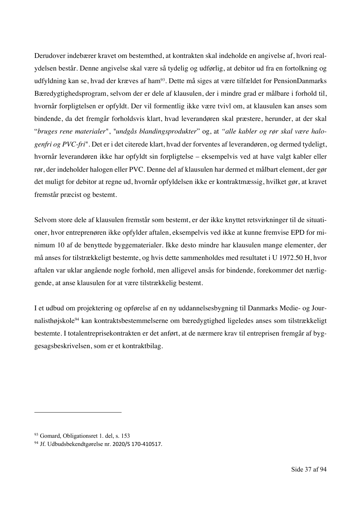Derudover indebærer kravet om bestemthed, at kontrakten skal indeholde en angivelse af, hvori realydelsen består. Denne angivelse skal være så tydelig og udførlig, at debitor ud fra en fortolkning og udfyldning kan se, hvad der kræves af ham<sup>93</sup>. Dette må siges at være tilfældet for PensionDanmarks Bæredygtighedsprogram, selvom der er dele af klausulen, der i mindre grad er målbare i forhold til, hvornår forpligtelsen er opfyldt. Der vil formentlig ikke være tvivl om, at klausulen kan anses som bindende, da det fremgår forholdsvis klart, hvad leverandøren skal præstere, herunder, at der skal "*bruges rene materialer*", *"undgås blandingsprodukter*" og, at *"alle kabler og rør skal være halogenfri og PVC-fri*". Det er i det citerede klart, hvad der forventes af leverandøren, og dermed tydeligt, hvornår leverandøren ikke har opfyldt sin forpligtelse – eksempelvis ved at have valgt kabler eller rør, der indeholder halogen eller PVC. Denne del af klausulen har dermed et målbart element, der gør det muligt for debitor at regne ud, hvornår opfyldelsen ikke er kontraktmæssig, hvilket gør, at kravet fremstår præcist og bestemt.

Selvom store dele af klausulen fremstår som bestemt, er der ikke knyttet retsvirkninger til de situationer, hvor entreprenøren ikke opfylder aftalen, eksempelvis ved ikke at kunne fremvise EPD for minimum 10 af de benyttede byggematerialer. Ikke desto mindre har klausulen mange elementer, der må anses for tilstrækkeligt bestemte, og hvis dette sammenholdes med resultatet i U 1972.50 H, hvor aftalen var uklar angående nogle forhold, men alligevel ansås for bindende, forekommer det nærliggende, at anse klausulen for at være tilstrækkelig bestemt.

I et udbud om projektering og opførelse af en ny uddannelsesbygning til Danmarks Medie- og Journalisthøjskole<sup>94</sup> kan kontraktsbestemmelserne om bæredygtighed ligeledes anses som tilstrækkeligt bestemte. I totalentreprisekontrakten er det anført, at de nærmere krav til entreprisen fremgår af byggesagsbeskrivelsen, som er et kontraktbilag.

<sup>93</sup> Gomard, Obligationsret 1. del, s. 153

<sup>94</sup> Jf. Udbudsbekendtgørelse nr. 2020/S 170-410517.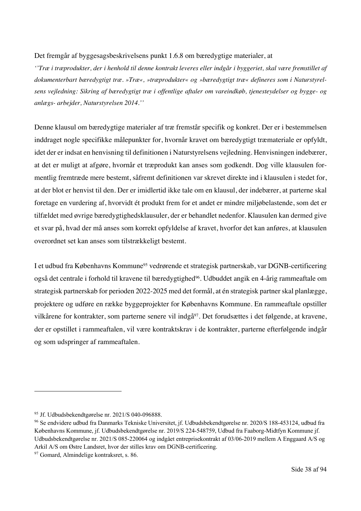### Det fremgår af byggesagsbeskrivelsens punkt 1.6.8 om bæredygtige materialer, at

*''Træ i træprodukter, der i henhold til denne kontrakt leveres eller indgår i byggeriet, skal være fremstillet af dokumenterbart bæredygtigt træ. »Træ«, »træprodukter« og »bæredygtigt træ« defineres som i Naturstyrelsens vejledning: Sikring af bæredygtigt træ i offentlige aftaler om vareindkøb, tjenesteydelser og bygge- og anlægs- arbejder, Naturstyrelsen 2014.''*

Denne klausul om bæredygtige materialer af træ fremstår specifik og konkret. Der er i bestemmelsen inddraget nogle specifikke målepunkter for, hvornår kravet om bæredygtigt træmateriale er opfyldt, idet der er indsat en henvisning til definitionen i Naturstyrelsens vejledning. Henvisningen indebærer, at det er muligt at afgøre, hvornår et træprodukt kan anses som godkendt. Dog ville klausulen formentlig fremtræde mere bestemt, såfremt definitionen var skrevet direkte ind i klausulen i stedet for, at der blot er henvist til den. Der er imidlertid ikke tale om en klausul, der indebærer, at parterne skal foretage en vurdering af, hvorvidt ét produkt frem for et andet er mindre miljøbelastende, som det er tilfældet med øvrige bæredygtighedsklausuler, der er behandlet nedenfor. Klausulen kan dermed give et svar på, hvad der må anses som korrekt opfyldelse af kravet, hvorfor det kan anføres, at klausulen overordnet set kan anses som tilstrækkeligt bestemt.

I et udbud fra Københavns Kommune<sup>95</sup> vedrørende et strategisk partnerskab, var DGNB-certificering også det centrale i forhold til kravene til bæredygtighed96. Udbuddet angik en 4-årig rammeaftale om strategisk partnerskab for perioden 2022-2025 med det formål, at én strategisk partner skal planlægge, projektere og udføre en række byggeprojekter for Københavns Kommune. En rammeaftale opstiller vilkårene for kontrakter, som parterne senere vil indgå<sup>97</sup>. Det forudsættes i det følgende, at kravene, der er opstillet i rammeaftalen, vil være kontraktskrav i de kontrakter, parterne efterfølgende indgår og som udspringer af rammeaftalen.

<sup>95</sup> Jf. Udbudsbekendtgørelse nr. 2021/S 040-096888.

<sup>96</sup> Se endvidere udbud fra Danmarks Tekniske Universitet, jf. Udbudsbekendtgørelse nr. 2020/S 188-453124, udbud fra Københavns Kommune, jf. Udbudsbekendtgørelse nr. 2019/S 224-548759, Udbud fra Faaborg-Midtfyn Kommune jf. Udbudsbekendtgørelse nr. 2021/S 085-220064 og indgået entreprisekontrakt af 03/06-2019 mellem A Enggaard A/S og Arkil A/S om Østre Landsret, hvor der stilles krav om DGNB-certificering.

<sup>&</sup>lt;sup>97</sup> Gomard, Almindelige kontraksret, s. 86.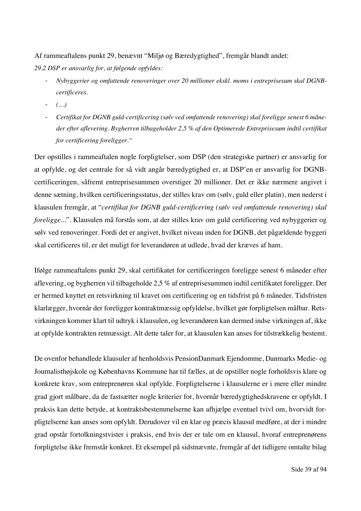Af rammeaftalens punkt 29, benævnt "Miljø og Bæredygtighed", fremgår blandt andet: *29.2 DSP er ansvarlig for, at følgende opfyldes:* 

- *Nybyggerier og omfattende renoveringer over 20 millioner ekskl. moms i entreprisesum skal DGNBcertificeres.*
- *(…)*
- *Certifikat for DGNB guld-certificering (sølv ved omfattende renovering) skal foreligge senest 6 måneder efter aflevering. Bygherren tilbageholder 2,5 % af den Optimerede Entreprisesum indtil certifikat for certificering foreligger."*

Der opstilles i rammeaftalen nogle forpligtelser, som DSP (den strategiske partner) er ansvarlig for at opfylde, og det centrale for så vidt angår bæredygtighed er, at DSP'en er ansvarlig for DGNBcertificeringen, såfremt entreprisesummen overstiger 20 millioner. Det er ikke nærmere angivet i denne sætning, hvilken certificeringsstatus, der stilles krav om (sølv, guld eller platin), men nederst i klausulen fremgår, at "*certifikat for DGNB guld-certificering (sølv ved omfattende renovering) skal foreligge..*.". Klausulen må forstås som, at der stilles krav om guld certificering ved nybyggerier og sølv ved renoveringer. Fordi det er angivet, hvilket niveau inden for DGNB, det pågældende byggeri skal certificeres til, er det muligt for leverandøren at udlede, hvad der kræves af ham.

Ifølge rammeaftalens punkt 29, skal certifikatet for certificeringen foreligge senest 6 måneder efter aflevering, og bygherren vil tilbageholde 2,5 % af entreprisesummen indtil certifikatet foreligger. Der er hermed knyttet en retsvirkning til kravet om certificering og en tidsfrist på 6 måneder. Tidsfristen klarlægger, hvornår der foreligger kontraktmæssig opfyldelse, hvilket gør forpligtelsen målbar. Retsvirkningen kommer klart til udtryk i klausulen, og leverandøren kan dermed indse virkningen af, ikke at opfylde kontrakten retmæssigt. Alt dette taler for, at klausulen kan anses for tilstrækkelig bestemt.

De ovenfor behandlede klausuler af henholdsvis PensionDanmark Ejendomme, Danmarks Medie- og Journalisthøjskole og Københavns Kommune har til fælles, at de opstiller nogle forholdsvis klare og konkrete krav, som entreprenøren skal opfylde. Forpligtelserne i klausulerne er i mere eller mindre grad gjort målbare, da de fastsætter nogle kriterier for, hvornår bæredygtighedskravene er opfyldt. I praksis kan dette betyde, at kontraktsbestemmelserne kan afhjælpe eventuel tvivl om, hvorvidt forpligtelserne kan anses som opfyldt. Derudover vil en klar og præcis klausul medføre, at der i mindre grad opstår fortolkningstvister i praksis, end hvis der er tale om en klausul, hvoraf entreprenørens forpligtelse ikke fremstår konkret. Et eksempel på sidstnævnte, fremgår af det tidligere omtalte bilag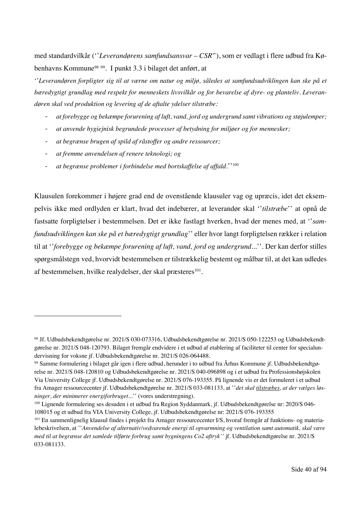med standardvilkår (''*Leverandørens samfundsansvar – CSR'*'), som er vedlagt i flere udbud fra Københavns Kommune98 99. I punkt 3.3 i bilaget det anført, at

''*Leverandøren forpligter sig til at værne om natur og miljø, således at samfundsudviklingen kan ske på et bæredygtigt grundlag med respekt for menneskets livsvilkår og for bevarelse af dyre- og planteliv. Leverandøren skal ved produktion og levering af de aftalte ydelser tilstræbe:*

- *at forebygge og bekæmpe forurening af luft, vand, jord og undergrund samt vibrations og støjulemper;*
- *at anvende hygiejnisk begrundede processer af betydning for miljøer og for mennesker;*
- *at begrænse brugen af spild af råstoffer og andre ressourcer;*
- *at fremme anvendelsen af renere teknologi; og*
- *at begrænse problemer i forbindelse med bortskaffelse af affald.*''100

Klausulen forekommer i højere grad end de ovenstående klausuler vag og upræcis, idet det eksempelvis ikke med ordlyden er klart, hvad det indebærer, at leverandør skal ''*tilstræbe*'' at opnå de fastsatte forpligtelser i bestemmelsen. Det er ikke fastlagt hverken, hvad der menes med, at ''*samfundsudviklingen kan ske på et bæredygtigt grundlag*'' eller hvor langt forpligtelsen rækker i relation til at ''*forebygge og bekæmpe forurening af luft, vand, jord og undergrund...*''. Der kan derfor stilles spørgsmålstegn ved, hvorvidt bestemmelsen er tilstrækkelig bestemt og målbar til, at det kan udledes af bestemmelsen, hvilke realydelser, der skal præsteres<sup>101</sup>.

<sup>98</sup> Jf. Udbudsbekendtgørelse nr. 2021/S 030-073316, Udbudsbekendtgørelse nr. 2021/S 050-122253 og Udbudsbekendtgørelse nr. 2021/S 048-120793. Bilaget fremgår endvidere i et udbud af etablering af faciliteter til center for specialundervisning for voksne jf. Udbudsbekendtgørelse nr. 2021/S 026-064488.

<sup>99</sup> Samme formulering i bilaget går igen i flere udbud, herunder i to udbud fra Århus Kommune jf. Udbudsbekendtgørelse nr. 2021/S 048-120810 og Udbudsbekendtgørelse nr. 2021/S 040-096898 og i et udbud fra Professionshøjskolen Via University College jf. Udbudsbekendtgørelse nr. 2021/S 076-193355. På lignende vis er det formuleret i et udbud fra Amager ressourcecenter jf. Udbudsbekendtgørelse nr. 2021/S 033-081133, at ''*det skal tilstræbes, at der vælges løsninger, der minimerer energiforbruget..*.'' (vores understregning).

<sup>100</sup> Lignende formulering ses desuden i et udbud fra Region Syddanmark, jf. Udbudsbekendtgørelse nr: 2020/S 046- 108015 og et udbud fra VIA University College, jf. Udbudsbekendtgørelse nr: 2021/S 076-193355<br><sup>101</sup> En sammenlignelig klausul findes i projekt fra Amager ressourcecenter I/S, hvoraf fremgår af funktions- og materia-

lebeskrivelsen, at ''*Anvendelse af alternativ/vedvarende energi til opvarmning og ventilation samt automatik, skal være med til at begrænse det samlede tilførte forbrug samt bygningens Co2 aftryk''* jf*.* Udbudsbekendtgørelse nr. 2021/S 033-081133.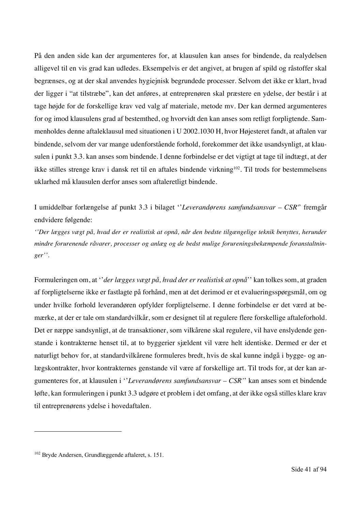På den anden side kan der argumenteres for, at klausulen kan anses for bindende, da realydelsen alligevel til en vis grad kan udledes. Eksempelvis er det angivet, at brugen af spild og råstoffer skal begrænses, og at der skal anvendes hygiejnisk begrundede processer. Selvom det ikke er klart, hvad der ligger i "at tilstræbe", kan det anføres, at entreprenøren skal præstere en ydelse, der består i at tage højde for de forskellige krav ved valg af materiale, metode mv. Der kan dermed argumenteres for og imod klausulens grad af bestemthed, og hvorvidt den kan anses som retligt forpligtende. Sammenholdes denne aftaleklausul med situationen i U 2002.1030 H, hvor Højesteret fandt, at aftalen var bindende, selvom der var mange udenforstående forhold, forekommer det ikke usandsynligt, at klausulen i punkt 3.3. kan anses som bindende. I denne forbindelse er det vigtigt at tage til indtægt, at der ikke stilles strenge krav i dansk ret til en aftales bindende virkning<sup>102</sup>. Til trods for bestemmelsens uklarhed må klausulen derfor anses som aftaleretligt bindende.

I umiddelbar forlængelse af punkt 3.3 i bilaget ''*Leverandørens samfundsansvar – CSR'*' fremgår endvidere følgende:

*''Der lægges vægt på, hvad der er realistisk at opnå, når den bedste tilgængelige teknik benyttes, herunder mindre forurenende råvarer, processer og anlæg og de bedst mulige forureningsbekæmpende foranstaltninger''.*

Formuleringen om, at ''*der lægges vægt på, hvad der er realistisk at opnå*'' kan tolkes som, at graden af forpligtelserne ikke er fastlagte på forhånd, men at det derimod er et evalueringsspørgsmål, om og under hvilke forhold leverandøren opfylder forpligtelserne. I denne forbindelse er det værd at bemærke, at der er tale om standardvilkår, som er designet til at regulere flere forskellige aftaleforhold. Det er næppe sandsynligt, at de transaktioner, som vilkårene skal regulere, vil have enslydende genstande i kontrakterne henset til, at to byggerier sjældent vil være helt identiske. Dermed er der et naturligt behov for, at standardvilkårene formuleres bredt, hvis de skal kunne indgå i bygge- og anlægskontrakter, hvor kontrakternes genstande vil være af forskellige art. Til trods for, at der kan argumenteres for, at klausulen i ''*Leverandørens samfundsansvar – CSR'*' kan anses som et bindende løfte, kan formuleringen i punkt 3.3 udgøre et problem i det omfang, at der ikke også stilles klare krav til entreprenørens ydelse i hovedaftalen.

<sup>102</sup> Bryde Andersen, Grundlæggende aftaleret, s. 151.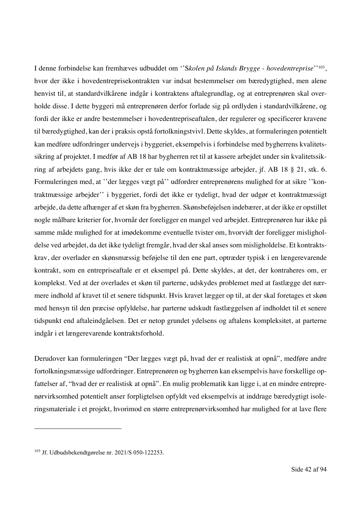I denne forbindelse kan fremhæves udbuddet om ''S*kolen på Islands Brygge - hovedentreprise*''103, hvor der ikke i hovedentreprisekontrakten var indsat bestemmelser om bæredygtighed, men alene henvist til, at standardvilkårene indgår i kontraktens aftalegrundlag, og at entreprenøren skal overholde disse. I dette byggeri må entreprenøren derfor forlade sig på ordlyden i standardvilkårene, og fordi der ikke er andre bestemmelser i hovedentrepriseaftalen, der regulerer og specificerer kravene til bæredygtighed, kan der i praksis opstå fortolkningstvivl. Dette skyldes, at formuleringen potentielt kan medføre udfordringer undervejs i byggeriet, eksempelvis i forbindelse med bygherrens kvalitetssikring af projektet. I medfør af AB 18 har bygherren ret til at kassere arbejdet under sin kvalitetssikring af arbejdets gang, hvis ikke der er tale om kontraktmæssige arbejder, jf. AB 18 § 21, stk. 6. Formuleringen med, at ''der lægges vægt på'' udfordrer entreprenørens mulighed for at sikre ''kontraktmæssige arbejder'' i byggeriet, fordi det ikke er tydeligt, hvad der udgør et kontraktmæssigt arbejde, da dette afhænger af et skøn fra bygherren. Skønsbeføjelsen indebærer, at der ikke er opstillet nogle målbare kriterier for, hvornår der foreligger en mangel ved arbejdet. Entreprenøren har ikke på samme måde mulighed for at imødekomme eventuelle tvister om, hvorvidt der foreligger misligholdelse ved arbejdet, da det ikke tydeligt fremgår, hvad der skal anses som misligholdelse. Et kontraktskrav, der overlader en skønsmæssig beføjelse til den ene part, optræder typisk i en længerevarende kontrakt, som en entrepriseaftale er et eksempel på. Dette skyldes, at det, der kontraheres om, er komplekst. Ved at der overlades et skøn til parterne, udskydes problemet med at fastlægge det nærmere indhold af kravet til et senere tidspunkt. Hvis kravet lægger op til, at der skal foretages et skøn med hensyn til den præcise opfyldelse, har parterne udskudt fastlæggelsen af indholdet til et senere tidspunkt end aftaleindgåelsen. Det er netop grundet ydelsens og aftalens kompleksitet, at parterne indgår i et længerevarende kontraktsforhold.

Derudover kan formuleringen "Der lægges vægt på, hvad der er realistisk at opnå", medføre andre fortolkningsmæssige udfordringer. Entreprenøren og bygherren kan eksempelvis have forskellige opfattelser af, "hvad der er realistisk at opnå". En mulig problematik kan ligge i, at en mindre entreprenørvirksomhed potentielt anser forpligtelsen opfyldt ved eksempelvis at inddrage bæredygtigt isoleringsmateriale i et projekt, hvorimod en større entreprenørvirksomhed har mulighed for at lave flere

<sup>103</sup> Jf. Udbudsbekendtgørelse nr. 2021/S 050-122253.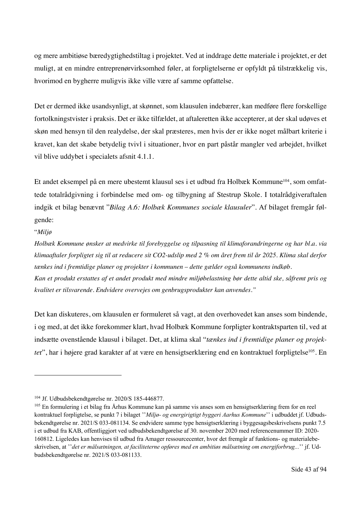og mere ambitiøse bæredygtighedstiltag i projektet. Ved at inddrage dette materiale i projektet, er det muligt, at en mindre entreprenørvirksomhed føler, at forpligtelserne er opfyldt på tilstrækkelig vis, hvorimod en bygherre muligvis ikke ville være af samme opfattelse.

Det er dermed ikke usandsynligt, at skønnet, som klausulen indebærer, kan medføre flere forskellige fortolkningstvister i praksis. Det er ikke tilfældet, at aftaleretten ikke accepterer, at der skal udøves et skøn med hensyn til den realydelse, der skal præsteres, men hvis der er ikke noget målbart kriterie i kravet, kan det skabe betydelig tvivl i situationer, hvor en part påstår mangler ved arbejdet, hvilket vil blive uddybet i specialets afsnit 4.1.1.

Et andet eksempel på en mere ubestemt klausul ses i et udbud fra Holbæk Kommune<sup>104</sup>, som omfattede totalrådgivning i forbindelse med om- og tilbygning af Stestrup Skole. I totalrådgiveraftalen indgik et bilag benævnt "*Bilag A.6: Holbæk Kommunes sociale klausuler*". Af bilaget fremgår følgende:

"*Miljø*

*Holbæk Kommune ønsker at medvirke til forebyggelse og tilpasning til klimaforandringerne og har bl.a. via klimaaftaler forpligtet sig til at reducere sit CO2-udslip med 2 % om året frem til år 2025. Klima skal derfor tænkes ind i fremtidige planer og projekter i kommunen – dette gælder også kommunens indkøb. Kan et produkt erstattes af et andet produkt med mindre miljøbelastning bør dette altid ske, såfremt pris og kvalitet er tilsvarende. Endvidere overvejes om genbrugsprodukter kan anvendes."*

Det kan diskuteres, om klausulen er formuleret så vagt, at den overhovedet kan anses som bindende, i og med, at det ikke forekommer klart, hvad Holbæk Kommune forpligter kontraktsparten til, ved at indsætte ovenstående klausul i bilaget. Det, at klima skal "*tænkes ind i fremtidige planer og projekter*", har i højere grad karakter af at være en hensigtserklæring end en kontraktuel forpligtelse<sup>105</sup>. En

<sup>104</sup> Jf. Udbudsbekendtgørelse nr. 2020/S 185-446877.

<sup>&</sup>lt;sup>105</sup> En formulering i et bilag fra Århus Kommune kan på samme vis anses som en hensigtserklæring frem for en reel kontraktuel forpligtelse, se punkt 7 i bilaget ''*Miljø- og energirigtigt byggeri Aarhus Kommune*'' i udbuddet jf. Udbudsbekendtgørelse nr. 2021/S 033-081134. Se endvidere samme type hensigtserklæring i byggesagsbeskrivelsens punkt 7.5 i et udbud fra KAB, offentliggjort ved udbudsbekendtgørelse af 30. november 2020 med referencenummer ID: 2020- 160812. Ligeledes kan henvises til udbud fra Amager ressourcecenter, hvor det fremgår af funktions- og materialebeskrivelsen, at ''*det er målsætningen, at faciliteterne opføres med en ambitiøs målsætning om energiforbrug...*'' jf. Udbudsbekendtgørelse nr. 2021/S 033-081133.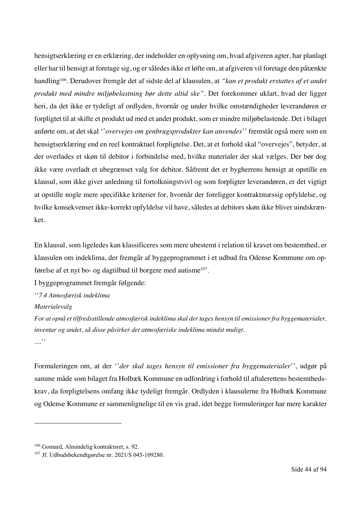hensigtserklæring er en erklæring, der indeholder en oplysning om, hvad afgiveren agter, har planlagt eller har til hensigt at foretage sig, og er således ikke et løfte om, at afgiveren vil foretage den påtænkte handling106. Derudover fremgår det af sidste del af klausulen, at *"kan et produkt erstattes af et andet produkt med mindre miljøbelastning bør dette altid ske"*. Det forekommer uklart, hvad der ligger heri, da det ikke er tydeligt af ordlyden, hvornår og under hvilke omstændigheder leverandøren er forpligtet til at skifte et produkt ud med et andet produkt, som er mindre miljøbelastende. Det i bilaget anførte om, at det skal ''*overvejes om genbrugsprodukter kan anvendes*'' fremstår også mere som en hensigtserklæring end en reel kontraktuel forpligtelse. Det, at et forhold skal "overvejes", betyder, at der overlades et skøn til debitor i forbindelse med, hvilke materialer der skal vælges. Der bør dog ikke være overladt et ubegrænset valg for debitor. Såfremt det er bygherrens hensigt at opstille en klausul, som ikke giver anledning til fortolkningstvivl og som forpligter leverandøren, er det vigtigt at opstille nogle mere specifikke kriterier for, hvornår der foreligger kontraktmæssig opfyldelse, og hvilke konsekvenser ikke-korrekt opfyldelse vil have, således at debitors skøn ikke bliver uindskrænket.

En klausul, som ligeledes kan klassificeres som mere ubestemt i relation til kravet om bestemthed, er klausulen om indeklima, der fremgår af byggeprogrammet i et udbud fra Odense Kommune om opførelse af et nyt bo- og dagtilbud til borgere med autisme107.

I byggeprogrammet fremgår følgende:

''*7.4 Atmosfærisk indeklima*

*Materialevalg*

*For at opnå et tilfredsstillende atmosfærisk indeklima skal der tages hensyn til emissioner fra byggematerialer, inventar og andet, så disse påvirker det atmosfæriske indeklima mindst muligt. ....''*

Formuleringen om, at der ''*der skal tages hensyn til emissioner fra byggematerialer*'', udgør på samme måde som bilaget fra Holbæk Kommune en udfordring i forhold til aftalerettens bestemthedskrav, da forpligtelsens omfang ikke tydeligt fremgår. Ordlyden i klausulerne fra Holbæk Kommune og Odense Kommune er sammenlignelige til en vis grad, idet begge formuleringer har mere karakter

<sup>&</sup>lt;sup>106</sup> Gomard, Almindelig kontraktsret, s. 92.

<sup>107</sup> Jf. Udbudsbekendtgørelse nr. 2021/S 045-109280.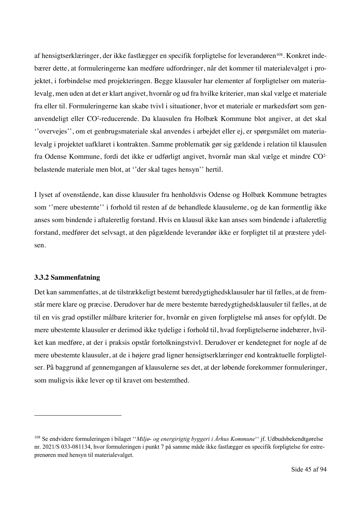af hensigtserklæringer, der ikke fastlægger en specifik forpligtelse for leverandøren<sup>108</sup>. Konkret indebærer dette, at formuleringerne kan medføre udfordringer, når det kommer til materialevalget i projektet, i forbindelse med projekteringen. Begge klausuler har elementer af forpligtelser om materialevalg, men uden at det er klart angivet, hvornår og ud fra hvilke kriterier, man skal vælge et materiale fra eller til. Formuleringerne kan skabe tvivl i situationer, hvor et materiale er markedsført som genanvendeligt eller CO2 -reducerende. Da klausulen fra Holbæk Kommune blot angiver, at det skal ''overvejes'', om et genbrugsmateriale skal anvendes i arbejdet eller ej, er spørgsmålet om materialevalg i projektet uafklaret i kontrakten. Samme problematik gør sig gældende i relation til klausulen fra Odense Kommune, fordi det ikke er udførligt angivet, hvornår man skal vælge et mindre CO2 belastende materiale men blot, at ''der skal tages hensyn'' hertil.

I lyset af ovenstående, kan disse klausuler fra henholdsvis Odense og Holbæk Kommune betragtes som ''mere ubestemte'' i forhold til resten af de behandlede klausulerne, og de kan formentlig ikke anses som bindende i aftaleretlig forstand. Hvis en klausul ikke kan anses som bindende i aftaleretlig forstand, medfører det selvsagt, at den pågældende leverandør ikke er forpligtet til at præstere ydelsen.

### **3.3.2 Sammenfatning**

Det kan sammenfattes, at de tilstrækkeligt bestemt bæredygtighedsklausuler har til fælles, at de fremstår mere klare og præcise. Derudover har de mere bestemte bæredygtighedsklausuler til fælles, at de til en vis grad opstiller målbare kriterier for, hvornår en given forpligtelse må anses for opfyldt. De mere ubestemte klausuler er derimod ikke tydelige i forhold til, hvad forpligtelserne indebærer, hvilket kan medføre, at der i praksis opstår fortolkningstvivl. Derudover er kendetegnet for nogle af de mere ubestemte klausuler, at de i højere grad ligner hensigtserklæringer end kontraktuelle forpligtelser. På baggrund af gennemgangen af klausulerne ses det, at der løbende forekommer formuleringer, som muligvis ikke lever op til kravet om bestemthed.

<sup>108</sup> Se endvidere formuleringen i bilaget ''*Miljø- og energirigtig byggeri i Århus Kommune*'' jf. Udbudsbekendtgørelse nr. 2021/S 033-081134, hvor formuleringen i punkt 7 på samme måde ikke fastlægger en specifik forpligtelse for entreprenøren med hensyn til materialevalget.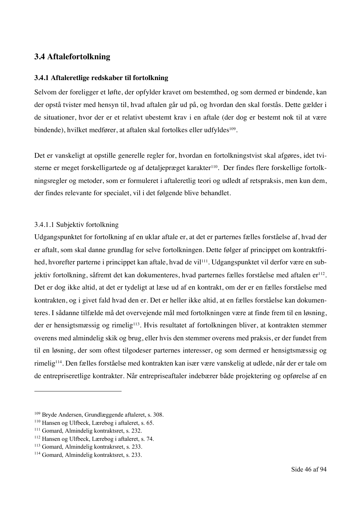# **3.4 Aftalefortolkning**

#### **3.4.1 Aftaleretlige redskaber til fortolkning**

Selvom der foreligger et løfte, der opfylder kravet om bestemthed, og som dermed er bindende, kan der opstå tvister med hensyn til, hvad aftalen går ud på, og hvordan den skal forstås. Dette gælder i de situationer, hvor der er et relativt ubestemt krav i en aftale (der dog er bestemt nok til at være bindende), hvilket medfører, at aftalen skal fortolkes eller udfyldes<sup>109</sup>.

Det er vanskeligt at opstille generelle regler for, hvordan en fortolkningstvist skal afgøres, idet tvisterne er meget forskelligartede og af detaljepræget karakter<sup>110</sup>. Der findes flere forskellige fortolkningsregler og metoder, som er formuleret i aftaleretlig teori og udledt af retspraksis, men kun dem, der findes relevante for specialet, vil i det følgende blive behandlet.

#### 3.4.1.1 Subjektiv fortolkning

Udgangspunktet for fortolkning af en uklar aftale er, at det er parternes fælles forståelse af, hvad der er aftalt, som skal danne grundlag for selve fortolkningen. Dette følger af princippet om kontraktfrihed, hvorefter parterne i princippet kan aftale, hvad de vil<sup>111</sup>. Udgangspunktet vil derfor være en subjektiv fortolkning, såfremt det kan dokumenteres, hvad parternes fælles forståelse med aftalen er<sup>112</sup>. Det er dog ikke altid, at det er tydeligt at læse ud af en kontrakt, om der er en fælles forståelse med kontrakten, og i givet fald hvad den er. Det er heller ikke altid, at en fælles forståelse kan dokumenteres. I sådanne tilfælde må det overvejende mål med fortolkningen være at finde frem til en løsning, der er hensigtsmæssig og rimelig<sup>113</sup>. Hvis resultatet af fortolkningen bliver, at kontrakten stemmer overens med almindelig skik og brug, eller hvis den stemmer overens med praksis, er der fundet frem til en løsning, der som oftest tilgodeser parternes interesser, og som dermed er hensigtsmæssig og rimelig114. Den fælles forståelse med kontrakten kan især være vanskelig at udlede, når der er tale om de entrepriseretlige kontrakter. Når entrepriseaftaler indebærer både projektering og opførelse af en

<sup>109</sup> Bryde Andersen, Grundlæggende aftaleret, s. 308.

<sup>110</sup> Hansen og Ulfbeck, Lærebog i aftaleret, s. 65.

<sup>111</sup> Gomard, Almindelig kontraktsret, s. 232.

<sup>112</sup> Hansen og Ulfbeck, Lærebog i aftaleret, s. 74.

<sup>113</sup> Gomard, Almindelig kontrakrsret, s. 233.

<sup>114</sup> Gomard, Almindelig kontraktsret, s. 233.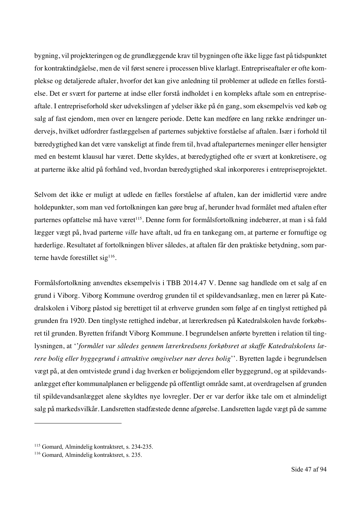bygning, vil projekteringen og de grundlæggende krav til bygningen ofte ikke ligge fast på tidspunktet for kontraktindgåelse, men de vil først senere i processen blive klarlagt. Entrepriseaftaler er ofte komplekse og detaljerede aftaler, hvorfor det kan give anledning til problemer at udlede en fælles forståelse. Det er svært for parterne at indse eller forstå indholdet i en kompleks aftale som en entrepriseaftale. I entrepriseforhold sker udvekslingen af ydelser ikke på én gang, som eksempelvis ved køb og salg af fast ejendom, men over en længere periode. Dette kan medføre en lang række ændringer undervejs, hvilket udfordrer fastlæggelsen af parternes subjektive forståelse af aftalen. Især i forhold til bæredygtighed kan det være vanskeligt at finde frem til, hvad aftaleparternes meninger eller hensigter med en bestemt klausul har været. Dette skyldes, at bæredygtighed ofte er svært at konkretisere, og at parterne ikke altid på forhånd ved, hvordan bæredygtighed skal inkorporeres i entrepriseprojektet.

Selvom det ikke er muligt at udlede en fælles forståelse af aftalen, kan der imidlertid være andre holdepunkter, som man ved fortolkningen kan gøre brug af, herunder hvad formålet med aftalen efter parternes opfattelse må have været<sup>115</sup>. Denne form for formålsfortolkning indebærer, at man i så fald lægger vægt på, hvad parterne *ville* have aftalt, ud fra en tankegang om, at parterne er fornuftige og hæderlige. Resultatet af fortolkningen bliver således, at aftalen får den praktiske betydning, som parterne havde forestillet sig<sup>116</sup>.

Formålsfortolkning anvendtes eksempelvis i TBB 2014.47 V. Denne sag handlede om et salg af en grund i Viborg. Viborg Kommune overdrog grunden til et spildevandsanlæg, men en lærer på Katedralskolen i Viborg påstod sig berettiget til at erhverve grunden som følge af en tinglyst rettighed på grunden fra 1920. Den tinglyste rettighed indebar, at lærerkredsen på Katedralskolen havde forkøbsret til grunden. Byretten frifandt Viborg Kommune. I begrundelsen anførte byretten i relation til tinglysningen, at ''*formålet var således gennem lærerkredsens forkøbsret at skaffe Katedralskolens lærere bolig eller byggegrund i attraktive omgivelser nær deres bolig*''. Byretten lagde i begrundelsen vægt på, at den omtvistede grund i dag hverken er boligejendom eller byggegrund, og at spildevandsanlægget efter kommunalplanen er beliggende på offentligt område samt, at overdragelsen af grunden til spildevandsanlægget alene skyldtes nye lovregler. Der er var derfor ikke tale om et almindeligt salg på markedsvilkår. Landsretten stadfæstede denne afgørelse. Landsretten lagde vægt på de samme

<sup>115</sup> Gomard, Almindelig kontraktsret, s. 234-235.

<sup>116</sup> Gomard, Almindelig kontraktsret, s. 235.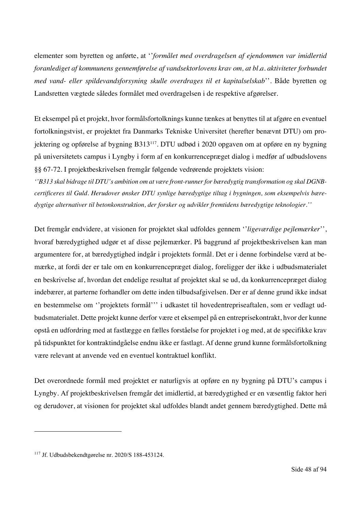elementer som byretten og anførte, at ''*formålet med overdragelsen af ejendommen var imidlertid foranlediget af kommunens gennemførelse af vandsektorlovens krav om, at bl.a. aktiviteter forbundet med vand- eller spildevandsforsyning skulle overdrages til et kapitalselskab*''. Både byretten og Landsretten vægtede således formålet med overdragelsen i de respektive afgørelser.

Et eksempel på et projekt, hvor formålsfortolknings kunne tænkes at benyttes til at afgøre en eventuel fortolkningstvist, er projektet fra Danmarks Tekniske Universitet (herefter benævnt DTU) om projektering og opførelse af bygning B313117. DTU udbød i 2020 opgaven om at opføre en ny bygning på universitetets campus i Lyngby i form af en konkurrencepræget dialog i medfør af udbudslovens §§ 67-72. I projektbeskrivelsen fremgår følgende vedrørende projektets vision:

*''B313 skal bidrage til DTU's ambition om at være front-runner for bæredygtig transformation og skal DGNBcertificeres til Guld. Herudover ønsker DTU synlige bæredygtige tiltag i bygningen, som eksempelvis bæredygtige alternativer til betonkonstruktion, der forsker og udvikler fremtidens bæredygtige teknologier.''*

Det fremgår endvidere, at visionen for projektet skal udfoldes gennem ''*ligeværdige pejlemærker*'', hvoraf bæredygtighed udgør et af disse pejlemærker. På baggrund af projektbeskrivelsen kan man argumentere for, at bæredygtighed indgår i projektets formål. Det er i denne forbindelse værd at bemærke, at fordi der er tale om en konkurrencepræget dialog, foreligger der ikke i udbudsmaterialet en beskrivelse af, hvordan det endelige resultat af projektet skal se ud, da konkurrencepræget dialog indebærer, at parterne forhandler om dette inden tilbudsafgivelsen. Der er af denne grund ikke indsat en bestemmelse om ''projektets formål''' i udkastet til hovedentrepriseaftalen, som er vedlagt udbudsmaterialet. Dette projekt kunne derfor være et eksempel på en entreprisekontrakt, hvor der kunne opstå en udfordring med at fastlægge en fælles forståelse for projektet i og med, at de specifikke krav på tidspunktet for kontraktindgåelse endnu ikke er fastlagt. Af denne grund kunne formålsfortolkning være relevant at anvende ved en eventuel kontraktuel konflikt.

Det overordnede formål med projektet er naturligvis at opføre en ny bygning på DTU's campus i Lyngby. Af projektbeskrivelsen fremgår det imidlertid, at bæredygtighed er en væsentlig faktor heri og derudover, at visionen for projektet skal udfoldes blandt andet gennem bæredygtighed. Dette må

<sup>117</sup> Jf. Udbudsbekendtgørelse nr. 2020/S 188-453124.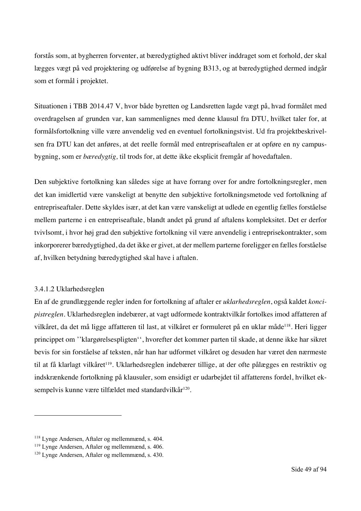forstås som, at bygherren forventer, at bæredygtighed aktivt bliver inddraget som et forhold, der skal lægges vægt på ved projektering og udførelse af bygning B313, og at bæredygtighed dermed indgår som et formål i projektet.

Situationen i TBB 2014.47 V, hvor både byretten og Landsretten lagde vægt på, hvad formålet med overdragelsen af grunden var, kan sammenlignes med denne klausul fra DTU, hvilket taler for, at formålsfortolkning ville være anvendelig ved en eventuel fortolkningstvist. Ud fra projektbeskrivelsen fra DTU kan det anføres, at det reelle formål med entrepriseaftalen er at opføre en ny campusbygning, som er *bæredygtig,* til trods for, at dette ikke eksplicit fremgår af hovedaftalen.

Den subjektive fortolkning kan således sige at have forrang over for andre fortolkningsregler, men det kan imidlertid være vanskeligt at benytte den subjektive fortolkningsmetode ved fortolkning af entrepriseaftaler. Dette skyldes især, at det kan være vanskeligt at udlede en egentlig fælles forståelse mellem parterne i en entrepriseaftale, blandt andet på grund af aftalens kompleksitet. Det er derfor tvivlsomt, i hvor høj grad den subjektive fortolkning vil være anvendelig i entreprisekontrakter, som inkorporerer bæredygtighed, da det ikke er givet, at der mellem parterne foreligger en fælles forståelse af, hvilken betydning bæredygtighed skal have i aftalen.

## 3.4.1.2 Uklarhedsreglen

En af de grundlæggende regler inden for fortolkning af aftaler er *uklarhedsreglen*, også kaldet *koncipistreglen*. Uklarhedsreglen indebærer, at vagt udformede kontraktvilkår fortolkes imod affatteren af vilkåret, da det må ligge affatteren til last, at vilkåret er formuleret på en uklar måde<sup>118</sup>. Heri ligger princippet om ''klargørelsespligten'', hvorefter det kommer parten til skade, at denne ikke har sikret bevis for sin forståelse af teksten, når han har udformet vilkåret og desuden har været den nærmeste til at få klarlagt vilkåret<sup>119</sup>. Uklarhedsreglen indebærer tillige, at der ofte pålægges en restriktiv og indskrænkende fortolkning på klausuler, som ensidigt er udarbejdet til affatterens fordel, hvilket eksempelvis kunne være tilfældet med standardvilkår<sup>120</sup>.

<sup>118</sup> Lynge Andersen, Aftaler og mellemmænd, s. 404.

<sup>119</sup> Lynge Andersen, Aftaler og mellemmænd, s. 406.

<sup>120</sup> Lynge Andersen, Aftaler og mellemmænd, s. 430.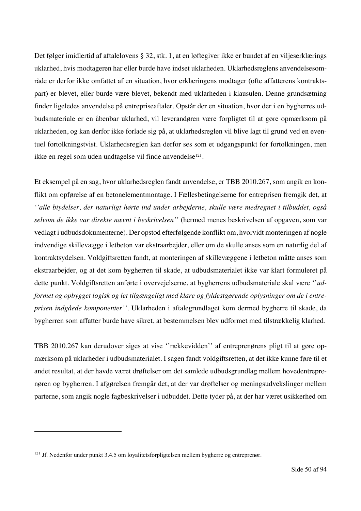Det følger imidlertid af aftalelovens § 32, stk. 1, at en løftegiver ikke er bundet af en viljeserklærings uklarhed, hvis modtageren har eller burde have indset uklarheden. Uklarhedsreglens anvendelsesområde er derfor ikke omfattet af en situation, hvor erklæringens modtager (ofte affatterens kontraktspart) er blevet, eller burde være blevet, bekendt med uklarheden i klausulen. Denne grundsætning finder ligeledes anvendelse på entrepriseaftaler. Opstår der en situation, hvor der i en bygherres udbudsmateriale er en åbenbar uklarhed, vil leverandøren være forpligtet til at gøre opmærksom på uklarheden, og kan derfor ikke forlade sig på, at uklarhedsreglen vil blive lagt til grund ved en eventuel fortolkningstvist. Uklarhedsreglen kan derfor ses som et udgangspunkt for fortolkningen, men ikke en regel som uden undtagelse vil finde anvendelse<sup>121</sup>.

Et eksempel på en sag, hvor uklarhedsreglen fandt anvendelse, er TBB 2010.267, som angik en konflikt om opførelse af en betonelementmontage. I Fællesbetingelserne for entreprisen fremgik det, at *''alle biydelser, der naturligt hørte ind under arbejderne, skulle være medregnet i tilbuddet, også selvom de ikke var direkte nævnt i beskrivelsen''* (hermed menes beskrivelsen af opgaven, som var vedlagt i udbudsdokumenterne). Der opstod efterfølgende konflikt om, hvorvidt monteringen af nogle indvendige skillevægge i letbeton var ekstraarbejder, eller om de skulle anses som en naturlig del af kontraktsydelsen. Voldgiftsretten fandt, at monteringen af skillevæggene i letbeton måtte anses som ekstraarbejder, og at det kom bygherren til skade, at udbudsmaterialet ikke var klart formuleret på dette punkt. Voldgiftsretten anførte i overvejelserne, at bygherrens udbudsmateriale skal være ''*udformet og opbygget logisk og let tilgængeligt med klare og fyldestgørende oplysninger om de i entreprisen indgåede komponenter''*. Uklarheden i aftalegrundlaget kom dermed bygherre til skade, da bygherren som affatter burde have sikret, at bestemmelsen blev udformet med tilstrækkelig klarhed.

TBB 2010.267 kan derudover siges at vise ''rækkevidden'' af entreprenørens pligt til at gøre opmærksom på uklarheder i udbudsmaterialet. I sagen fandt voldgiftsretten, at det ikke kunne føre til et andet resultat, at der havde været drøftelser om det samlede udbudsgrundlag mellem hovedentreprenøren og bygherren. I afgørelsen fremgår det, at der var drøftelser og meningsudvekslinger mellem parterne, som angik nogle fagbeskrivelser i udbuddet. Dette tyder på, at der har været usikkerhed om

<sup>&</sup>lt;sup>121</sup> Jf. Nedenfor under punkt 3.4.5 om loyalitetsforpligtelsen mellem bygherre og entreprenør.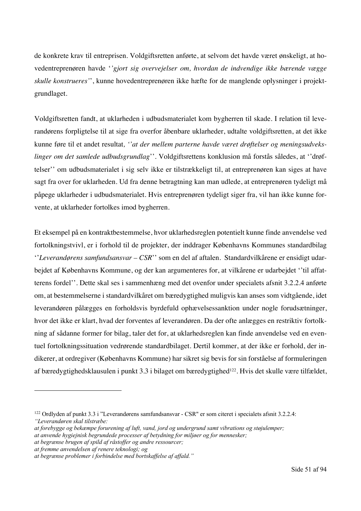de konkrete krav til entreprisen. Voldgiftsretten anførte, at selvom det havde været ønskeligt, at hovedentreprenøren havde '*'gjort sig overvejelser om, hvordan de indvendige ikke bærende vægge skulle konstrueres'*', kunne hovedentreprenøren ikke hæfte for de manglende oplysninger i projektgrundlaget.

Voldgiftsretten fandt, at uklarheden i udbudsmaterialet kom bygherren til skade. I relation til leverandørens forpligtelse til at sige fra overfor åbenbare uklarheder, udtalte voldgiftsretten, at det ikke kunne føre til et andet resultat*, ''at der mellem parterne havde været drøftelser og meningsudvekslinger om det samlede udbudsgrundlag*''. Voldgiftsrettens konklusion må forstås således, at ''drøftelser'' om udbudsmaterialet i sig selv ikke er tilstrækkeligt til, at entreprenøren kan siges at have sagt fra over for uklarheden. Ud fra denne betragtning kan man udlede, at entreprenøren tydeligt må påpege uklarheder i udbudsmaterialet. Hvis entreprenøren tydeligt siger fra, vil han ikke kunne forvente, at uklarheder fortolkes imod bygherren.

Et eksempel på en kontraktbestemmelse, hvor uklarhedsreglen potentielt kunne finde anvendelse ved fortolkningstvivl, er i forhold til de projekter, der inddrager Københavns Kommunes standardbilag ''*Leverandørens samfundsansvar – CSR*'' som en del af aftalen. Standardvilkårene er ensidigt udarbejdet af Københavns Kommune, og der kan argumenteres for, at vilkårene er udarbejdet ''til affatterens fordel''. Dette skal ses i sammenhæng med det ovenfor under specialets afsnit 3.2.2.4 anførte om, at bestemmelserne i standardvilkåret om bæredygtighed muligvis kan anses som vidtgående, idet leverandøren pålægges en forholdsvis byrdefuld ophævelsessanktion under nogle forudsætninger, hvor det ikke er klart, hvad der forventes af leverandøren. Da der ofte anlægges en restriktiv fortolkning af sådanne former for bilag, taler det for, at uklarhedsreglen kan finde anvendelse ved en eventuel fortolkningssituation vedrørende standardbilaget. Dertil kommer, at der ikke er forhold, der indikerer, at ordregiver (Københavns Kommune) har sikret sig bevis for sin forståelse af formuleringen af bæredygtighedsklausulen i punkt 3.3 i bilaget om bæredygtighed<sup>122</sup>. Hvis det skulle være tilfældet,

<sup>122</sup> Ordlyden af punkt 3.3 i "Leverandørens samfundsansvar - CSR" er som citeret i specialets afsnit 3.2.2.4: *"Leverandøren skal tilstræbe:* 

*at forebygge og bekæmpe forurening af luft, vand, jord og undergrund samt vibrations og støjulemper;* 

*at anvende hygiejnisk begrundede processer af betydning for miljøer og for mennesker;* 

*at begrænse brugen af spild af råstoffer og andre ressourcer;* 

*at fremme anvendelsen af renere teknologi; og* 

*at begrænse problemer i forbindelse med bortskaffelse af affald."*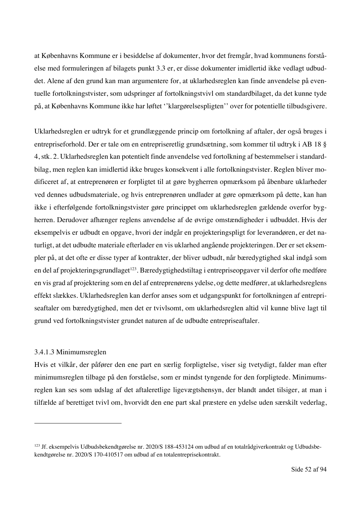at Københavns Kommune er i besiddelse af dokumenter, hvor det fremgår, hvad kommunens forståelse med formuleringen af bilagets punkt 3.3 er, er disse dokumenter imidlertid ikke vedlagt udbuddet. Alene af den grund kan man argumentere for, at uklarhedsreglen kan finde anvendelse på eventuelle fortolkningstvister, som udspringer af fortolkningstvivl om standardbilaget, da det kunne tyde på, at Københavns Kommune ikke har løftet ''klargørelsespligten'' over for potentielle tilbudsgivere.

Uklarhedsreglen er udtryk for et grundlæggende princip om fortolkning af aftaler, der også bruges i entrepriseforhold. Der er tale om en entrepriseretlig grundsætning, som kommer til udtryk i AB 18 § 4, stk. 2. Uklarhedsreglen kan potentielt finde anvendelse ved fortolkning af bestemmelser i standardbilag, men reglen kan imidlertid ikke bruges konsekvent i alle fortolkningstvister. Reglen bliver modificeret af, at entreprenøren er forpligtet til at gøre bygherren opmærksom på åbenbare uklarheder ved dennes udbudsmateriale, og hvis entreprenøren undlader at gøre opmærksom på dette, kan han ikke i efterfølgende fortolkningstvister gøre princippet om uklarhedsreglen gældende overfor bygherren. Derudover afhænger reglens anvendelse af de øvrige omstændigheder i udbuddet. Hvis der eksempelvis er udbudt en opgave, hvori der indgår en projekteringspligt for leverandøren, er det naturligt, at det udbudte materiale efterlader en vis uklarhed angående projekteringen. Der er set eksempler på, at det ofte er disse typer af kontrakter, der bliver udbudt, når bæredygtighed skal indgå som en del af projekteringsgrundlaget<sup>123</sup>. Bæredygtighedstiltag i entrepriseopgaver vil derfor ofte medføre en vis grad af projektering som en del af entreprenørens ydelse, og dette medfører, at uklarhedsreglens effekt slækkes. Uklarhedsreglen kan derfor anses som et udgangspunkt for fortolkningen af entrepriseaftaler om bæredygtighed, men det er tvivlsomt, om uklarhedsreglen altid vil kunne blive lagt til grund ved fortolkningstvister grundet naturen af de udbudte entrepriseaftaler.

### 3.4.1.3 Minimumsreglen

Hvis et vilkår, der påfører den ene part en særlig forpligtelse, viser sig tvetydigt, falder man efter minimumsreglen tilbage på den forståelse, som er mindst tyngende for den forpligtede. Minimumsreglen kan ses som udslag af det aftaleretlige ligevægtshensyn, der blandt andet tilsiger, at man i tilfælde af berettiget tvivl om, hvorvidt den ene part skal præstere en ydelse uden særskilt vederlag,

<sup>123</sup> Jf. eksempelvis Udbudsbekendtgørelse nr. 2020/S 188-453124 om udbud af en totalrådgiverkontrakt og Udbudsbekendtgørelse nr. 2020/S 170-410517 om udbud af en totalentreprisekontrakt.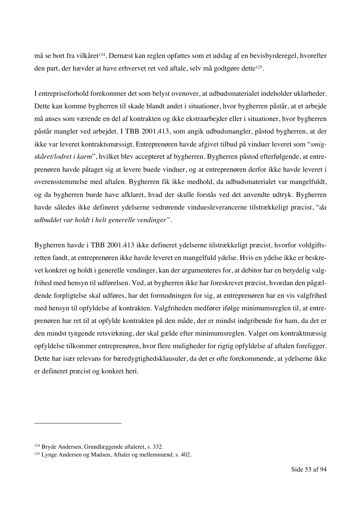må se bort fra vilkåret<sup>124</sup>. Dernæst kan reglen opfattes som et udslag af en bevisbyrderegel, hvorefter den part, der hævder at have erhvervet ret ved aftale, selv må godtgøre dette<sup>125</sup>.

I entrepriseforhold forekommer det som belyst ovenover, at udbudsmaterialet indeholder uklarheder. Dette kan komme bygherren til skade blandt andet i situationer, hvor bygherren påstår, at et arbejde må anses som værende en del af kontrakten og ikke ekstraarbejder eller i situationer, hvor bygherren påstår mangler ved arbejdet. I TBB 2001.413, som angik udbudsmangler, påstod bygherren, at der ikke var leveret kontraktsmæssigt. Entreprenøren havde afgivet tilbud på vinduer leveret som "*smigskåret/lodret i karm*", hvilket blev accepteret af bygherren. Bygherren påstod efterfølgende, at entreprenøren havde påtaget sig at levere buede vinduer, og at entreprenøren derfor ikke havde leveret i overensstemmelse med aftalen. Bygherren fik ikke medhold, da udbudsmaterialet var mangelfuldt, og da bygherren burde have afklaret, hvad der skulle forstås ved det anvendte udtryk. Bygherren havde således ikke defineret ydelserne vedrørende vinduesleverancerne tilstrækkeligt præcist, "*da udbuddet var holdt i helt generelle vendinger"*.

Bygherren havde i TBB 2001.413 ikke defineret ydelserne tilstrækkeligt præcist, hvorfor voldgiftsretten fandt, at entreprenøren ikke havde leveret en mangelfuld ydelse. Hvis en ydelse ikke er beskrevet konkret og holdt i generelle vendinger, kan der argumenteres for, at debitor har en betydelig valgfrihed med hensyn til udførelsen. Ved, at bygherren ikke har foreskrevet præcist, hvordan den pågældende forpligtelse skal udføres, har det formodningen for sig, at entreprenøren har en vis valgfrihed med hensyn til opfyldelse af kontrakten. Valgfriheden medfører ifølge minimumsreglen til, at entreprenøren har ret til at opfylde kontrakten på den måde, der er mindst indgribende for ham, da det er den mindst tyngende retsvirkning, der skal gælde efter minimumsreglen. Valget om kontraktmæssig opfyldelse tilkommer entreprenøren, hvor flere muligheder for rigtig opfyldelse af aftalen foreligger. Dette har især relevans for bæredygtighedsklausuler, da det er ofte forekommende, at ydelserne ikke er defineret præcist og konkret heri.

<sup>124</sup> Bryde Andersen, Grundlæggende aftaleret, s. 332.

<sup>125</sup> Lynge Andersen og Madsen, Aftaler og mellemmænd, s. 402.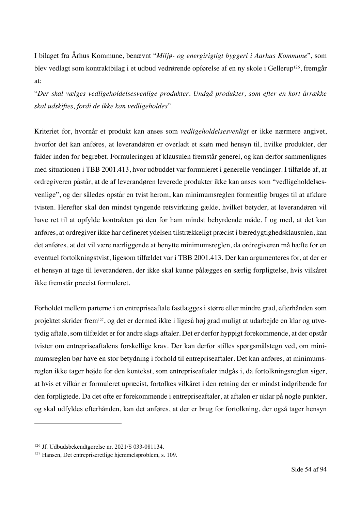I bilaget fra Århus Kommune, benævnt "*Miljø- og energirigtigt byggeri i Aarhus Kommune*", som blev vedlagt som kontraktbilag i et udbud vedrørende opførelse af en ny skole i Gellerup<sup>126</sup>, fremgår at:

"*Der skal vælges vedligeholdelsesvenlige produkter. Undgå produkter, som efter en kort årrække skal udskiftes, fordi de ikke kan vedligeholdes*".

Kriteriet for, hvornår et produkt kan anses som *vedligeholdelsesvenligt* er ikke nærmere angivet, hvorfor det kan anføres, at leverandøren er overladt et skøn med hensyn til, hvilke produkter, der falder inden for begrebet. Formuleringen af klausulen fremstår generel, og kan derfor sammenlignes med situationen i TBB 2001.413, hvor udbuddet var formuleret i generelle vendinger. I tilfælde af, at ordregiveren påstår, at de af leverandøren leverede produkter ikke kan anses som "vedligeholdelsesvenlige", og der således opstår en tvist herom, kan minimumsreglen formentlig bruges til at afklare tvisten. Herefter skal den mindst tyngende retsvirkning gælde, hvilket betyder, at leverandøren vil have ret til at opfylde kontrakten på den for ham mindst bebyrdende måde. I og med, at det kan anføres, at ordregiver ikke har defineret ydelsen tilstrækkeligt præcist i bæredygtighedsklausulen, kan det anføres, at det vil være nærliggende at benytte minimumsreglen, da ordregiveren må hæfte for en eventuel fortolkningstvist, ligesom tilfældet var i TBB 2001.413. Der kan argumenteres for, at der er et hensyn at tage til leverandøren, der ikke skal kunne pålægges en særlig forpligtelse, hvis vilkåret ikke fremstår præcist formuleret.

Forholdet mellem parterne i en entrepriseaftale fastlægges i større eller mindre grad, efterhånden som projektet skrider frem127, og det er dermed ikke i ligeså høj grad muligt at udarbejde en klar og utvetydig aftale, som tilfældet er for andre slags aftaler. Det er derfor hyppigt forekommende, at der opstår tvister om entrepriseaftalens forskellige krav. Der kan derfor stilles spørgsmålstegn ved, om minimumsreglen bør have en stor betydning i forhold til entrepriseaftaler. Det kan anføres, at minimumsreglen ikke tager højde for den kontekst, som entrepriseaftaler indgås i, da fortolkningsreglen siger, at hvis et vilkår er formuleret upræcist, fortolkes vilkåret i den retning der er mindst indgribende for den forpligtede. Da det ofte er forekommende i entrepriseaftaler, at aftalen er uklar på nogle punkter, og skal udfyldes efterhånden, kan det anføres, at der er brug for fortolkning, der også tager hensyn

<sup>126</sup> Jf. Udbudsbekendtgørelse nr. 2021/S 033-081134.

<sup>127</sup> Hansen, Det entrepriseretlige hjemmelsproblem, s. 109.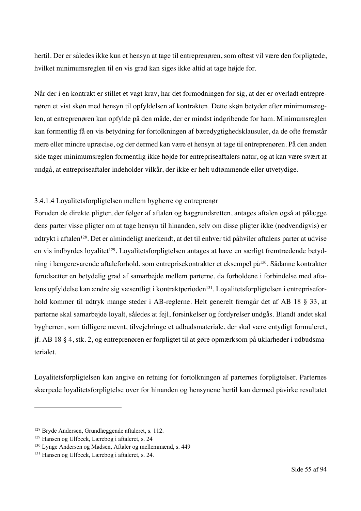hertil. Der er således ikke kun et hensyn at tage til entreprenøren, som oftest vil være den forpligtede, hvilket minimumsreglen til en vis grad kan siges ikke altid at tage højde for.

Når der i en kontrakt er stillet et vagt krav, har det formodningen for sig, at der er overladt entreprenøren et vist skøn med hensyn til opfyldelsen af kontrakten. Dette skøn betyder efter minimumsreglen, at entreprenøren kan opfylde på den måde, der er mindst indgribende for ham. Minimumsreglen kan formentlig få en vis betydning for fortolkningen af bæredygtighedsklausuler, da de ofte fremstår mere eller mindre upræcise, og der dermed kan være et hensyn at tage til entreprenøren. På den anden side tager minimumsreglen formentlig ikke højde for entrepriseaftalers natur, og at kan være svært at undgå, at entrepriseaftaler indeholder vilkår, der ikke er helt udtømmende eller utvetydige.

# 3.4.1.4 Loyalitetsforpligtelsen mellem bygherre og entreprenør

Foruden de direkte pligter, der følger af aftalen og baggrundsretten, antages aftalen også at pålægge dens parter visse pligter om at tage hensyn til hinanden, selv om disse pligter ikke (nødvendigvis) er udtrykt i aftalen<sup>128</sup>. Det er almindeligt anerkendt, at det til enhver tid påhviler aftalens parter at udvise en vis indbyrdes loyalitet<sup>129</sup>. Loyalitetsforpligtelsen antages at have en særligt fremtrædende betydning i længerevarende aftaleforhold, som entreprisekontrakter et eksempel på130. Sådanne kontrakter forudsætter en betydelig grad af samarbejde mellem parterne, da forholdene i forbindelse med aftalens opfyldelse kan ændre sig væsentligt i kontraktperioden<sup>131</sup>. Loyalitetsforpligtelsen i entrepriseforhold kommer til udtryk mange steder i AB-reglerne. Helt generelt fremgår det af AB 18 § 33, at parterne skal samarbejde loyalt, således at fejl, forsinkelser og fordyrelser undgås. Blandt andet skal bygherren, som tidligere nævnt, tilvejebringe et udbudsmateriale, der skal være entydigt formuleret, jf. AB 18 § 4, stk. 2, og entreprenøren er forpligtet til at gøre opmærksom på uklarheder i udbudsmaterialet.

Loyalitetsforpligtelsen kan angive en retning for fortolkningen af parternes forpligtelser. Parternes skærpede loyalitetsforpligtelse over for hinanden og hensynene hertil kan dermed påvirke resultatet

<sup>128</sup> Bryde Andersen, Grundlæggende aftaleret, s. 112.

<sup>129</sup> Hansen og Ulfbeck, Lærebog i aftaleret, s. 24

<sup>130</sup> Lynge Andersen og Madsen, Aftaler og mellemmænd, s. 449

<sup>131</sup> Hansen og Ulfbeck, Lærebog i aftaleret, s. 24.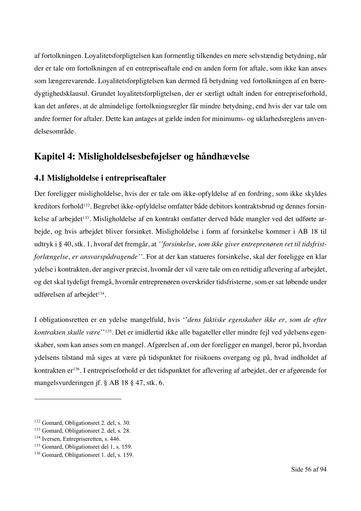af fortolkningen. Loyalitetsforpligtelsen kan formentlig tilkendes en mere selvstændig betydning, når der er tale om fortolkningen af en entrepriseaftale end en anden form for aftale, som ikke kan anses som længerevarende. Loyalitetsforpligtelsen kan dermed få betydning ved fortolkningen af en bæredygtighedsklausul. Grundet loyalitetsforpligtelsen, der er særligt udtalt inden for entrepriseforhold, kan det anføres, at de almindelige fortolkningsregler får mindre betydning, end hvis der var tale om andre former for aftaler. Dette kan antages at gælde inden for minimums- og uklarhedsreglens anvendelsesområde.

# **Kapitel 4: Misligholdelsesbeføjelser og håndhævelse**

# **4.1 Misligholdelse i entrepriseaftaler**

Der foreligger misligholdelse, hvis der er tale om ikke-opfyldelse af en fordring, som ikke skyldes kreditors forhold132. Begrebet ikke-opfyldelse omfatter både debitors kontraktsbrud og dennes forsinkelse af arbejdet<sup>133</sup>. Misligholdelse af en kontrakt omfatter derved både mangler ved det udførte arbejde, og hvis arbejdet bliver forsinket. Misligholdelse i form af forsinkelse kommer i AB 18 til udtryk i § 40, stk. 1, hvoraf det fremgår, at *''forsinkelse, som ikke giver entreprenøren ret til tidsfristforlængelse, er ansvarspådragende''.* For at der kan statueres forsinkelse, skal der foreligge en klar ydelse i kontrakten, der angiver præcist, hvornår der vil være tale om en rettidig aflevering af arbejdet, og det skal tydeligt fremgå, hvornår entreprenøren overskrider tidsfristerne, som er sat løbende under udførelsen af arbejdet<sup>134</sup>.

I obligationsretten er en ydelse mangelfuld, hvis ''*dens faktiske egenskaber ikke er, som de efter kontrakten skulle være*''135. Det er imidlertid ikke alle bagateller eller mindre fejl ved ydelsens egenskaber, som kan anses som en mangel. Afgørelsen af, om der foreligger en mangel, beror på, hvordan ydelsens tilstand må siges at være på tidspunktet for risikoens overgang og på, hvad indholdet af kontrakten er136. I entrepriseforhold er det tidspunktet for aflevering af arbejdet, der er afgørende for mangelsvurderingen jf. § AB 18 § 47, stk. 6.

<sup>132</sup> Gomard, Obligationsret 2. del, s. 30.

<sup>&</sup>lt;sup>133</sup> Gomard, Obligationsret 2. del, s. 28.<br><sup>134</sup> Iversen, Entrepriseretten, s. 446.

<sup>135</sup> Gomard, Obligationsret del 1, s. 159.

<sup>136</sup> Gomard, Obligationsret 1. del, s. 159.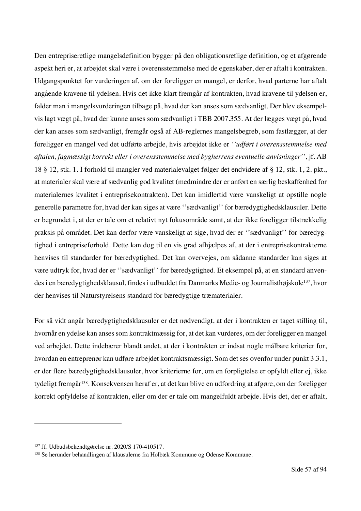Den entrepriseretlige mangelsdefinition bygger på den obligationsretlige definition, og et afgørende aspekt heri er, at arbejdet skal være i overensstemmelse med de egenskaber, der er aftalt i kontrakten. Udgangspunktet for vurderingen af, om der foreligger en mangel, er derfor, hvad parterne har aftalt angående kravene til ydelsen. Hvis det ikke klart fremgår af kontrakten, hvad kravene til ydelsen er, falder man i mangelsvurderingen tilbage på, hvad der kan anses som sædvanligt. Der blev eksempelvis lagt vægt på, hvad der kunne anses som sædvanligt i TBB 2007.355. At der lægges vægt på, hvad der kan anses som sædvanligt, fremgår også af AB-reglernes mangelsbegreb, som fastlægger, at der foreligger en mangel ved det udførte arbejde, hvis arbejdet ikke er *''udført i overensstemmelse med aftalen, fagmæssigt korrekt eller i overensstemmelse med bygherrens eventuelle anvisninger'',* jf. AB 18 § 12, stk. 1. I forhold til mangler ved materialevalget følger det endvidere af § 12, stk. 1, 2. pkt., at materialer skal være af sædvanlig god kvalitet (medmindre der er anført en særlig beskaffenhed for materialernes kvalitet i entreprisekontrakten). Det kan imidlertid være vanskeligt at opstille nogle generelle parametre for, hvad der kan siges at være ''sædvanligt'' for bæredygtighedsklausuler. Dette er begrundet i, at der er tale om et relativt nyt fokusområde samt, at der ikke foreligger tilstrækkelig praksis på området. Det kan derfor være vanskeligt at sige, hvad der er ''sædvanligt'' for bæredygtighed i entrepriseforhold. Dette kan dog til en vis grad afhjælpes af, at der i entreprisekontrakterne henvises til standarder for bæredygtighed. Det kan overvejes, om sådanne standarder kan siges at være udtryk for, hvad der er ''sædvanligt'' for bæredygtighed. Et eksempel på, at en standard anvendes i en bæredygtighedsklausul, findes i udbuddet fra Danmarks Medie- og Journalisthøjskole137, hvor der henvises til Naturstyrelsens standard for bæredygtige træmaterialer.

For så vidt angår bæredygtighedsklausuler er det nødvendigt, at der i kontrakten er taget stilling til, hvornår en ydelse kan anses som kontraktmæssig for, at det kan vurderes, om der foreligger en mangel ved arbejdet. Dette indebærer blandt andet, at der i kontrakten er indsat nogle målbare kriterier for, hvordan en entreprenør kan udføre arbejdet kontraktsmæssigt. Som det ses ovenfor under punkt 3.3.1, er der flere bæredygtighedsklausuler, hvor kriterierne for, om en forpligtelse er opfyldt eller ej, ikke tydeligt fremgår138. Konsekvensen heraf er, at det kan blive en udfordring at afgøre, om der foreligger korrekt opfyldelse af kontrakten, eller om der er tale om mangelfuldt arbejde. Hvis det, der er aftalt,

<sup>137</sup> Jf. Udbudsbekendtgørelse nr. 2020/S 170-410517.

<sup>138</sup> Se herunder behandlingen af klausulerne fra Holbæk Kommune og Odense Kommune.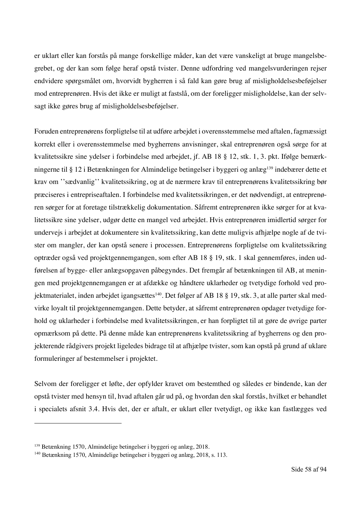er uklart eller kan forstås på mange forskellige måder, kan det være vanskeligt at bruge mangelsbegrebet, og der kan som følge heraf opstå tvister. Denne udfordring ved mangelsvurderingen rejser endvidere spørgsmålet om, hvorvidt bygherren i så fald kan gøre brug af misligholdelsesbeføjelser mod entreprenøren. Hvis det ikke er muligt at fastslå, om der foreligger misligholdelse, kan der selvsagt ikke gøres brug af misligholdelsesbeføjelser.

Foruden entreprenørens forpligtelse til at udføre arbejdet i overensstemmelse med aftalen, fagmæssigt korrekt eller i overensstemmelse med bygherrens anvisninger, skal entreprenøren også sørge for at kvalitetssikre sine ydelser i forbindelse med arbejdet, jf. AB 18 § 12, stk. 1, 3. pkt. Ifølge bemærkningerne til § 12 i Betænkningen for Almindelige betingelser i byggeri og anlæg139 indebærer dette et krav om ''sædvanlig'' kvalitetssikring, og at de nærmere krav til entreprenørens kvalitetssikring bør præciseres i entrepriseaftalen. I forbindelse med kvalitetssikringen, er det nødvendigt, at entreprenøren sørger for at foretage tilstrækkelig dokumentation. Såfremt entreprenøren ikke sørger for at kvalitetssikre sine ydelser, udgør dette en mangel ved arbejdet. Hvis entreprenøren imidlertid sørger for undervejs i arbejdet at dokumentere sin kvalitetssikring, kan dette muligvis afhjælpe nogle af de tvister om mangler, der kan opstå senere i processen. Entreprenørens forpligtelse om kvalitetssikring optræder også ved projektgennemgangen, som efter AB 18 § 19, stk. 1 skal gennemføres, inden udførelsen af bygge- eller anlægsopgaven påbegyndes. Det fremgår af betænkningen til AB, at meningen med projektgennemgangen er at afdække og håndtere uklarheder og tvetydige forhold ved projektmaterialet, inden arbejdet igangsættes<sup>140</sup>. Det følger af AB 18 § 19, stk. 3, at alle parter skal medvirke loyalt til projektgennemgangen. Dette betyder, at såfremt entreprenøren opdager tvetydige forhold og uklarheder i forbindelse med kvalitetssikringen, er han forpligtet til at gøre de øvrige parter opmærksom på dette. På denne måde kan entreprenørens kvalitetssikring af bygherrens og den projekterende rådgivers projekt ligeledes bidrage til at afhjælpe tvister, som kan opstå på grund af uklare formuleringer af bestemmelser i projektet.

Selvom der foreligger et løfte, der opfylder kravet om bestemthed og således er bindende, kan der opstå tvister med hensyn til, hvad aftalen går ud på, og hvordan den skal forstås, hvilket er behandlet i specialets afsnit 3.4. Hvis det, der er aftalt, er uklart eller tvetydigt, og ikke kan fastlægges ved

<sup>139</sup> Betænkning 1570, Almindelige betingelser i byggeri og anlæg, 2018.

<sup>140</sup> Betænkning 1570, Almindelige betingelser i byggeri og anlæg, 2018, s. 113.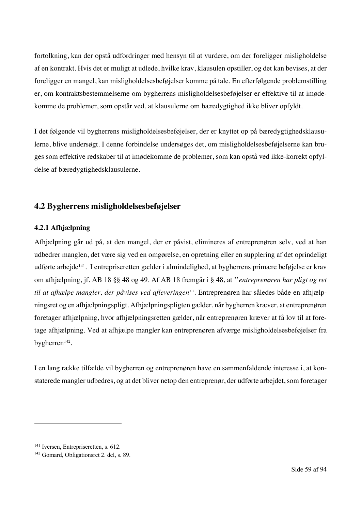fortolkning, kan der opstå udfordringer med hensyn til at vurdere, om der foreligger misligholdelse af en kontrakt. Hvis det er muligt at udlede, hvilke krav, klausulen opstiller, og det kan bevises, at der foreligger en mangel, kan misligholdelsesbeføjelser komme på tale. En efterfølgende problemstilling er, om kontraktsbestemmelserne om bygherrens misligholdelsesbeføjelser er effektive til at imødekomme de problemer, som opstår ved, at klausulerne om bæredygtighed ikke bliver opfyldt.

I det følgende vil bygherrens misligholdelsesbeføjelser, der er knyttet op på bæredygtighedsklausulerne, blive undersøgt. I denne forbindelse undersøges det, om misligholdelsesbeføjelserne kan bruges som effektive redskaber til at imødekomme de problemer, som kan opstå ved ikke-korrekt opfyldelse af bæredygtighedsklausulerne.

# **4.2 Bygherrens misligholdelsesbeføjelser**

# **4.2.1 Afhjælpning**

Afhjælpning går ud på, at den mangel, der er påvist, elimineres af entreprenøren selv, ved at han udbedrer manglen, det være sig ved en omgørelse, en opretning eller en supplering af det oprindeligt udførte arbejde141. I entrepriseretten gælder i almindelighed, at bygherrens primære beføjelse er krav om afhjælpning, jf. AB 18 §§ 48 og 49. Af AB 18 fremgår i § 48, at ''*entreprenøren har pligt og ret til at afhælpe mangler, der påvises ved afleveringen''.* Entreprenøren har således både en afhjælpningsret og en afhjælpningspligt. Afhjælpningspligten gælder, når bygherren kræver, at entreprenøren foretager afhjælpning, hvor afhjælpningsretten gælder, når entreprenøren kræver at få lov til at foretage afhjælpning. Ved at afhjælpe mangler kan entreprenøren afværge misligholdelsesbeføjelser fra bygherren<sup>142</sup>.

I en lang række tilfælde vil bygherren og entreprenøren have en sammenfaldende interesse i, at konstaterede mangler udbedres, og at det bliver netop den entreprenør, der udførte arbejdet, som foretager

<sup>&</sup>lt;sup>141</sup> Iversen, Entrepriseretten, s. 612.

<sup>&</sup>lt;sup>142</sup> Gomard, Obligationsret 2. del, s. 89.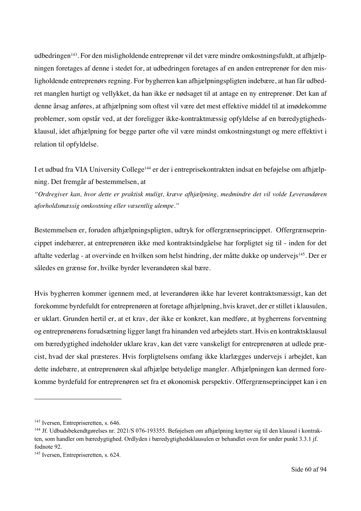udbedringen<sup>143</sup>. For den misligholdende entreprenør vil det være mindre omkostningsfuldt, at afhjælpningen foretages af denne i stedet for, at udbedringen foretages af en anden entreprenør for den misligholdende entreprenørs regning. For bygherren kan afhjælpningspligten indebære, at han får udbedret manglen hurtigt og vellykket, da han ikke er nødsaget til at antage en ny entreprenør. Det kan af denne årsag anføres, at afhjælpning som oftest vil være det mest effektive middel til at imødekomme problemer, som opstår ved, at der foreligger ikke-kontraktmæssig opfyldelse af en bæredygtighedsklausul, idet afhjælpning for begge parter ofte vil være mindst omkostningstungt og mere effektivt i relation til opfyldelse.

I et udbud fra VIA University College144 er der i entreprisekontrakten indsat en beføjelse om afhjælpning. Det fremgår af bestemmelsen, at

*"Ordregiver kan, hvor dette er praktisk muligt, kræve afhjælpning, medmindre det vil volde Leverandøren uforholdsmæssig omkostning eller væsentlig ulempe."*

Bestemmelsen er, foruden afhjælpningspligten, udtryk for offergrænseprincippet. Offergrænseprincippet indebærer, at entreprenøren ikke med kontraktsindgåelse har forpligtet sig til - inden for det aftalte vederlag - at overvinde en hvilken som helst hindring, der måtte dukke op undervejs145. Der er således en grænse for, hvilke byrder leverandøren skal bære.

Hvis bygherren kommer igennem med, at leverandøren ikke har leveret kontraktsmæssigt, kan det forekomme byrdefuldt for entreprenøren at foretage afhjælpning, hvis kravet, der er stillet i klausulen, er uklart. Grunden hertil er, at et krav, der ikke er konkret, kan medføre, at bygherrens forventning og entreprenørens forudsætning ligger langt fra hinanden ved arbejdets start. Hvis en kontraktsklausul om bæredygtighed indeholder uklare krav, kan det være vanskeligt for entreprenøren at udlede præcist, hvad der skal præsteres. Hvis forpligtelsens omfang ikke klarlægges undervejs i arbejdet, kan dette indebære, at entreprenøren skal afhjælpe betydelige mangler. Afhjælpningen kan dermed forekomme byrdefuld for entreprenøren set fra et økonomisk perspektiv. Offergrænseprincippet kan i en

<sup>&</sup>lt;sup>143</sup> Iversen, Entrepriseretten, s. 646.

<sup>144</sup> Jf. Udbudsbekendtgørelses nr. 2021/S 076-193355. Beføjelsen om afhjælpning knytter sig til den klausul i kontrakten, som handler om bæredygtighed. Ordlyden i bæredygtighedsklausulen er behandlet oven for under punkt 3.3.1 jf. fodnote 92.

<sup>&</sup>lt;sup>145</sup> Iversen, Entrepriseretten, s. 624.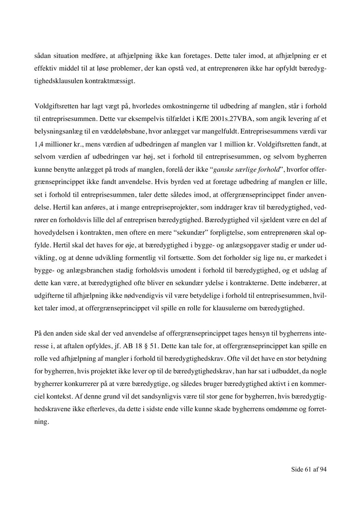sådan situation medføre, at afhjælpning ikke kan foretages. Dette taler imod, at afhjælpning er et effektiv middel til at løse problemer, der kan opstå ved, at entreprenøren ikke har opfyldt bæredygtighedsklausulen kontraktmæssigt.

Voldgiftsretten har lagt vægt på, hvorledes omkostningerne til udbedring af manglen, står i forhold til entreprisesummen. Dette var eksempelvis tilfældet i KfE 2001s.27VBA, som angik levering af et belysningsanlæg til en væddeløbsbane, hvor anlægget var mangelfuldt. Entreprisesummens værdi var 1,4 millioner kr., mens værdien af udbedringen af manglen var 1 million kr. Voldgiftsretten fandt, at selvom værdien af udbedringen var høj, set i forhold til entreprisesummen, og selvom bygherren kunne benytte anlægget på trods af manglen, forelå der ikke "*ganske særlige forhold*", hvorfor offergrænseprincippet ikke fandt anvendelse. Hvis byrden ved at foretage udbedring af manglen er lille, set i forhold til entreprisesummen, taler dette således imod, at offergrænseprincippet finder anvendelse. Hertil kan anføres, at i mange entrepriseprojekter, som inddrager krav til bæredygtighed, vedrører en forholdsvis lille del af entreprisen bæredygtighed. Bæredygtighed vil sjældent være en del af hovedydelsen i kontrakten, men oftere en mere "sekundær" forpligtelse, som entreprenøren skal opfylde. Hertil skal det haves for øje, at bæredygtighed i bygge- og anlægsopgaver stadig er under udvikling, og at denne udvikling formentlig vil fortsætte. Som det forholder sig lige nu, er markedet i bygge- og anlægsbranchen stadig forholdsvis umodent i forhold til bæredygtighed, og et udslag af dette kan være, at bæredygtighed ofte bliver en sekundær ydelse i kontrakterne. Dette indebærer, at udgifterne til afhjælpning ikke nødvendigvis vil være betydelige i forhold til entreprisesummen, hvilket taler imod, at offergrænseprincippet vil spille en rolle for klausulerne om bæredygtighed.

På den anden side skal der ved anvendelse af offergrænseprincippet tages hensyn til bygherrens interesse i, at aftalen opfyldes, jf. AB 18 § 51. Dette kan tale for, at offergrænseprincippet kan spille en rolle ved afhjælpning af mangler i forhold til bæredygtighedskrav. Ofte vil det have en stor betydning for bygherren, hvis projektet ikke lever op til de bæredygtighedskrav, han har sat i udbuddet, da nogle bygherrer konkurrerer på at være bæredygtige, og således bruger bæredygtighed aktivt i en kommerciel kontekst. Af denne grund vil det sandsynligvis være til stor gene for bygherren, hvis bæredygtighedskravene ikke efterleves, da dette i sidste ende ville kunne skade bygherrens omdømme og forretning.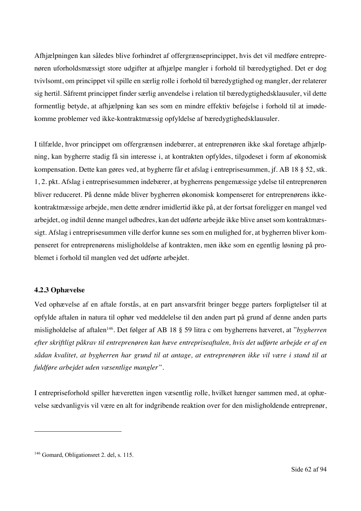Afhjælpningen kan således blive forhindret af offergrænseprincippet, hvis det vil medføre entreprenøren uforholdsmæssigt store udgifter at afhjælpe mangler i forhold til bæredygtighed. Det er dog tvivlsomt, om princippet vil spille en særlig rolle i forhold til bæredygtighed og mangler, der relaterer sig hertil. Såfremt princippet finder særlig anvendelse i relation til bæredygtighedsklausuler, vil dette formentlig betyde, at afhjælpning kan ses som en mindre effektiv beføjelse i forhold til at imødekomme problemer ved ikke-kontraktmæssig opfyldelse af bæredygtighedsklausuler.

I tilfælde, hvor princippet om offergrænsen indebærer, at entreprenøren ikke skal foretage afhjælpning, kan bygherre stadig få sin interesse i, at kontrakten opfyldes, tilgodeset i form af økonomisk kompensation. Dette kan gøres ved, at bygherre får et afslag i entreprisesummen, jf. AB 18 § 52, stk. 1, 2. pkt. Afslag i entreprisesummen indebærer, at bygherrens pengemæssige ydelse til entreprenøren bliver reduceret. På denne måde bliver bygherren økonomisk kompenseret for entreprenørens ikkekontraktmæssige arbejde, men dette ændrer imidlertid ikke på, at der fortsat foreligger en mangel ved arbejdet, og indtil denne mangel udbedres, kan det udførte arbejde ikke blive anset som kontraktmæssigt. Afslag i entreprisesummen ville derfor kunne ses som en mulighed for, at bygherren bliver kompenseret for entreprenørens misligholdelse af kontrakten, men ikke som en egentlig løsning på problemet i forhold til manglen ved det udførte arbejdet.

# **4.2.3 Ophævelse**

Ved ophævelse af en aftale forstås, at en part ansvarsfrit bringer begge parters forpligtelser til at opfylde aftalen in natura til ophør ved meddelelse til den anden part på grund af denne anden parts misligholdelse af aftalen146. Det følger af AB 18 § 59 litra c om bygherrens hæveret, at "*bygherren efter skriftligt påkrav til entreprenøren kan hæve entrepriseaftalen, hvis det udførte arbejde er af en sådan kvalitet, at bygherren har grund til at antage, at entreprenøren ikke vil være i stand til at fuldføre arbejdet uden væsentlige mangler".* 

I entrepriseforhold spiller hæveretten ingen væsentlig rolle, hvilket hænger sammen med, at ophævelse sædvanligvis vil være en alt for indgribende reaktion over for den misligholdende entreprenør,

<sup>&</sup>lt;sup>146</sup> Gomard, Obligationsret 2. del, s. 115.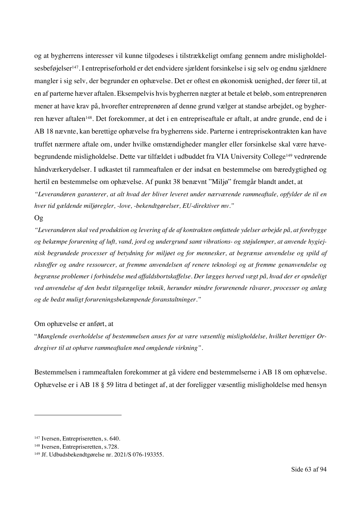og at bygherrens interesser vil kunne tilgodeses i tilstrækkeligt omfang gennem andre misligholdelsesbeføjelser<sup>147</sup>. I entrepriseforhold er det endvidere sjældent forsinkelse i sig selv og endnu sjældnere mangler i sig selv*,* der begrunder en ophævelse. Det er oftest en økonomisk uenighed, der fører til, at en af parterne hæver aftalen. Eksempelvis hvis bygherren nægter at betale et beløb, som entreprenøren mener at have krav på, hvorefter entreprenøren af denne grund vælger at standse arbejdet, og bygherren hæver aftalen<sup>148</sup>. Det forekommer, at det i en entrepriseaftale er aftalt, at andre grunde, end de i AB 18 nævnte, kan berettige ophævelse fra bygherrens side. Parterne i entreprisekontrakten kan have truffet nærmere aftale om, under hvilke omstændigheder mangler eller forsinkelse skal være hævebegrundende misligholdelse. Dette var tilfældet i udbuddet fra VIA University College<sup>149</sup> vedrørende håndværkerydelser. I udkastet til rammeaftalen er der indsat en bestemmelse om bæredygtighed og hertil en bestemmelse om ophævelse. Af punkt 38 benævnt "Miljø" fremgår blandt andet, at

*"Leverandøren garanterer, at alt hvad der bliver leveret under nærværende rammeaftale, opfylder de til en hver tid gældende miljøregler, -love, -bekendtgørelser, EU-direktiver mv."* 

#### Og

*"Leverandøren skal ved produktion og levering af de af kontrakten omfattede ydelser arbejde på, at forebygge og bekæmpe forurening af luft, vand, jord og undergrund samt vibrations- og støjulemper, at anvende hygiejnisk begrundede processer af betydning for miljøet og for mennesker, at begrænse anvendelse og spild af råstoffer og andre ressourcer, at fremme anvendelsen af renere teknologi og at fremme genanvendelse og begrænse problemer i forbindelse med affaldsbortskaffelse. Der lægges herved vægt på, hvad der er opnåeligt ved anvendelse af den bedst tilgængelige teknik, herunder mindre forurenende råvarer, processer og anlæg og de bedst muligt forureningsbekæmpende foranstaltninger."*

### Om ophævelse er anført, at

"*Manglende overholdelse af bestemmelsen anses for at være væsentlig misligholdelse, hvilket berettiger Ordregiver til at ophæve rammeaftalen med omgående virkning".* 

Bestemmelsen i rammeaftalen forekommer at gå videre end bestemmelserne i AB 18 om ophævelse. Ophævelse er i AB 18 § 59 litra d betinget af, at der foreligger væsentlig misligholdelse med hensyn

<sup>&</sup>lt;sup>147</sup> Iversen, Entrepriseretten, s. 640.

<sup>148</sup> Iversen, Entrepriseretten, s.728.

<sup>149</sup> Jf. Udbudsbekendtgørelse nr. 2021/S 076-193355.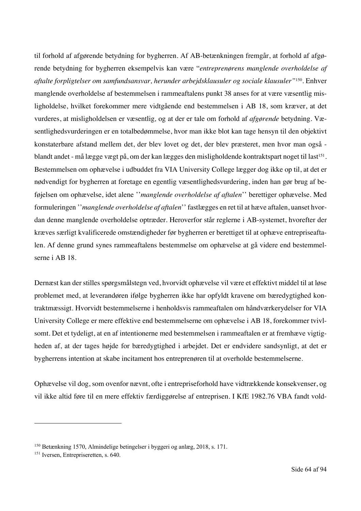til forhold af afgørende betydning for bygherren. Af AB-betænkningen fremgår, at forhold af afgørende betydning for bygherren eksempelvis kan være "*entreprenørens manglende overholdelse af aftalte forpligtelser om samfundsansvar, herunder arbejdsklausuler og sociale klausuler"*150*.* Enhver manglende overholdelse af bestemmelsen i rammeaftalens punkt 38 anses for at være væsentlig misligholdelse, hvilket forekommer mere vidtgående end bestemmelsen i AB 18, som kræver, at det vurderes, at misligholdelsen er væsentlig*,* og at der er tale om forhold af *afgørende* betydning. Væsentlighedsvurderingen er en totalbedømmelse, hvor man ikke blot kan tage hensyn til den objektivt konstaterbare afstand mellem det, der blev lovet og det, der blev præsteret, men hvor man også blandt andet - må lægge vægt på, om der kan lægges den misligholdende kontraktspart noget til last<sup>151</sup>. Bestemmelsen om ophævelse i udbuddet fra VIA University College lægger dog ikke op til, at det er nødvendigt for bygherren at foretage en egentlig væsentlighedsvurdering, inden han gør brug af beføjelsen om ophævelse, idet alene ''*manglende overholdelse af aftalen*'' berettiger ophævelse. Med formuleringen ''*manglende overholdelse af aftalen*'' fastlægges en ret til at hæve aftalen, uanset hvordan denne manglende overholdelse optræder. Heroverfor står reglerne i AB-systemet, hvorefter der kræves særligt kvalificerede omstændigheder før bygherren er berettiget til at ophæve entrepriseaftalen. Af denne grund synes rammeaftalens bestemmelse om ophævelse at gå videre end bestemmelserne i AB 18.

Dernæst kan der stilles spørgsmålstegn ved, hvorvidt ophævelse vil være et effektivt middel til at løse problemet med, at leverandøren ifølge bygherren ikke har opfyldt kravene om bæredygtighed kontraktmæssigt. Hvorvidt bestemmelserne i henholdsvis rammeaftalen om håndværkerydelser for VIA University College er mere effektive end bestemmelserne om ophævelse i AB 18, forekommer tvivlsomt. Det et tydeligt, at en af intentionerne med bestemmelsen i rammeaftalen er at fremhæve vigtigheden af, at der tages højde for bæredygtighed i arbejdet. Det er endvidere sandsynligt, at det er bygherrens intention at skabe incitament hos entreprenøren til at overholde bestemmelserne.

Ophævelse vil dog, som ovenfor nævnt, ofte i entrepriseforhold have vidtrækkende konsekvenser, og vil ikke altid føre til en mere effektiv færdiggørelse af entreprisen. I KfE 1982.76 VBA fandt vold-

<sup>150</sup> Betænkning 1570, Almindelige betingelser i byggeri og anlæg, 2018, s. 171.

<sup>&</sup>lt;sup>151</sup> Iversen, Entrepriseretten, s. 640.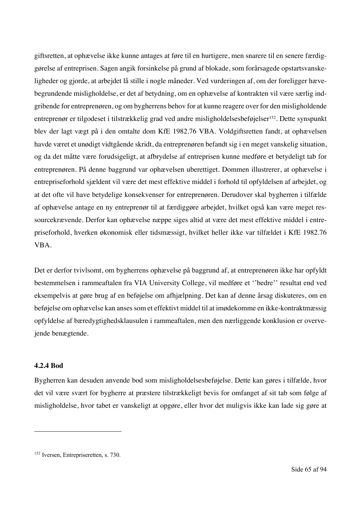giftsretten, at ophævelse ikke kunne antages at føre til en hurtigere, men snarere til en senere færdiggørelse af entreprisen. Sagen angik forsinkelse på grund af blokade, som forårsagede opstartsvanskeligheder og gjorde, at arbejdet lå stille i nogle måneder. Ved vurderingen af, om der foreligger hævebegrundende misligholdelse, er det af betydning, om en ophævelse af kontrakten vil være særlig indgribende for entreprenøren, og om bygherrens behov for at kunne reagere over for den misligholdende entreprenør er tilgodeset i tilstrækkelig grad ved andre misligholdelsesbeføjelser<sup>152</sup>. Dette synspunkt blev der lagt vægt på i den omtalte dom KfE 1982.76 VBA. Voldgiftsretten fandt, at ophævelsen havde været et unødigt vidtgående skridt, da entreprenøren befandt sig i en meget vanskelig situation, og da det måtte være forudsigeligt, at afbrydelse af entreprisen kunne medføre et betydeligt tab for entreprenøren. På denne baggrund var ophævelsen uberettiget. Dommen illustrerer, at ophævelse i entrepriseforhold sjældent vil være det mest effektive middel i forhold til opfyldelsen af arbejdet, og at det ofte vil have betydelige konsekvenser for entreprenøren. Derudover skal bygherren i tilfælde af ophævelse antage en ny entreprenør til at færdiggøre arbejdet, hvilket også kan være meget ressourcekrævende. Derfor kan ophævelse næppe siges altid at være det mest effektive middel i entrepriseforhold, hverken økonomisk eller tidsmæssigt, hvilket heller ikke var tilfældet i KfE 1982.76 VBA.

Det er derfor tvivlsomt, om bygherrens ophævelse på baggrund af, at entreprenøren ikke har opfyldt bestemmelsen i rammeaftalen fra VIA University College, vil medføre et ''bedre'' resultat end ved eksempelvis at gøre brug af en beføjelse om afhjælpning. Det kan af denne årsag diskuteres, om en beføjelse om ophævelse kan anses som et effektivt middel til at imødekomme en ikke-kontraktmæssig opfyldelse af bæredygtighedsklausulen i rammeaftalen, men den nærliggende konklusion er overvejende benægtende.

### **4.2.4 Bod**

Bygherren kan desuden anvende bod som misligholdelsesbeføjelse. Dette kan gøres i tilfælde, hvor det vil være svært for bygherre at præstere tilstrækkeligt bevis for omfanget af sit tab som følge af misligholdelse, hvor tabet er vanskeligt at opgøre, eller hvor det muligvis ikke kan lade sig gøre at

<sup>152</sup> Iversen, Entrepriseretten, s. 730.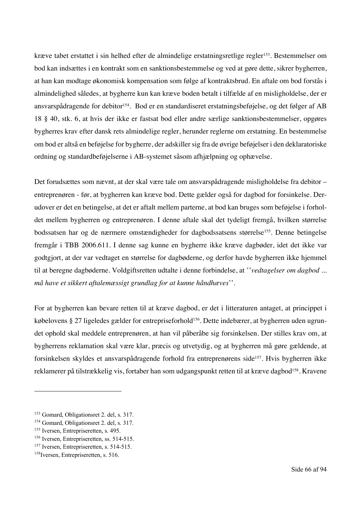kræve tabet erstattet i sin helhed efter de almindelige erstatningsretlige regler<sup>153</sup>. Bestemmelser om bod kan indsættes i en kontrakt som en sanktionsbestemmelse og ved at gøre dette, sikrer bygherren, at han kan modtage økonomisk kompensation som følge af kontraktsbrud. En aftale om bod forstås i almindelighed således, at bygherre kun kan kræve boden betalt i tilfælde af en misligholdelse, der er ansvarspådragende for debitor<sup>154</sup>. Bod er en standardiseret erstatningsbeføjelse, og det følger af AB 18 § 40, stk. 6, at hvis der ikke er fastsat bod eller andre særlige sanktionsbestemmelser, opgøres bygherres krav efter dansk rets almindelige regler, herunder reglerne om erstatning. En bestemmelse om bod er altså en beføjelse for bygherre, der adskiller sig fra de øvrige beføjelser i den deklaratoriske ordning og standardbeføjelserne i AB-systemet såsom afhjælpning og ophævelse.

Det forudsættes som nævnt, at der skal være tale om ansvarspådragende misligholdelse fra debitor – entreprenøren - før, at bygherren kan kræve bod. Dette gælder også for dagbod for forsinkelse. Derudover er det en betingelse, at det er aftalt mellem parterne, at bod kan bruges som beføjelse i forholdet mellem bygherren og entreprenøren. I denne aftale skal det tydeligt fremgå, hvilken størrelse bodssatsen har og de nærmere omstændigheder for dagbodssatsens størrelse<sup>155</sup>. Denne betingelse fremgår i TBB 2006.611. I denne sag kunne en bygherre ikke kræve dagbøder, idet det ikke var godtgjort, at der var vedtaget en størrelse for dagbøderne, og derfor havde bygherren ikke hjemmel til at beregne dagbøderne. Voldgiftsretten udtalte i denne forbindelse, at ''*vedtagelser om dagbod ... må have et sikkert aftalemæssigt grundlag for at kunne håndhæves*''.

For at bygherren kan bevare retten til at kræve dagbod, er det i litteraturen antaget, at princippet i købelovens § 27 ligeledes gælder for entrepriseforhold<sup>156</sup>. Dette indebærer, at bygherren uden ugrundet ophold skal meddele entreprenøren, at han vil påberåbe sig forsinkelsen. Der stilles krav om, at bygherrens reklamation skal være klar, præcis og utvetydig, og at bygherren må gøre gældende, at forsinkelsen skyldes et ansvarspådragende forhold fra entreprenørens side<sup>157</sup>. Hvis bygherren ikke reklamerer på tilstrækkelig vis, fortaber han som udgangspunkt retten til at kræve dagbod<sup>158</sup>. Kravene

<sup>153</sup> Gomard, Obligationsret 2. del, s. 317.

<sup>154</sup> Gomard, Obligationsret 2. del, s. 317.

<sup>&</sup>lt;sup>155</sup> Iversen, Entrepriseretten, s. 495.

<sup>156</sup> Iversen, Entrepriseretten, ss. 514-515.

<sup>&</sup>lt;sup>157</sup> Iversen, Entrepriseretten, s. 514-515.

<sup>&</sup>lt;sup>158</sup>Iversen, Entrepriseretten, s. 516.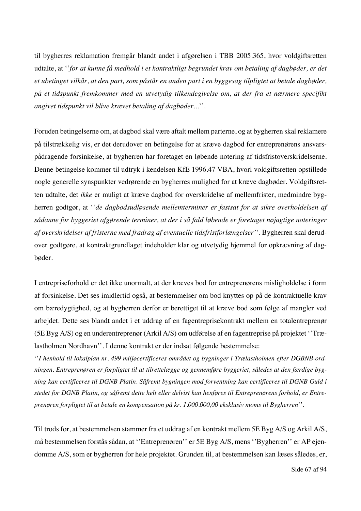til bygherres reklamation fremgår blandt andet i afgørelsen i TBB 2005.365, hvor voldgiftsretten udtalte, at ''*for at kunne få medhold i et kontraktligt begrundet krav om betaling af dagbøder, er det et ubetinget vilkår, at den part, som påstår en anden part i en byggesag tilpligtet at betale dagbøder, på et tidspunkt fremkommer med en utvetydig tilkendegivelse om, at der fra et nærmere specifikt angivet tidspunkt vil blive krævet betaling af dagbøder...*''.

Foruden betingelserne om, at dagbod skal være aftalt mellem parterne, og at bygherren skal reklamere på tilstrækkelig vis, er det derudover en betingelse for at kræve dagbod for entreprenørens ansvarspådragende forsinkelse, at bygherren har foretaget en løbende notering af tidsfristoverskridelserne. Denne betingelse kommer til udtryk i kendelsen KfE 1996.47 VBA, hvori voldgiftsretten opstillede nogle generelle synspunkter vedrørende en bygherres mulighed for at kræve dagbøder. Voldgiftsretten udtalte, det *ikke* er muligt at kræve dagbod for overskridelse af mellemfrister, medmindre bygherren godtgør, at '*'de dagbodsudløsende mellemterminer er fastsat for at sikre overholdelsen af sådanne for byggeriet afgørende terminer, at der i så fald løbende er foretaget nøjagtige noteringer af overskridelser af fristerne med fradrag af eventuelle tidsfristforlængelser''.* Bygherren skal derudover godtgøre, at kontraktgrundlaget indeholder klar og utvetydig hjemmel for opkrævning af dagbøder.

I entrepriseforhold er det ikke unormalt, at der kræves bod for entreprenørens misligholdelse i form af forsinkelse. Det ses imidlertid også, at bestemmelser om bod knyttes op på de kontraktuelle krav om bæredygtighed, og at bygherren derfor er berettiget til at kræve bod som følge af mangler ved arbejdet. Dette ses blandt andet i et uddrag af en fagentreprisekontrakt mellem en totalentreprenør (5E Byg A/S) og en underentreprenør (Arkil A/S) om udførelse af en fagentreprise på projektet ''Trælastholmen Nordhavn''. I denne kontrakt er der indsat følgende bestemmelse:

''*I henhold til lokalplan nr. 499 miljøcertificeres området og bygninger i Trælastholmen efter DGBNB-ordningen. Entreprenøren er forpligtet til at tilrettelægge og gennemføre byggeriet, således at den færdige bygning kan certificeres til DGNB Platin. Såfremt bygningen mod forventning kan certificeres til DGNB Guld i stedet for DGNB Platin, og såfremt dette helt eller delvist kan henføres til Entreprenørens forhold, er Entreprenøren forpligtet til at betale en kompensation på kr. 1.000.000,00 eksklusiv moms til Bygherren*''.

Til trods for, at bestemmelsen stammer fra et uddrag af en kontrakt mellem 5E Byg A/S og Arkil A/S, må bestemmelsen forstås sådan, at ''Entreprenøren'' er 5E Byg A/S, mens ''Bygherren'' er AP ejendomme A/S, som er bygherren for hele projektet. Grunden til, at bestemmelsen kan læses således, er,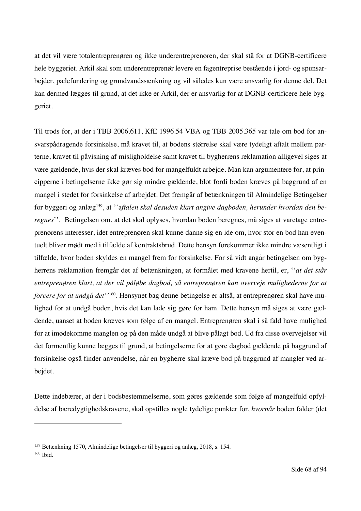at det vil være totalentreprenøren og ikke underentreprenøren, der skal stå for at DGNB-certificere hele byggeriet. Arkil skal som underentreprenør levere en fagentreprise bestående i jord- og spunsarbejder, pælefundering og grundvandssænkning og vil således kun være ansvarlig for denne del. Det kan dermed lægges til grund, at det ikke er Arkil, der er ansvarlig for at DGNB-certificere hele byggeriet.

Til trods for, at der i TBB 2006.611, KfE 1996.54 VBA og TBB 2005.365 var tale om bod for ansvarspådragende forsinkelse, må kravet til, at bodens størrelse skal være tydeligt aftalt mellem parterne, kravet til påvisning af misligholdelse samt kravet til bygherrens reklamation alligevel siges at være gældende, hvis der skal kræves bod for mangelfuldt arbejde. Man kan argumentere for, at principperne i betingelserne ikke gør sig mindre gældende, blot fordi boden kræves på baggrund af en mangel i stedet for forsinkelse af arbejdet. Det fremgår af betænkningen til Almindelige Betingelser for byggeri og anlæg159, at ''a*ftalen skal desuden klart angive dagboden, herunder hvordan den beregnes*''. Betingelsen om, at det skal oplyses, hvordan boden beregnes, må siges at varetage entreprenørens interesser, idet entreprenøren skal kunne danne sig en ide om, hvor stor en bod han eventuelt bliver mødt med i tilfælde af kontraktsbrud. Dette hensyn forekommer ikke mindre væsentligt i tilfælde, hvor boden skyldes en mangel frem for forsinkelse. For så vidt angår betingelsen om bygherrens reklamation fremgår det af betænkningen, at formålet med kravene hertil, er, ''*at det står entreprenøren klart, at der vil påløbe dagbod, så entreprenøren kan overveje mulighederne for at forcere for at undgå det''*160. Hensynet bag denne betingelse er altså, at entreprenøren skal have mulighed for at undgå boden, hvis det kan lade sig gøre for ham. Dette hensyn må siges at være gældende, uanset at boden kræves som følge af en mangel. Entreprenøren skal i så fald have mulighed for at imødekomme manglen og på den måde undgå at blive pålagt bod. Ud fra disse overvejelser vil det formentlig kunne lægges til grund, at betingelserne for at gøre dagbod gældende på baggrund af forsinkelse også finder anvendelse, når en bygherre skal kræve bod på baggrund af mangler ved arbejdet.

Dette indebærer, at der i bodsbestemmelserne, som gøres gældende som følge af mangelfuld opfyldelse af bæredygtighedskravene, skal opstilles nogle tydelige punkter for, *hvornår* boden falder (det

<sup>159</sup> Betænkning 1570, Almindelige betingelser til byggeri og anlæg, 2018, s. 154. <sup>160</sup> Ibid.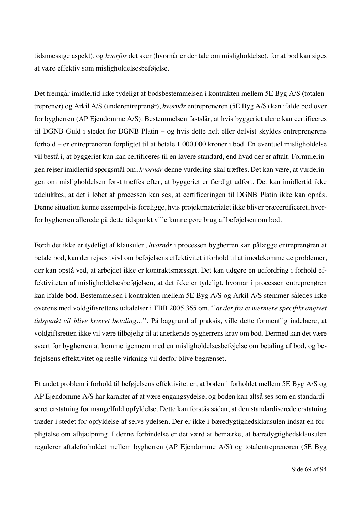tidsmæssige aspekt), og *hvorfor* det sker (hvornår er der tale om misligholdelse), for at bod kan siges at være effektiv som misligholdelsesbeføjelse.

Det fremgår imidlertid ikke tydeligt af bodsbestemmelsen i kontrakten mellem 5E Byg A/S (totalentreprenør) og Arkil A/S (underentreprenør), *hvornår* entreprenøren (5E Byg A/S) kan ifalde bod over for bygherren (AP Ejendomme A/S). Bestemmelsen fastslår, at hvis byggeriet alene kan certificeres til DGNB Guld i stedet for DGNB Platin – og hvis dette helt eller delvist skyldes entreprenørens forhold – er entreprenøren forpligtet til at betale 1.000.000 kroner i bod. En eventuel misligholdelse vil bestå i, at byggeriet kun kan certificeres til en lavere standard, end hvad der er aftalt. Formuleringen rejser imidlertid spørgsmål om, *hvornår* denne vurdering skal træffes. Det kan være, at vurderingen om misligholdelsen først træffes efter, at byggeriet er færdigt udført. Det kan imidlertid ikke udelukkes, at det i løbet af processen kan ses, at certificeringen til DGNB Platin ikke kan opnås. Denne situation kunne eksempelvis foreligge, hvis projektmaterialet ikke bliver præcertificeret, hvorfor bygherren allerede på dette tidspunkt ville kunne gøre brug af beføjelsen om bod.

Fordi det ikke er tydeligt af klausulen, *hvornår* i processen bygherren kan pålægge entreprenøren at betale bod, kan der rejses tvivl om beføjelsens effektivitet i forhold til at imødekomme de problemer, der kan opstå ved, at arbejdet ikke er kontraktsmæssigt. Det kan udgøre en udfordring i forhold effektiviteten af misligholdelsesbeføjelsen, at det ikke er tydeligt, hvornår i processen entreprenøren kan ifalde bod. Bestemmelsen i kontrakten mellem 5E Byg A/S og Arkil A/S stemmer således ikke overens med voldgiftsrettens udtalelser i TBB 2005.365 om, ''*at der fra et nærmere specifikt angivet tidspunkt vil blive krævet betaling...''.* På baggrund af praksis, ville dette formentlig indebære, at voldgiftsretten ikke vil være tilbøjelig til at anerkende bygherrens krav om bod. Dermed kan det være svært for bygherren at komme igennem med en misligholdelsesbeføjelse om betaling af bod, og beføjelsens effektivitet og reelle virkning vil derfor blive begrænset.

Et andet problem i forhold til beføjelsens effektivitet er, at boden i forholdet mellem 5E Byg A/S og AP Ejendomme A/S har karakter af at være engangsydelse, og boden kan altså ses som en standardiseret erstatning for mangelfuld opfyldelse. Dette kan forstås sådan, at den standardiserede erstatning træder i stedet for opfyldelse af selve ydelsen. Der er ikke i bæredygtighedsklausulen indsat en forpligtelse om afhjælpning. I denne forbindelse er det værd at bemærke, at bæredygtighedsklausulen regulerer aftaleforholdet mellem bygherren (AP Ejendomme A/S) og totalentreprenøren (5E Byg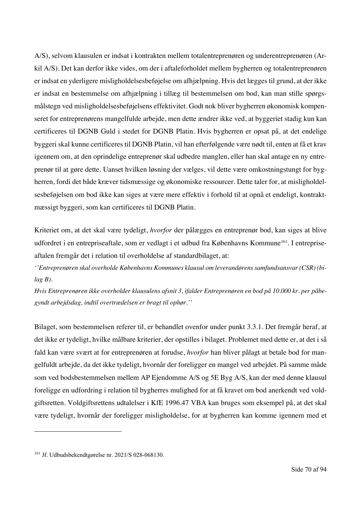A/S), selvom klausulen er indsat i kontrakten mellem totalentreprenøren og underentreprenøren (Arkil A/S). Det kan derfor ikke vides, om der i aftaleforholdet mellem bygherren og totalentreprenøren er indsat en yderligere misligholdelsesbeføjelse om afhjælpning. Hvis det lægges til grund, at der ikke er indsat en bestemmelse om afhjælpning i tillæg til bestemmelsen om bod, kan man stille spørgsmålstegn ved misligholdelsesbeføjelsens effektivitet. Godt nok bliver bygherren økonomisk kompenseret for entreprenørens mangelfulde arbejde, men dette ændrer ikke ved, at byggeriet stadig kun kan certificeres til DGNB Guld i stedet for DGNB Platin. Hvis bygherren er opsat på, at det endelige byggeri skal kunne certificeres til DGNB Platin, vil han efterfølgende være nødt til, enten at få et krav igennem om, at den oprindelige entreprenør skal udbedre manglen, eller han skal antage en ny entreprenør til at gøre dette. Uanset hvilken løsning der vælges, vil dette være omkostningstungt for bygherren, fordi det både kræver tidsmæssige og økonomiske ressourcer. Dette taler for, at misligholdelsesbeføjelsen om bod ikke kan siges at være mere effektiv i forhold til at opnå et endeligt, kontraktmæssigt byggeri, som kan certificeres til DGNB Platin.

Kriteriet om, at det skal være tydeligt, *hvorfor* der pålægges en entreprenør bod, kan siges at blive udfordret i en entrepriseaftale, som er vedlagt i et udbud fra Københavns Kommune<sup>161</sup>. I entrepriseaftalen fremgår det i relation til overholdelse af standardbilaget, at:

*''Entreprenøren skal overholde Københavns Kommunes klausul om leverandørens samfundsansvar (CSR) (bilag B).*

*Hvis Entreprenøren ikke overholder klausulens afsnit 3, ifalder Entreprenøren en bod på 10.000 kr. per påbegyndt arbejdsdag, indtil overtrædelsen er bragt til ophør.''*

Bilaget, som bestemmelsen referer til, er behandlet ovenfor under punkt 3.3.1. Det fremgår heraf, at det ikke er tydeligt, hvilke målbare kriterier, der opstilles i bilaget. Problemet med dette er, at det i så fald kan være svært at for entreprenøren at forudse, *hvorfor* han bliver pålagt at betale bod for mangelfuldt arbejde, da det ikke tydeligt, hvornår der foreligger en mangel ved arbejdet. På samme måde som ved bodsbestemmelsen mellem AP Ejendomme A/S og 5E Byg A/S, kan der med denne klausul foreligge en udfordring i relation til bygherres mulighed for at få kravet om bod anerkendt ved voldgiftsretten. Voldgiftsrettens udtalelser i KfE 1996.47 VBA kan bruges som eksempel på, at det skal være tydeligt, hvornår der foreligger misligholdelse, for at bygherren kan komme igennem med et

<sup>161</sup> Jf. Udbudsbekendtgørelse nr. 2021/S 028-068130.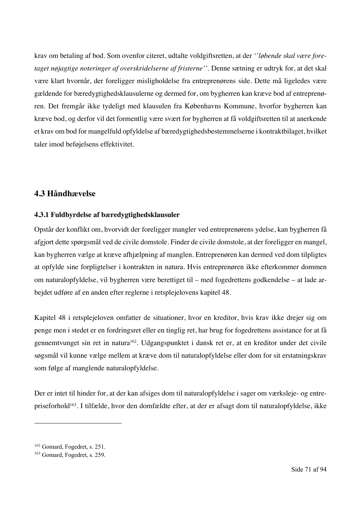krav om betaling af bod. Som ovenfor citeret, udtalte voldgiftsretten, at der *''løbende skal være foretaget nøjagtige noteringer af overskridelserne af fristerne''*. Denne sætning er udtryk for, at det skal være klart hvornår, der foreligger misligholdelse fra entreprenørens side. Dette må ligeledes være gældende for bæredygtighedsklausulerne og dermed for, om bygherren kan kræve bod af entreprenøren. Det fremgår ikke tydeligt med klausulen fra Københavns Kommune, hvorfor bygherren kan kræve bod, og derfor vil det formentlig være svært for bygherren at få voldgiftsretten til at anerkende et krav om bod for mangelfuld opfyldelse af bæredygtighedsbestemmelserne i kontraktbilaget, hvilket taler imod beføjelsens effektivitet.

# **4.3 Håndhævelse**

# **4.3.1 Fuldbyrdelse af bæredygtighedsklausuler**

Opstår der konflikt om, hvorvidt der foreligger mangler ved entreprenørens ydelse, kan bygherren få afgjort dette spørgsmål ved de civile domstole. Finder de civile domstole, at der foreligger en mangel, kan bygherren vælge at kræve afhjælpning af manglen. Entreprenøren kan dermed ved dom tilpligtes at opfylde sine forpligtelser i kontrakten in natura. Hvis entreprenøren ikke efterkommer dommen om naturalopfyldelse, vil bygherren være berettiget til – med fogedrettens godkendelse – at lade arbejdet udføre af en anden efter reglerne i retsplejelovens kapitel 48.

Kapitel 48 i retsplejeloven omfatter de situationer, hvor en kreditor, hvis krav ikke drejer sig om penge men i stedet er en fordringsret eller en tinglig ret, har brug for fogedrettens assistance for at få gennemtvunget sin ret in natura162. Udgangspunktet i dansk ret er, at en kreditor under det civile søgsmål vil kunne vælge mellem at kræve dom til naturalopfyldelse eller dom for sit erstatningskrav som følge af manglende naturalopfyldelse.

Der er intet til hinder for, at der kan afsiges dom til naturalopfyldelse i sager om værksleje- og entrepriseforhold163. I tilfælde, hvor den domfældte efter, at der er afsagt dom til naturalopfyldelse, ikke

<sup>162</sup> Gomard, Fogedret, s. 251.

<sup>163</sup> Gomard, Fogedret, s. 259.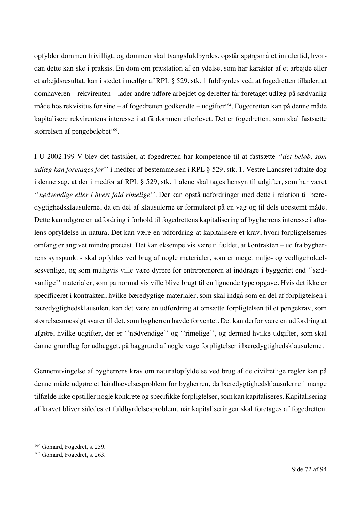opfylder dommen frivilligt, og dommen skal tvangsfuldbyrdes, opstår spørgsmålet imidlertid, hvordan dette kan ske i praksis. En dom om præstation af en ydelse, som har karakter af et arbejde eller et arbejdsresultat, kan i stedet i medfør af RPL § 529, stk. 1 fuldbyrdes ved, at fogedretten tillader, at domhaveren – rekvirenten – lader andre udføre arbejdet og derefter får foretaget udlæg på sædvanlig måde hos rekvisitus for sine – af fogedretten godkendte – udgifter<sup>164</sup>. Fogedretten kan på denne måde kapitalisere rekvirentens interesse i at få dommen efterlevet. Det er fogedretten, som skal fastsætte størrelsen af pengebeløbet<sup>165</sup>.

I U 2002.199 V blev det fastslået, at fogedretten har kompetence til at fastsætte ''*det beløb, som udlæg kan foretages for*'' i medfør af bestemmelsen i RPL § 529, stk. 1. Vestre Landsret udtalte dog i denne sag, at der i medfør af RPL § 529, stk. 1 alene skal tages hensyn til udgifter, som har været ''*nødvendige eller i hvert fald rimelige''*. Der kan opstå udfordringer med dette i relation til bæredygtighedsklausulerne, da en del af klausulerne er formuleret på en vag og til dels ubestemt måde. Dette kan udgøre en udfordring i forhold til fogedrettens kapitalisering af bygherrens interesse i aftalens opfyldelse in natura. Det kan være en udfordring at kapitalisere et krav, hvori forpligtelsernes omfang er angivet mindre præcist. Det kan eksempelvis være tilfældet, at kontrakten – ud fra bygherrens synspunkt - skal opfyldes ved brug af nogle materialer, som er meget miljø- og vedligeholdelsesvenlige, og som muligvis ville være dyrere for entreprenøren at inddrage i byggeriet end ''sædvanlige'' materialer, som på normal vis ville blive brugt til en lignende type opgave. Hvis det ikke er specificeret i kontrakten, hvilke bæredygtige materialer, som skal indgå som en del af forpligtelsen i bæredygtighedsklausulen, kan det være en udfordring at omsætte forpligtelsen til et pengekrav, som størrelsesmæssigt svarer til det, som bygherren havde forventet. Det kan derfor være en udfordring at afgøre, hvilke udgifter, der er ''nødvendige'' og ''rimelige'', og dermed hvilke udgifter, som skal danne grundlag for udlægget, på baggrund af nogle vage forpligtelser i bæredygtighedsklausulerne.

Gennemtvingelse af bygherrens krav om naturalopfyldelse ved brug af de civilretlige regler kan på denne måde udgøre et håndhævelsesproblem for bygherren, da bæredygtighedsklausulerne i mange tilfælde ikke opstiller nogle konkrete og specifikke forpligtelser, som kan kapitaliseres. Kapitalisering af kravet bliver således et fuldbyrdelsesproblem, når kapitaliseringen skal foretages af fogedretten.

<sup>164</sup> Gomard, Fogedret, s. 259.

<sup>165</sup> Gomard, Fogedret, s. 263.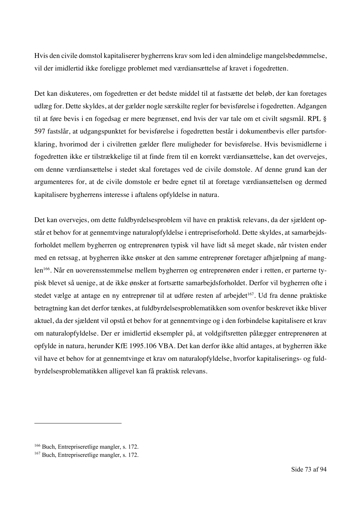Hvis den civile domstol kapitaliserer bygherrens krav som led i den almindelige mangelsbedømmelse, vil der imidlertid ikke foreligge problemet med værdiansættelse af kravet i fogedretten.

Det kan diskuteres, om fogedretten er det bedste middel til at fastsætte det beløb, der kan foretages udlæg for. Dette skyldes, at der gælder nogle særskilte regler for bevisførelse i fogedretten. Adgangen til at føre bevis i en fogedsag er mere begrænset, end hvis der var tale om et civilt søgsmål. RPL § 597 fastslår, at udgangspunktet for bevisførelse i fogedretten består i dokumentbevis eller partsforklaring, hvorimod der i civilretten gælder flere muligheder for bevisførelse. Hvis bevismidlerne i fogedretten ikke er tilstrækkelige til at finde frem til en korrekt værdiansættelse, kan det overvejes, om denne værdiansættelse i stedet skal foretages ved de civile domstole. Af denne grund kan der argumenteres for, at de civile domstole er bedre egnet til at foretage værdiansættelsen og dermed kapitalisere bygherrens interesse i aftalens opfyldelse in natura.

Det kan overvejes, om dette fuldbyrdelsesproblem vil have en praktisk relevans, da der sjældent opstår et behov for at gennemtvinge naturalopfyldelse i entrepriseforhold. Dette skyldes, at samarbejdsforholdet mellem bygherren og entreprenøren typisk vil have lidt så meget skade, når tvisten ender med en retssag, at bygherren ikke ønsker at den samme entreprenør foretager afhjælpning af manglen166. Når en uoverensstemmelse mellem bygherren og entreprenøren ender i retten, er parterne typisk blevet så uenige, at de ikke ønsker at fortsætte samarbejdsforholdet. Derfor vil bygherren ofte i stedet vælge at antage en ny entreprenør til at udføre resten af arbejdet<sup>167</sup>. Ud fra denne praktiske betragtning kan det derfor tænkes, at fuldbyrdelsesproblematikken som ovenfor beskrevet ikke bliver aktuel, da der sjældent vil opstå et behov for at gennemtvinge og i den forbindelse kapitalisere et krav om naturalopfyldelse. Der er imidlertid eksempler på, at voldgiftsretten pålægger entreprenøren at opfylde in natura, herunder KfE 1995.106 VBA. Det kan derfor ikke altid antages, at bygherren ikke vil have et behov for at gennemtvinge et krav om naturalopfyldelse, hvorfor kapitaliserings- og fuldbyrdelsesproblematikken alligevel kan få praktisk relevans.

<sup>&</sup>lt;sup>166</sup> Buch, Entrepriseretlige mangler, s. 172.

<sup>167</sup> Buch, Entrepriseretlige mangler, s. 172.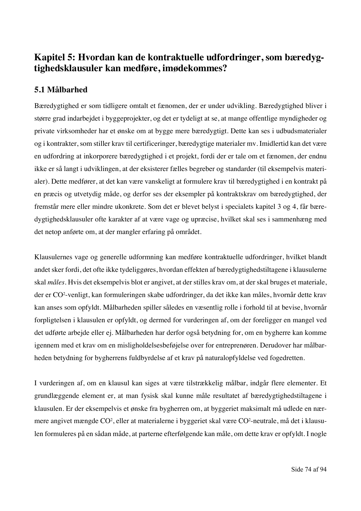# **Kapitel 5: Hvordan kan de kontraktuelle udfordringer, som bæredygtighedsklausuler kan medføre, imødekommes?**

## **5.1 Målbarhed**

Bæredygtighed er som tidligere omtalt et fænomen, der er under udvikling. Bæredygtighed bliver i større grad indarbejdet i byggeprojekter, og det er tydeligt at se, at mange offentlige myndigheder og private virksomheder har et ønske om at bygge mere bæredygtigt. Dette kan ses i udbudsmaterialer og i kontrakter, som stiller krav til certificeringer, bæredygtige materialer mv. Imidlertid kan det være en udfordring at inkorporere bæredygtighed i et projekt, fordi der er tale om et fænomen, der endnu ikke er så langt i udviklingen, at der eksisterer fælles begreber og standarder (til eksempelvis materialer). Dette medfører, at det kan være vanskeligt at formulere krav til bæredygtighed i en kontrakt på en præcis og utvetydig måde, og derfor ses der eksempler på kontraktskrav om bæredygtighed, der fremstår mere eller mindre ukonkrete. Som det er blevet belyst i specialets kapitel 3 og 4, får bæredygtighedsklausuler ofte karakter af at være vage og upræcise, hvilket skal ses i sammenhæng med det netop anførte om, at der mangler erfaring på området.

Klausulernes vage og generelle udformning kan medføre kontraktuelle udfordringer, hvilket blandt andet sker fordi, det ofte ikke tydeliggøres, hvordan effekten af bæredygtighedstiltagene i klausulerne skal *måles.* Hvis det eksempelvis blot er angivet, at der stilles krav om, at der skal bruges et materiale, der er CO2 -venligt, kan formuleringen skabe udfordringer, da det ikke kan måles, hvornår dette krav kan anses som opfyldt. Målbarheden spiller således en væsentlig rolle i forhold til at bevise, hvornår forpligtelsen i klausulen er opfyldt, og dermed for vurderingen af, om der foreligger en mangel ved det udførte arbejde eller ej. Målbarheden har derfor også betydning for, om en bygherre kan komme igennem med et krav om en misligholdelsesbeføjelse over for entreprenøren. Derudover har målbarheden betydning for bygherrens fuldbyrdelse af et krav på naturalopfyldelse ved fogedretten.

I vurderingen af, om en klausul kan siges at være tilstrækkelig målbar, indgår flere elementer. Et grundlæggende element er, at man fysisk skal kunne måle resultatet af bæredygtighedstiltagene i klausulen. Er der eksempelvis et ønske fra bygherren om, at byggeriet maksimalt må udlede en nærmere angivet mængde CO², eller at materialerne i byggeriet skal være CO²-neutrale, må det i klausulen formuleres på en sådan måde, at parterne efterfølgende kan måle, om dette krav er opfyldt. I nogle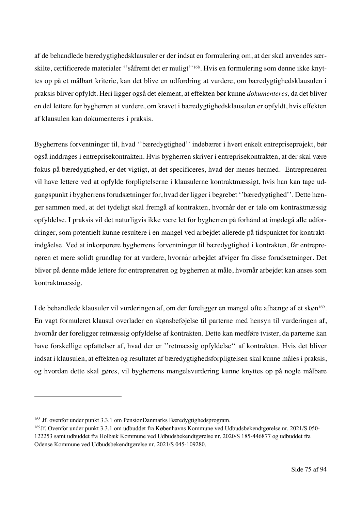af de behandlede bæredygtighedsklausuler er der indsat en formulering om, at der skal anvendes særskilte, certificerede materialer ''såfremt det er muligt''168. Hvis en formulering som denne ikke knyttes op på et målbart kriterie, kan det blive en udfordring at vurdere, om bæredygtighedsklausulen i praksis bliver opfyldt. Heri ligger også det element, at effekten bør kunne *dokumenteres,* da det bliver en del lettere for bygherren at vurdere, om kravet i bæredygtighedsklausulen er opfyldt, hvis effekten af klausulen kan dokumenteres i praksis.

Bygherrens forventninger til, hvad ''bæredygtighed'' indebærer i hvert enkelt entrepriseprojekt, bør også inddrages i entreprisekontrakten. Hvis bygherren skriver i entreprisekontrakten, at der skal være fokus på bæredygtighed, er det vigtigt, at det specificeres, hvad der menes hermed. Entreprenøren vil have lettere ved at opfylde forpligtelserne i klausulerne kontraktmæssigt, hvis han kan tage udgangspunkt i bygherrens forudsætninger for, hvad der ligger i begrebet ''bæredygtighed''. Dette hænger sammen med, at det tydeligt skal fremgå af kontrakten, hvornår der er tale om kontraktmæssig opfyldelse. I praksis vil det naturligvis ikke være let for bygherren på forhånd at imødegå alle udfordringer, som potentielt kunne resultere i en mangel ved arbejdet allerede på tidspunktet for kontraktindgåelse. Ved at inkorporere bygherrens forventninger til bæredygtighed i kontrakten, får entreprenøren et mere solidt grundlag for at vurdere, hvornår arbejdet afviger fra disse forudsætninger. Det bliver på denne måde lettere for entreprenøren og bygherren at måle, hvornår arbejdet kan anses som kontraktmæssig.

I de behandlede klausuler vil vurderingen af, om der foreligger en mangel ofte afhænge af et skøn<sup>169</sup>. En vagt formuleret klausul overlader en skønsbeføjelse til parterne med hensyn til vurderingen af, hvornår der foreligger retmæssig opfyldelse af kontrakten. Dette kan medføre tvister, da parterne kan have forskellige opfattelser af, hvad der er ''retmæssig opfyldelse'' af kontrakten. Hvis det bliver indsat i klausulen, at effekten og resultatet af bæredygtighedsforpligtelsen skal kunne måles i praksis, og hvordan dette skal gøres, vil bygherrens mangelsvurdering kunne knyttes op på nogle målbare

<sup>168</sup> Jf. ovenfor under punkt 3.3.1 om PensionDanmarks Bæredygtighedsprogram.

<sup>169</sup>Jf. Ovenfor under punkt 3.3.1 om udbuddet fra Københavns Kommune ved Udbudsbekendtgørelse nr. 2021/S 050- 122253 samt udbuddet fra Holbæk Kommune ved Udbudsbekendtgørelse nr. 2020/S 185-446877 og udbuddet fra Odense Kommune ved Udbudsbekendtgørelse nr. 2021/S 045-109280.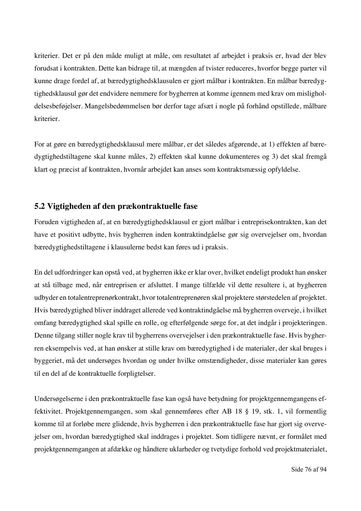kriterier. Det er på den måde muligt at måle, om resultatet af arbejdet i praksis er, hvad der blev forudsat i kontrakten. Dette kan bidrage til, at mængden af tvister reduceres, hvorfor begge parter vil kunne drage fordel af, at bæredygtighedsklausulen er gjort målbar i kontrakten. En målbar bæredygtighedsklausul gør det endvidere nemmere for bygherren at komme igennem med krav om misligholdelsesbeføjelser. Mangelsbedømmelsen bør derfor tage afsæt i nogle på forhånd opstillede, målbare kriterier.

For at gøre en bæredygtighedsklausul mere målbar, er det således afgørende, at 1) effekten af bæredygtighedstiltagene skal kunne måles, 2) effekten skal kunne dokumenteres og 3) det skal fremgå klart og præcist af kontrakten, hvornår arbejdet kan anses som kontraktsmæssig opfyldelse.

#### **5.2 Vigtigheden af den prækontraktuelle fase**

Foruden vigtigheden af, at en bæredygtighedsklausul er gjort målbar i entreprisekontrakten, kan det have et positivt udbytte, hvis bygherren inden kontraktindgåelse gør sig overvejelser om, hvordan bæredygtighedstiltagene i klausulerne bedst kan føres ud i praksis.

En del udfordringer kan opstå ved, at bygherren ikke er klar over, hvilket endeligt produkt han ønsker at stå tilbage med, når entreprisen er afsluttet. I mange tilfælde vil dette resultere i, at bygherren udbyder en totalentreprenørkontrakt, hvor totalentreprenøren skal projektere størstedelen af projektet. Hvis bæredygtighed bliver inddraget allerede ved kontraktindgåelse må bygherren overveje, i hvilket omfang bæredygtighed skal spille en rolle, og efterfølgende sørge for, at det indgår i projekteringen. Denne tilgang stiller nogle krav til bygherrens overvejelser i den prækontraktuelle fase. Hvis bygherren eksempelvis ved, at han ønsker at stille krav om bæredygtighed i de materialer, der skal bruges i byggeriet, må det undersøges hvordan og under hvilke omstændigheder, disse materialer kan gøres til en del af de kontraktuelle forpligtelser.

Undersøgelserne i den prækontraktuelle fase kan også have betydning for projektgennemgangens effektivitet. Projektgennemgangen, som skal gennemføres efter AB 18 § 19, stk. 1, vil formentlig komme til at forløbe mere glidende, hvis bygherren i den prækontraktuelle fase har gjort sig overvejelser om, hvordan bæredygtighed skal inddrages i projektet. Som tidligere nævnt, er formålet med projektgennemgangen at afdække og håndtere uklarheder og tvetydige forhold ved projektmaterialet,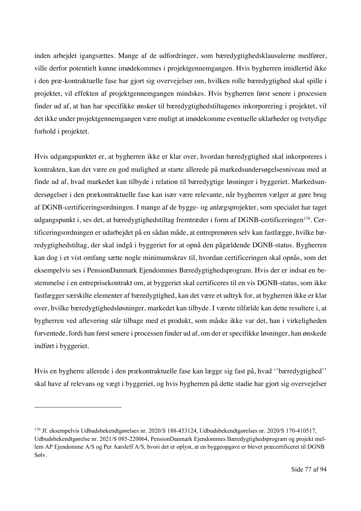inden arbejdet igangsættes. Mange af de udfordringer, som bæredygtighedsklausulerne medfører, ville derfor potentielt kunne imødekommes i projektgennemgangen. Hvis bygherren imidlertid ikke i den præ-kontraktuelle fase har gjort sig overvejelser om, hvilken rolle bæredygtighed skal spille i projektet, vil effekten af projektgennemgangen mindskes. Hvis bygherren først senere i processen finder ud af, at han har specifikke ønsker til bæredygtighedstiltagenes inkorporering i projektet, vil det ikke under projektgennemgangen være muligt at imødekomme eventuelle uklarheder og tvetydige forhold i projektet.

Hvis udgangspunktet er, at bygherren ikke er klar over, hvordan bæredygtighed skal inkorporeres i kontrakten, kan det være en god mulighed at starte allerede på markedsundersøgelsesniveau med at finde ud af, hvad markedet kan tilbyde i relation til bæredygtige løsninger i byggeriet. Markedsundersøgelser i den prækontraktuelle fase kan især være relevante, når bygherren vælger at gøre brug af DGNB-certificeringsordningen. I mange af de bygge- og anlægsprojekter, som specialet har taget udgangspunkt i, ses det, at bæredygtighedstiltag fremtræder i form af DGNB-certificeringen<sup>170</sup>. Certificeringsordningen er udarbejdet på en sådan måde, at entreprenøren selv kan fastlægge, hvilke bæredygtighedstiltag, der skal indgå i byggeriet for at opnå den pågældende DGNB-status. Bygherren kan dog i et vist omfang sætte nogle minimumskrav til, hvordan certificeringen skal opnås, som det eksempelvis ses i PensionDanmark Ejendommes Bæredygtighedsprogram. Hvis der er indsat en bestemmelse i en entreprisekontrakt om, at byggeriet skal certificeres til en vis DGNB-status, som ikke fastlægger særskilte elementer af bæredygtighed, kan det være et udtryk for, at bygherren ikke er klar over, hvilke bæredygtighedsløsninger, markedet kan tilbyde. I værste tilfælde kan dette resultere i, at bygherren ved aflevering står tilbage med et produkt, som måske ikke var det, han i virkeligheden forventede, fordi han først senere i processen finder ud af, om der er specifikke løsninger, han ønskede indført i byggeriet.

Hvis en bygherre allerede i den prækontraktuelle fase kan lægge sig fast på, hvad ''bæredygtighed'' skal have af relevans og vægt i byggeriet, og hvis bygherren på dette stadie har gjort sig overvejelser

<sup>170</sup> Jf. eksempelvis Udbudsbekendtgørelses nr. 2020/S 188-453124, Udbudsbekendtgørelses nr. 2020/S 170-410517, Udbudsbekendtgørelse nr. 2021/S 085-220064, PensionDanmark Ejendommes Bæredygtighedsprogram og projekt mellem AP Ejendomme A/S og Per Aarsleff A/S, hvori det er oplyst, at en byggeopgave er blevet præcertificeret til DGNB Sølv.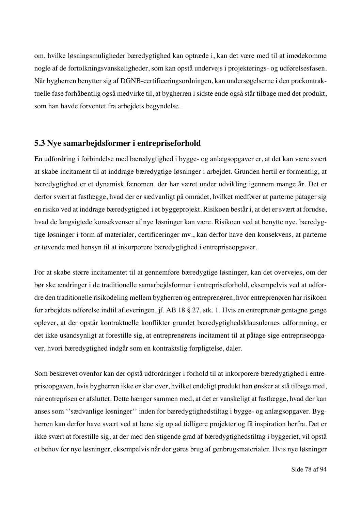om, hvilke løsningsmuligheder bæredygtighed kan optræde i, kan det være med til at imødekomme nogle af de fortolkningsvanskeligheder, som kan opstå undervejs i projekterings- og udførelsesfasen. Når bygherren benytter sig af DGNB-certificeringsordningen, kan undersøgelserne i den prækontraktuelle fase forhåbentlig også medvirke til, at bygherren i sidste ende også står tilbage med det produkt, som han havde forventet fra arbejdets begyndelse.

#### **5.3 Nye samarbejdsformer i entrepriseforhold**

En udfordring i forbindelse med bæredygtighed i bygge- og anlægsopgaver er, at det kan være svært at skabe incitament til at inddrage bæredygtige løsninger i arbejdet. Grunden hertil er formentlig, at bæredygtighed er et dynamisk fænomen, der har været under udvikling igennem mange år. Det er derfor svært at fastlægge, hvad der er sædvanligt på området, hvilket medfører at parterne påtager sig en risiko ved at inddrage bæredygtighed i et byggeprojekt. Risikoen består i, at det er svært at forudse, hvad de langsigtede konsekvenser af nye løsninger kan være. Risikoen ved at benytte nye, bæredygtige løsninger i form af materialer, certificeringer mv., kan derfor have den konsekvens, at parterne er tøvende med hensyn til at inkorporere bæredygtighed i entrepriseopgaver.

For at skabe større incitamentet til at gennemføre bæredygtige løsninger, kan det overvejes, om der bør ske ændringer i de traditionelle samarbejdsformer i entrepriseforhold, eksempelvis ved at udfordre den traditionelle risikodeling mellem bygherren og entreprenøren, hvor entreprenøren har risikoen for arbejdets udførelse indtil afleveringen, jf. AB 18 § 27, stk. 1. Hvis en entreprenør gentagne gange oplever, at der opstår kontraktuelle konflikter grundet bæredygtighedsklausulernes udformning, er det ikke usandsynligt at forestille sig, at entreprenørens incitament til at påtage sige entrepriseopgaver, hvori bæredygtighed indgår som en kontraktslig forpligtelse, daler.

Som beskrevet ovenfor kan der opstå udfordringer i forhold til at inkorporere bæredygtighed i entrepriseopgaven, hvis bygherren ikke er klar over, hvilket endeligt produkt han ønsker at stå tilbage med, når entreprisen er afsluttet. Dette hænger sammen med, at det er vanskeligt at fastlægge, hvad der kan anses som ''sædvanlige løsninger'' inden for bæredygtighedstiltag i bygge- og anlægsopgaver. Bygherren kan derfor have svært ved at læne sig op ad tidligere projekter og få inspiration herfra. Det er ikke svært at forestille sig, at der med den stigende grad af bæredygtighedstiltag i byggeriet, vil opstå et behov for nye løsninger, eksempelvis når der gøres brug af genbrugsmaterialer. Hvis nye løsninger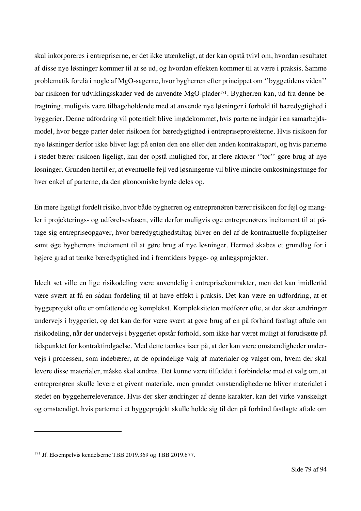skal inkorporeres i entrepriserne, er det ikke utænkeligt, at der kan opstå tvivl om, hvordan resultatet af disse nye løsninger kommer til at se ud, og hvordan effekten kommer til at være i praksis. Samme problematik forelå i nogle af MgO-sagerne, hvor bygherren efter princippet om ''byggetidens viden'' bar risikoen for udviklingsskader ved de anvendte MgO-plader<sup>171</sup>. Bygherren kan, ud fra denne betragtning, muligvis være tilbageholdende med at anvende nye løsninger i forhold til bæredygtighed i byggerier. Denne udfordring vil potentielt blive imødekommet, hvis parterne indgår i en samarbejdsmodel, hvor begge parter deler risikoen for bæredygtighed i entrepriseprojekterne. Hvis risikoen for nye løsninger derfor ikke bliver lagt på enten den ene eller den anden kontraktspart, og hvis parterne i stedet bærer risikoen ligeligt, kan der opstå mulighed for, at flere aktører ''tør'' gøre brug af nye løsninger. Grunden hertil er, at eventuelle fejl ved løsningerne vil blive mindre omkostningstunge for hver enkel af parterne, da den økonomiske byrde deles op.

En mere ligeligt fordelt risiko, hvor både bygherren og entreprenøren bærer risikoen for fejl og mangler i projekterings- og udførelsesfasen, ville derfor muligvis øge entreprenørers incitament til at påtage sig entrepriseopgaver, hvor bæredygtighedstiltag bliver en del af de kontraktuelle forpligtelser samt øge bygherrens incitament til at gøre brug af nye løsninger. Hermed skabes et grundlag for i højere grad at tænke bæredygtighed ind i fremtidens bygge- og anlægsprojekter.

Ideelt set ville en lige risikodeling være anvendelig i entreprisekontrakter, men det kan imidlertid være svært at få en sådan fordeling til at have effekt i praksis. Det kan være en udfordring, at et byggeprojekt ofte er omfattende og komplekst. Kompleksiteten medfører ofte, at der sker ændringer undervejs i byggeriet, og det kan derfor være svært at gøre brug af en på forhånd fastlagt aftale om risikodeling, når der undervejs i byggeriet opstår forhold, som ikke har været muligt at forudsætte på tidspunktet for kontraktindgåelse. Med dette tænkes især på, at der kan være omstændigheder undervejs i processen, som indebærer, at de oprindelige valg af materialer og valget om, hvem der skal levere disse materialer, måske skal ændres. Det kunne være tilfældet i forbindelse med et valg om, at entreprenøren skulle levere et givent materiale, men grundet omstændighederne bliver materialet i stedet en byggeherreleverance. Hvis der sker ændringer af denne karakter, kan det virke vanskeligt og omstændigt, hvis parterne i et byggeprojekt skulle holde sig til den på forhånd fastlagte aftale om

<sup>171</sup> Jf. Eksempelvis kendelserne TBB 2019.369 og TBB 2019.677.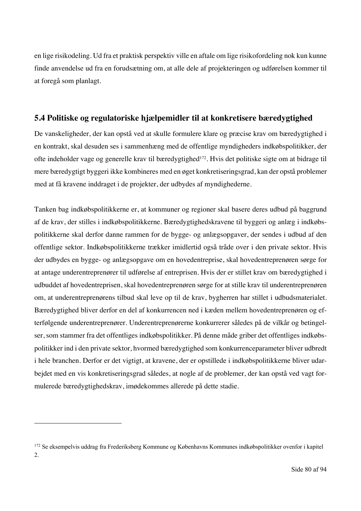en lige risikodeling. Ud fra et praktisk perspektiv ville en aftale om lige risikofordeling nok kun kunne finde anvendelse ud fra en forudsætning om, at alle dele af projekteringen og udførelsen kommer til at foregå som planlagt.

#### **5.4 Politiske og regulatoriske hjælpemidler til at konkretisere bæredygtighed**

De vanskeligheder, der kan opstå ved at skulle formulere klare og præcise krav om bæredygtighed i en kontrakt, skal desuden ses i sammenhæng med de offentlige myndigheders indkøbspolitikker, der ofte indeholder vage og generelle krav til bæredygtighed172. Hvis det politiske sigte om at bidrage til mere bæredygtigt byggeri ikke kombineres med en øget konkretiseringsgrad, kan der opstå problemer med at få kravene inddraget i de projekter, der udbydes af myndighederne.

Tanken bag indkøbspolitikkerne er, at kommuner og regioner skal basere deres udbud på baggrund af de krav, der stilles i indkøbspolitikkerne. Bæredygtighedskravene til byggeri og anlæg i indkøbspolitikkerne skal derfor danne rammen for de bygge- og anlægsopgaver, der sendes i udbud af den offentlige sektor. Indkøbspolitikkerne trækker imidlertid også tråde over i den private sektor. Hvis der udbydes en bygge- og anlægsopgave om en hovedentreprise, skal hovedentreprenøren sørge for at antage underentreprenører til udførelse af entreprisen. Hvis der er stillet krav om bæredygtighed i udbuddet af hovedentreprisen, skal hovedentreprenøren sørge for at stille krav til underentreprenøren om, at underentreprenørens tilbud skal leve op til de krav, bygherren har stillet i udbudsmaterialet. Bæredygtighed bliver derfor en del af konkurrencen ned i kæden mellem hovedentreprenøren og efterfølgende underentreprenører. Underentreprenørerne konkurrerer således på de vilkår og betingelser, som stammer fra det offentliges indkøbspolitikker. På denne måde griber det offentliges indkøbspolitikker ind i den private sektor, hvormed bæredygtighed som konkurrenceparameter bliver udbredt i hele branchen. Derfor er det vigtigt, at kravene, der er opstillede i indkøbspolitikkerne bliver udarbejdet med en vis konkretiseringsgrad således, at nogle af de problemer, der kan opstå ved vagt formulerede bæredygtighedskrav, imødekommes allerede på dette stadie.

<sup>172</sup> Se eksempelvis uddrag fra Frederiksberg Kommune og Københavns Kommunes indkøbspolitikker ovenfor i kapitel 2.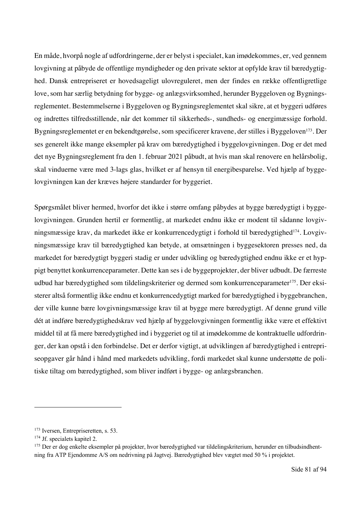En måde, hvorpå nogle af udfordringerne, der er belyst i specialet, kan imødekommes, er, ved gennem lovgivning at påbyde de offentlige myndigheder og den private sektor at opfylde krav til bæredygtighed. Dansk entrepriseret er hovedsageligt ulovreguleret, men der findes en række offentligretlige love, som har særlig betydning for bygge- og anlægsvirksomhed, herunder Byggeloven og Bygningsreglementet. Bestemmelserne i Byggeloven og Bygningsreglementet skal sikre, at et byggeri udføres og indrettes tilfredsstillende, når det kommer til sikkerheds-, sundheds- og energimæssige forhold. Bygningsreglementet er en bekendtgørelse, som specificerer kravene, der stilles i Byggeloven<sup>173</sup>. Der ses generelt ikke mange eksempler på krav om bæredygtighed i byggelovgivningen. Dog er det med det nye Bygningsreglement fra den 1. februar 2021 påbudt, at hvis man skal renovere en helårsbolig, skal vinduerne være med 3-lags glas, hvilket er af hensyn til energibesparelse. Ved hjælp af byggelovgivningen kan der kræves højere standarder for byggeriet.

Spørgsmålet bliver hermed, hvorfor det ikke i større omfang påbydes at bygge bæredygtigt i byggelovgivningen. Grunden hertil er formentlig, at markedet endnu ikke er modent til sådanne lovgivningsmæssige krav, da markedet ikke er konkurrencedygtigt i forhold til bæredygtighed<sup>174</sup>. Lovgivningsmæssige krav til bæredygtighed kan betyde, at omsætningen i byggesektoren presses ned, da markedet for bæredygtigt byggeri stadig er under udvikling og bæredygtighed endnu ikke er et hyppigt benyttet konkurrenceparameter. Dette kan ses i de byggeprojekter, der bliver udbudt. De færreste udbud har bæredygtighed som tildelingskriterier og dermed som konkurrenceparameter<sup>175</sup>. Der eksisterer altså formentlig ikke endnu et konkurrencedygtigt marked for bæredygtighed i byggebranchen, der ville kunne bære lovgivningsmæssige krav til at bygge mere bæredygtigt. Af denne grund ville dét at indføre bæredygtighedskrav ved hjælp af byggelovgivningen formentlig ikke være et effektivt middel til at få mere bæredygtighed ind i byggeriet og til at imødekomme de kontraktuelle udfordringer, der kan opstå i den forbindelse. Det er derfor vigtigt, at udviklingen af bæredygtighed i entrepriseopgaver går hånd i hånd med markedets udvikling, fordi markedet skal kunne understøtte de politiske tiltag om bæredygtighed, som bliver indført i bygge- og anlægsbranchen.

<sup>&</sup>lt;sup>173</sup> Iversen, Entrepriseretten, s. 53.

<sup>&</sup>lt;sup>174</sup> Jf. specialets kapitel 2.

<sup>&</sup>lt;sup>175</sup> Der er dog enkelte eksempler på projekter, hvor bæredygtighed var tildelingskriterium, herunder en tilbudsindhentning fra ATP Ejendomme A/S om nedrivning på Jagtvej. Bæredygtighed blev vægtet med 50 % i projektet.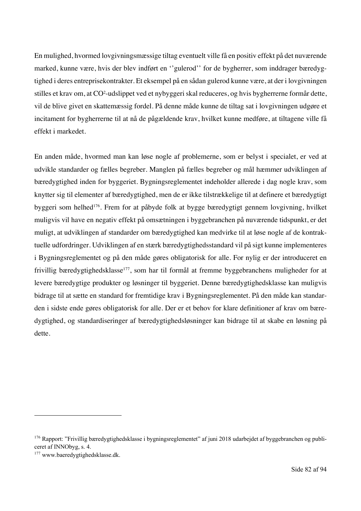En mulighed, hvormed lovgivningsmæssige tiltag eventuelt ville få en positiv effekt på det nuværende marked, kunne være, hvis der blev indført en ''gulerod'' for de bygherrer, som inddrager bæredygtighed i deres entreprisekontrakter. Et eksempel på en sådan gulerod kunne være, at der i lovgivningen stilles et krav om, at CO<sup>2</sup>-udslippet ved et nybyggeri skal reduceres, og hvis bygherrerne formår dette, vil de blive givet en skattemæssig fordel. På denne måde kunne de tiltag sat i lovgivningen udgøre et incitament for bygherrerne til at nå de pågældende krav, hvilket kunne medføre, at tiltagene ville få effekt i markedet.

En anden måde, hvormed man kan løse nogle af problemerne, som er belyst i specialet, er ved at udvikle standarder og fælles begreber. Manglen på fælles begreber og mål hæmmer udviklingen af bæredygtighed inden for byggeriet. Bygningsreglementet indeholder allerede i dag nogle krav, som knytter sig til elementer af bæredygtighed, men de er ikke tilstrækkelige til at definere et bæredygtigt byggeri som helhed176. Frem for at påbyde folk at bygge bæredygtigt gennem lovgivning, hvilket muligvis vil have en negativ effekt på omsætningen i byggebranchen på nuværende tidspunkt, er det muligt, at udviklingen af standarder om bæredygtighed kan medvirke til at løse nogle af de kontraktuelle udfordringer. Udviklingen af en stærk bæredygtighedsstandard vil på sigt kunne implementeres i Bygningsreglementet og på den måde gøres obligatorisk for alle. For nylig er der introduceret en frivillig bæredygtighedsklasse<sup>177</sup>, som har til formål at fremme byggebranchens muligheder for at levere bæredygtige produkter og løsninger til byggeriet. Denne bæredygtighedsklasse kan muligvis bidrage til at sætte en standard for fremtidige krav i Bygningsreglementet. På den måde kan standarden i sidste ende gøres obligatorisk for alle. Der er et behov for klare definitioner af krav om bæredygtighed, og standardiseringer af bæredygtighedsløsninger kan bidrage til at skabe en løsning på dette.

<sup>&</sup>lt;sup>176</sup> Rapport: "Frivillig bæredygtighedsklasse i bygningsreglementet" af juni 2018 udarbejdet af byggebranchen og publiceret af INNObyg, s. 4.

<sup>&</sup>lt;sup>177</sup> www.baeredygtighedsklasse.dk.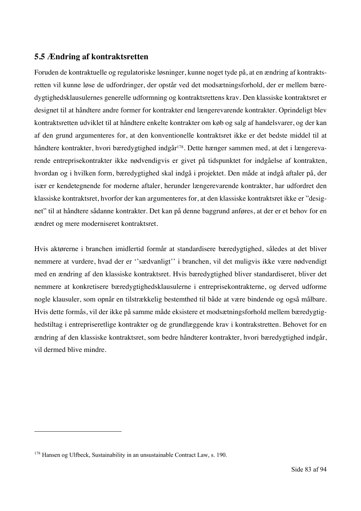#### **5.5 Ændring af kontraktsretten**

Foruden de kontraktuelle og regulatoriske løsninger, kunne noget tyde på, at en ændring af kontraktsretten vil kunne løse de udfordringer, der opstår ved det modsætningsforhold, der er mellem bæredygtighedsklausulernes generelle udformning og kontraktsrettens krav. Den klassiske kontraktsret er designet til at håndtere andre former for kontrakter end længerevarende kontrakter. Oprindeligt blev kontraktsretten udviklet til at håndtere enkelte kontrakter om køb og salg af handelsvarer, og der kan af den grund argumenteres for, at den konventionelle kontraktsret ikke er det bedste middel til at håndtere kontrakter, hvori bæredygtighed indgår<sup>178</sup>. Dette hænger sammen med, at det i længerevarende entreprisekontrakter ikke nødvendigvis er givet på tidspunktet for indgåelse af kontrakten, hvordan og i hvilken form, bæredygtighed skal indgå i projektet. Den måde at indgå aftaler på, der især er kendetegnende for moderne aftaler, herunder længerevarende kontrakter, har udfordret den klassiske kontraktsret, hvorfor der kan argumenteres for, at den klassiske kontraktsret ikke er "designet" til at håndtere sådanne kontrakter. Det kan på denne baggrund anføres, at der er et behov for en ændret og mere moderniseret kontraktsret.

Hvis aktørerne i branchen imidlertid formår at standardisere bæredygtighed, således at det bliver nemmere at vurdere, hvad der er ''sædvanligt'' i branchen, vil det muligvis ikke være nødvendigt med en ændring af den klassiske kontraktsret. Hvis bæredygtighed bliver standardiseret, bliver det nemmere at konkretisere bæredygtighedsklausulerne i entreprisekontrakterne, og derved udforme nogle klausuler, som opnår en tilstrækkelig bestemthed til både at være bindende og også målbare. Hvis dette formås, vil der ikke på samme måde eksistere et modsætningsforhold mellem bæredygtighedstiltag i entrepriseretlige kontrakter og de grundlæggende krav i kontrakstretten. Behovet for en ændring af den klassiske kontraktsret, som bedre håndterer kontrakter, hvori bæredygtighed indgår, vil dermed blive mindre.

<sup>178</sup> Hansen og Ulfbeck, Sustainability in an unsustainable Contract Law, s. 190.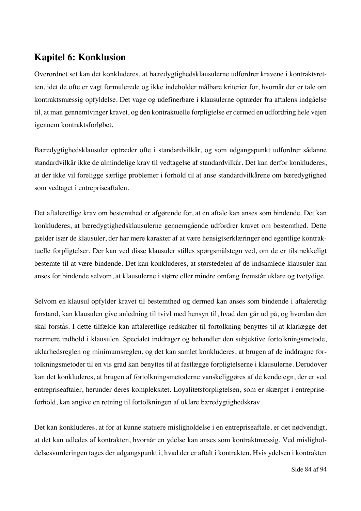## **Kapitel 6: Konklusion**

Overordnet set kan det konkluderes, at bæredygtighedsklausulerne udfordrer kravene i kontraktsretten, idet de ofte er vagt formulerede og ikke indeholder målbare kriterier for, hvornår der er tale om kontraktsmæssig opfyldelse. Det vage og udefinerbare i klausulerne optræder fra aftalens indgåelse til, at man gennemtvinger kravet, og den kontraktuelle forpligtelse er dermed en udfordring hele vejen igennem kontraktsforløbet.

Bæredygtighedsklausuler optræder ofte i standardvilkår, og som udgangspunkt udfordrer sådanne standardvilkår ikke de almindelige krav til vedtagelse af standardvilkår. Det kan derfor konkluderes, at der ikke vil foreligge særlige problemer i forhold til at anse standardvilkårene om bæredygtighed som vedtaget i entrepriseaftalen.

Det aftaleretlige krav om bestemthed er afgørende for, at en aftale kan anses som bindende. Det kan konkluderes, at bæredygtighedsklausulerne gennemgående udfordrer kravet om bestemthed. Dette gælder især de klausuler, der har mere karakter af at være hensigtserklæringer end egentlige kontraktuelle forpligtelser. Der kan ved disse klausuler stilles spørgsmålstegn ved, om de er tilstrækkeligt bestemte til at være bindende. Det kan konkluderes, at størstedelen af de indsamlede klausuler kan anses for bindende selvom, at klausulerne i større eller mindre omfang fremstår uklare og tvetydige.

Selvom en klausul opfylder kravet til bestemthed og dermed kan anses som bindende i aftaleretlig forstand, kan klausulen give anledning til tvivl med hensyn til, hvad den går ud på, og hvordan den skal forstås. I dette tilfælde kan aftaleretlige redskaber til fortolkning benyttes til at klarlægge det nærmere indhold i klausulen. Specialet inddrager og behandler den subjektive fortolkningsmetode, uklarhedsreglen og minimumsreglen, og det kan samlet konkluderes, at brugen af de inddragne fortolkningsmetoder til en vis grad kan benyttes til at fastlægge forpligtelserne i klausulerne. Derudover kan det konkluderes, at brugen af fortolkningsmetoderne vanskeliggøres af de kendetegn, der er ved entrepriseaftaler, herunder deres kompleksitet. Loyalitetsforpligtelsen, som er skærpet i entrepriseforhold, kan angive en retning til fortolkningen af uklare bæredygtighedskrav.

Det kan konkluderes, at for at kunne statuere misligholdelse i en entrepriseaftale, er det nødvendigt, at det kan udledes af kontrakten, hvornår en ydelse kan anses som kontraktmæssig. Ved misligholdelsesvurderingen tages der udgangspunkt i, hvad der er aftalt i kontrakten. Hvis ydelsen i kontrakten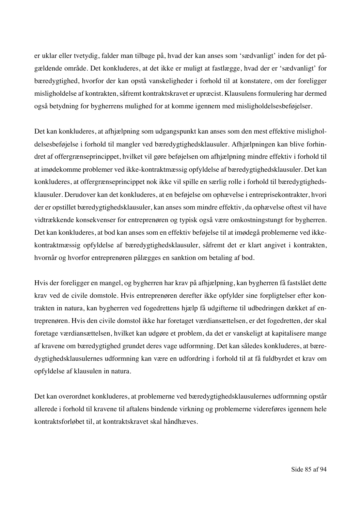er uklar eller tvetydig, falder man tilbage på, hvad der kan anses som 'sædvanligt' inden for det pågældende område. Det konkluderes, at det ikke er muligt at fastlægge, hvad der er 'sædvanligt' for bæredygtighed, hvorfor der kan opstå vanskeligheder i forhold til at konstatere, om der foreligger misligholdelse af kontrakten, såfremt kontraktskravet er upræcist. Klausulens formulering har dermed også betydning for bygherrens mulighed for at komme igennem med misligholdelsesbeføjelser.

Det kan konkluderes, at afhjælpning som udgangspunkt kan anses som den mest effektive misligholdelsesbeføjelse i forhold til mangler ved bæredygtighedsklausuler. Afhjælpningen kan blive forhindret af offergrænseprincippet, hvilket vil gøre beføjelsen om afhjælpning mindre effektiv i forhold til at imødekomme problemer ved ikke-kontraktmæssig opfyldelse af bæredygtighedsklausuler. Det kan konkluderes, at offergrænseprincippet nok ikke vil spille en særlig rolle i forhold til bæredygtighedsklausuler. Derudover kan det konkluderes, at en beføjelse om ophævelse i entreprisekontrakter, hvori der er opstillet bæredygtighedsklausuler, kan anses som mindre effektiv, da ophævelse oftest vil have vidtrækkende konsekvenser for entreprenøren og typisk også være omkostningstungt for bygherren. Det kan konkluderes, at bod kan anses som en effektiv beføjelse til at imødegå problemerne ved ikkekontraktmæssig opfyldelse af bæredygtighedsklausuler, såfremt det er klart angivet i kontrakten, hvornår og hvorfor entreprenøren pålægges en sanktion om betaling af bod.

Hvis der foreligger en mangel, og bygherren har krav på afhjælpning, kan bygherren få fastslået dette krav ved de civile domstole. Hvis entreprenøren derefter ikke opfylder sine forpligtelser efter kontrakten in natura, kan bygherren ved fogedrettens hjælp få udgifterne til udbedringen dækket af entreprenøren. Hvis den civile domstol ikke har foretaget værdiansættelsen, er det fogedretten, der skal foretage værdiansættelsen, hvilket kan udgøre et problem, da det er vanskeligt at kapitalisere mange af kravene om bæredygtighed grundet deres vage udformning. Det kan således konkluderes, at bæredygtighedsklausulernes udformning kan være en udfordring i forhold til at få fuldbyrdet et krav om opfyldelse af klausulen in natura.

Det kan overordnet konkluderes, at problemerne ved bæredygtighedsklausulernes udformning opstår allerede i forhold til kravene til aftalens bindende virkning og problemerne videreføres igennem hele kontraktsforløbet til, at kontraktskravet skal håndhæves.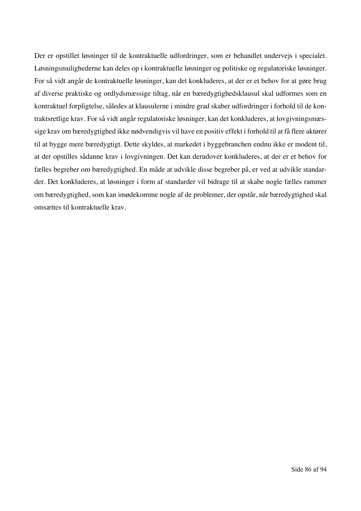Der er opstillet løsninger til de kontraktuelle udfordringer, som er behandlet undervejs i specialet. Løsningsmulighederne kan deles op i kontraktuelle løsninger og politiske og regulatoriske løsninger. For så vidt angår de kontraktuelle løsninger, kan det konkluderes, at der er et behov for at gøre brug af diverse praktiske og ordlydsmæssige tiltag, når en bæredygtighedsklausul skal udformes som en kontraktuel forpligtelse, således at klausulerne i mindre grad skaber udfordringer i forhold til de kontraktsretlige krav. For så vidt angår regulatoriske løsninger, kan det konkluderes, at lovgivningsmæssige krav om bæredygtighed ikke nødvendigvis vil have en positiv effekt i forhold til at få flere aktører til at bygge mere bæredygtigt. Dette skyldes, at markedet i byggebranchen endnu ikke er modent til, at der opstilles sådanne krav i lovgivningen. Det kan derudover konkluderes, at der er et behov for fælles begreber om bæredygtighed. En måde at udvikle disse begreber på, er ved at udvikle standarder. Det konkluderes, at løsninger i form af standarder vil bidrage til at skabe nogle fælles rammer om bæredygtighed, som kan imødekomme nogle af de problemer, der opstår, når bæredygtighed skal omsættes til kontraktuelle krav.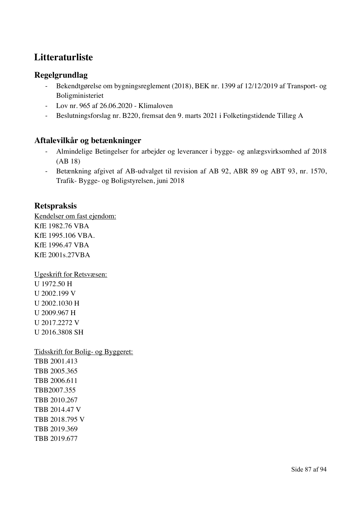# **Litteraturliste**

#### **Regelgrundlag**

- Bekendtgørelse om bygningsreglement (2018), BEK nr. 1399 af 12/12/2019 af Transport- og Boligministeriet
- Lov nr. 965 af 26.06.2020 Klimaloven
- Beslutningsforslag nr. B220, fremsat den 9. marts 2021 i Folketingstidende Tillæg A

## **Aftalevilkår og betænkninger**

- Almindelige Betingelser for arbejder og leverancer i bygge- og anlægsvirksomhed af 2018 (AB 18)
- Betænkning afgivet af AB-udvalget til revision af AB 92, ABR 89 og ABT 93, nr. 1570, Trafik- Bygge- og Boligstyrelsen, juni 2018

#### **Retspraksis**

Kendelser om fast ejendom: KfE 1982.76 VBA KfE 1995.106 VBA. KfE 1996.47 VBA KfE 2001s.27VBA

Ugeskrift for Retsvæsen: U 1972.50 H U 2002.199 V U 2002.1030 H U 2009.967 H U 2017.2272 V U 2016.3808 SH

Tidsskrift for Bolig- og Byggeret:

TBB 2001.413 TBB 2005.365 TBB 2006.611 TBB2007.355 TBB 2010.267 TBB 2014.47 V TBB 2018.795 V TBB 2019.369 TBB 2019.677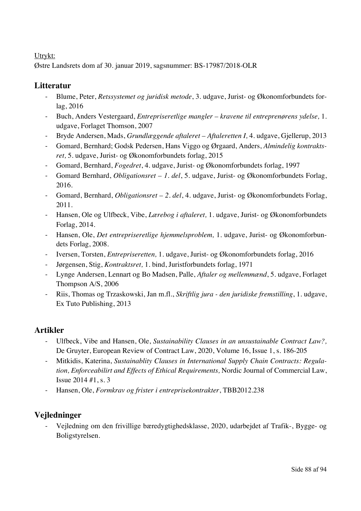#### Utrykt:

Østre Landsrets dom af 30. januar 2019, sagsnummer: BS-17987/2018-OLR

### **Litteratur**

- Blume, Peter, *Retssystemet og juridisk metode*, 3. udgave, Jurist- og Økonomforbundets forlag, 2016
- Buch, Anders Vestergaard, *Entrepriseretlige mangler – kravene til entreprenørens ydelse,* 1. udgave, Forlaget Thomson, 2007
- Bryde Andersen, Mads, *Grundlæggende aftaleret – Aftaleretten I,* 4. udgave, Gjellerup, 2013
- Gomard, Bernhard; Godsk Pedersen, Hans Viggo og Ørgaard, Anders, *Almindelig kontraktsret,* 5. udgave, Jurist- og Økonomforbundets forlag, 2015
- Gomard, Bernhard, *Fogedret*, 4. udgave, Jurist- og Økonomforbundets forlag, 1997
- Gomard Bernhard, *Obligationsret – 1. del*, 5. udgave, Jurist- og Økonomforbundets Forlag, 2016.
- Gomard, Bernhard, *Obligationsret – 2. del*, 4. udgave, Jurist- og Økonomforbundets Forlag, 2011.
- Hansen, Ole og Ulfbeck, Vibe, *Lærebog i aftaleret,* 1. udgave, Jurist- og Økonomforbundets Forlag, 2014.
- Hansen, Ole, *Det entrepriseretlige hjemmelsproblem,* 1. udgave, Jurist- og Økonomforbundets Forlag, 2008.
- Iversen, Torsten, *Entrepriseretten,* 1. udgave, Jurist- og Økonomforbundets forlag, 2016
- Jørgensen, Stig, *Kontraktsret,* 1. bind, Juristforbundets forlag, 1971
- Lynge Andersen, Lennart og Bo Madsen, Palle, *Aftaler og mellemmænd*, 5. udgave, Forlaget Thompson A/S, 2006
- Riis, Thomas og Trzaskowski, Jan m.fl., *Skriftlig jura - den juridiske fremstilling*, 1. udgave, Ex Tuto Publishing, 2013

## **Artikler**

- Ulfbeck, Vibe and Hansen, Ole, *Sustainability Clauses in an unsustainable Contract Law?,*  De Gruyter, European Review of Contract Law, 2020, Volume 16, Issue 1, s. 186-205
- Mitkidis, Katerina, *Sustainablity Clauses in International Supply Chain Contracts: Regulation, Enforceabilirt and Effects of Ethical Requirements,* Nordic Journal of Commercial Law, Issue 2014 #1, s. 3
- Hansen, Ole, *Formkrav og frister i entreprisekontrakter*, TBB2012.238

## **Vejledninger**

- Vejledning om den frivillige bæredygtighedsklasse, 2020, udarbejdet af Trafik-, Bygge- og Boligstyrelsen.